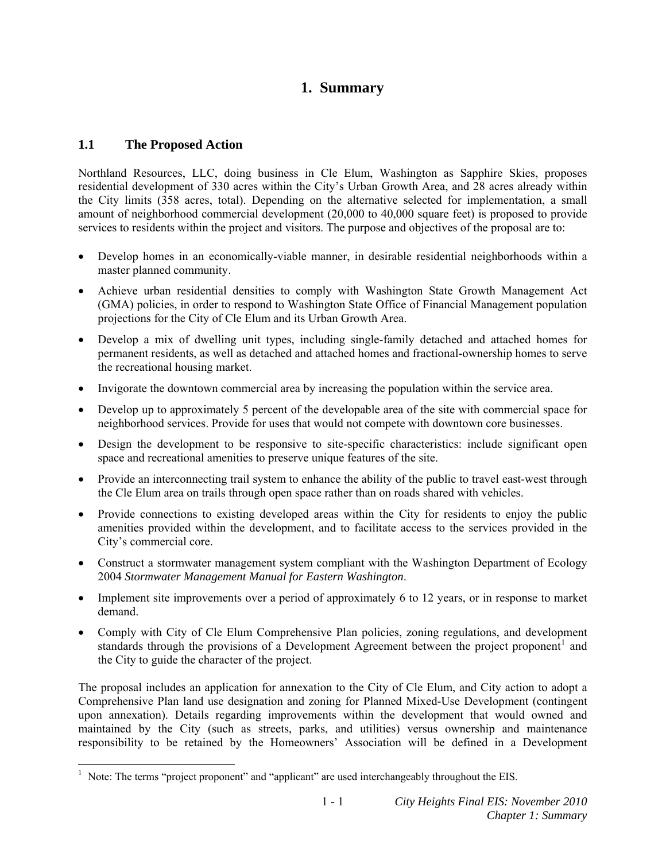# **1. Summary**

## **1.1 The Proposed Action**

Northland Resources, LLC, doing business in Cle Elum, Washington as Sapphire Skies, proposes residential development of 330 acres within the City's Urban Growth Area, and 28 acres already within the City limits (358 acres, total). Depending on the alternative selected for implementation, a small amount of neighborhood commercial development (20,000 to 40,000 square feet) is proposed to provide services to residents within the project and visitors. The purpose and objectives of the proposal are to:

- Develop homes in an economically-viable manner, in desirable residential neighborhoods within a master planned community.
- Achieve urban residential densities to comply with Washington State Growth Management Act (GMA) policies, in order to respond to Washington State Office of Financial Management population projections for the City of Cle Elum and its Urban Growth Area.
- Develop a mix of dwelling unit types, including single-family detached and attached homes for permanent residents, as well as detached and attached homes and fractional-ownership homes to serve the recreational housing market.
- Invigorate the downtown commercial area by increasing the population within the service area.
- Develop up to approximately 5 percent of the developable area of the site with commercial space for neighborhood services. Provide for uses that would not compete with downtown core businesses.
- Design the development to be responsive to site-specific characteristics: include significant open space and recreational amenities to preserve unique features of the site.
- Provide an interconnecting trail system to enhance the ability of the public to travel east-west through the Cle Elum area on trails through open space rather than on roads shared with vehicles.
- Provide connections to existing developed areas within the City for residents to enjoy the public amenities provided within the development, and to facilitate access to the services provided in the City's commercial core.
- Construct a stormwater management system compliant with the Washington Department of Ecology 2004 *Stormwater Management Manual for Eastern Washington*.
- Implement site improvements over a period of approximately 6 to 12 years, or in response to market demand.
- Comply with City of Cle Elum Comprehensive Plan policies, zoning regulations, and development standards through the provisions of a Development Agreement between the project proponent<sup>[1](#page-0-0)</sup> and the City to guide the character of the project.

The proposal includes an application for annexation to the City of Cle Elum, and City action to adopt a Comprehensive Plan land use designation and zoning for Planned Mixed-Use Development (contingent upon annexation). Details regarding improvements within the development that would owned and maintained by the City (such as streets, parks, and utilities) versus ownership and maintenance responsibility to be retained by the Homeowners' Association will be defined in a Development

<span id="page-0-0"></span> $<sup>1</sup>$  Note: The terms "project proponent" and "applicant" are used interchangeably throughout the EIS.</sup>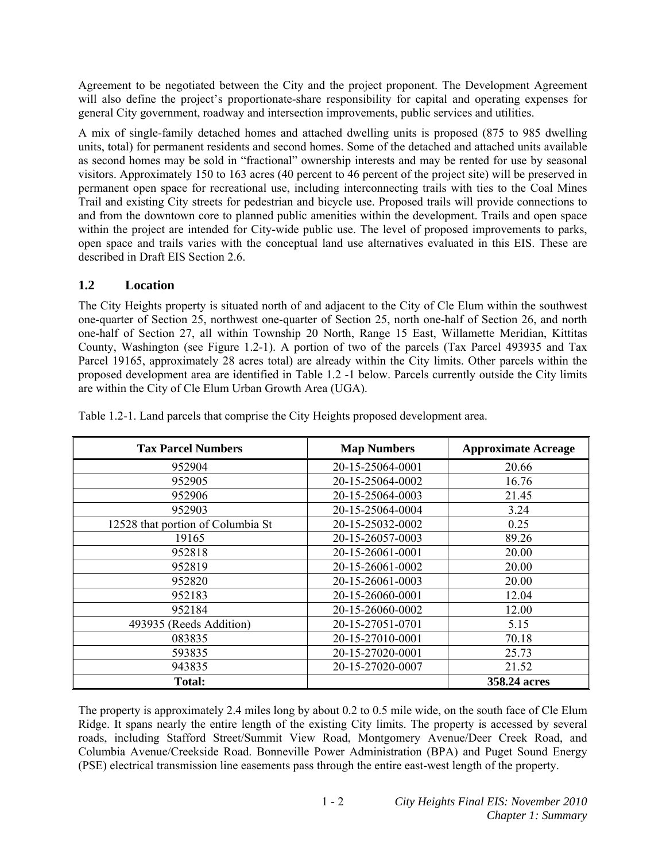Agreement to be negotiated between the City and the project proponent. The Development Agreement will also define the project's proportionate-share responsibility for capital and operating expenses for general City government, roadway and intersection improvements, public services and utilities.

A mix of single-family detached homes and attached dwelling units is proposed (875 to 985 dwelling units, total) for permanent residents and second homes. Some of the detached and attached units available as second homes may be sold in "fractional" ownership interests and may be rented for use by seasonal visitors. Approximately 150 to 163 acres (40 percent to 46 percent of the project site) will be preserved in permanent open space for recreational use, including interconnecting trails with ties to the Coal Mines Trail and existing City streets for pedestrian and bicycle use. Proposed trails will provide connections to and from the downtown core to planned public amenities within the development. Trails and open space within the project are intended for City-wide public use. The level of proposed improvements to parks, open space and trails varies with the conceptual land use alternatives evaluated in this EIS. These are described in Draft EIS Section 2.6.

# **1.2 Location**

The City Heights property is situated north of and adjacent to the City of Cle Elum within the southwest one-quarter of Section 25, northwest one-quarter of Section 25, north one-half of Section 26, and north one-half of Section 27, all within Township 20 North, Range 15 East, Willamette Meridian, Kittitas County, Washington (see Figure 1.2-1). A portion of two of the parcels (Tax Parcel 493935 and Tax Parcel 19165, approximately 28 acres total) are already within the City limits. Other parcels within the proposed development area are identified in Table 1.2 -1 below. Parcels currently outside the City limits are within the City of Cle Elum Urban Growth Area (UGA).

| <b>Tax Parcel Numbers</b>         | <b>Map Numbers</b> | <b>Approximate Acreage</b> |
|-----------------------------------|--------------------|----------------------------|
| 952904                            | 20-15-25064-0001   | 20.66                      |
| 952905                            | 20-15-25064-0002   | 16.76                      |
| 952906                            | 20-15-25064-0003   | 21.45                      |
| 952903                            | 20-15-25064-0004   | 3.24                       |
| 12528 that portion of Columbia St | 20-15-25032-0002   | 0.25                       |
| 19165                             | 20-15-26057-0003   | 89.26                      |
| 952818                            | 20-15-26061-0001   | 20.00                      |
| 952819                            | 20-15-26061-0002   | 20.00                      |
| 952820                            | 20-15-26061-0003   | 20.00                      |
| 952183                            | 20-15-26060-0001   | 12.04                      |
| 952184                            | 20-15-26060-0002   | 12.00                      |
| 493935 (Reeds Addition)           | 20-15-27051-0701   | 5.15                       |
| 083835                            | 20-15-27010-0001   | 70.18                      |
| 593835                            | 20-15-27020-0001   | 25.73                      |
| 943835                            | 20-15-27020-0007   | 21.52                      |
| <b>Total:</b>                     |                    | 358.24 acres               |

Table 1.2-1. Land parcels that comprise the City Heights proposed development area.

The property is approximately 2.4 miles long by about 0.2 to 0.5 mile wide, on the south face of Cle Elum Ridge. It spans nearly the entire length of the existing City limits. The property is accessed by several roads, including Stafford Street/Summit View Road, Montgomery Avenue/Deer Creek Road, and Columbia Avenue/Creekside Road. Bonneville Power Administration (BPA) and Puget Sound Energy (PSE) electrical transmission line easements pass through the entire east-west length of the property.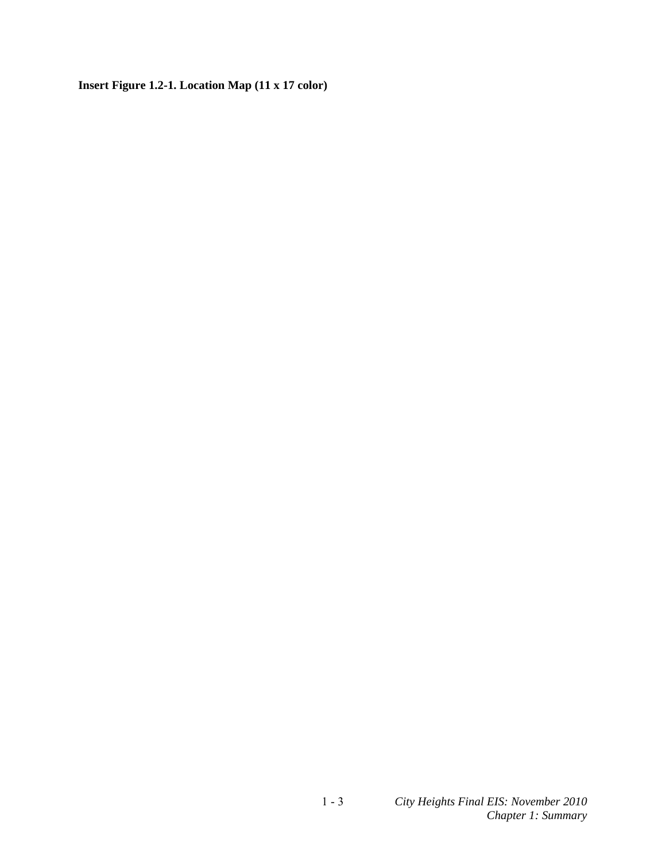**Insert Figure 1.2-1. Location Map (11 x 17 color)**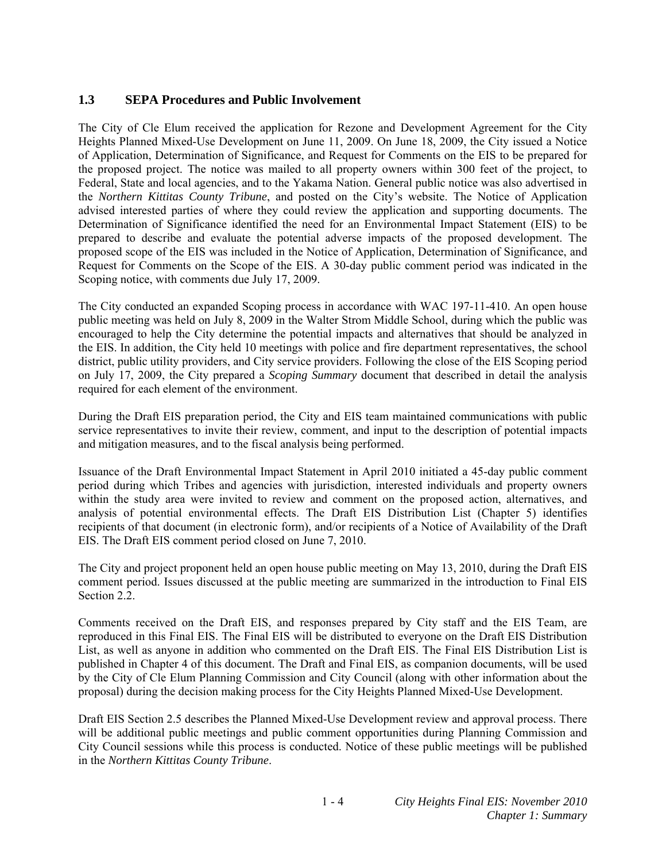## **1.3 SEPA Procedures and Public Involvement**

The City of Cle Elum received the application for Rezone and Development Agreement for the City Heights Planned Mixed-Use Development on June 11, 2009. On June 18, 2009, the City issued a Notice of Application, Determination of Significance, and Request for Comments on the EIS to be prepared for the proposed project. The notice was mailed to all property owners within 300 feet of the project, to Federal, State and local agencies, and to the Yakama Nation. General public notice was also advertised in the *Northern Kittitas County Tribune*, and posted on the City's website. The Notice of Application advised interested parties of where they could review the application and supporting documents. The Determination of Significance identified the need for an Environmental Impact Statement (EIS) to be prepared to describe and evaluate the potential adverse impacts of the proposed development. The proposed scope of the EIS was included in the Notice of Application, Determination of Significance, and Request for Comments on the Scope of the EIS. A 30-day public comment period was indicated in the Scoping notice, with comments due July 17, 2009.

The City conducted an expanded Scoping process in accordance with WAC 197-11-410. An open house public meeting was held on July 8, 2009 in the Walter Strom Middle School, during which the public was encouraged to help the City determine the potential impacts and alternatives that should be analyzed in the EIS. In addition, the City held 10 meetings with police and fire department representatives, the school district, public utility providers, and City service providers. Following the close of the EIS Scoping period on July 17, 2009, the City prepared a *Scoping Summary* document that described in detail the analysis required for each element of the environment.

During the Draft EIS preparation period, the City and EIS team maintained communications with public service representatives to invite their review, comment, and input to the description of potential impacts and mitigation measures, and to the fiscal analysis being performed.

Issuance of the Draft Environmental Impact Statement in April 2010 initiated a 45-day public comment period during which Tribes and agencies with jurisdiction, interested individuals and property owners within the study area were invited to review and comment on the proposed action, alternatives, and analysis of potential environmental effects. The Draft EIS Distribution List (Chapter 5) identifies recipients of that document (in electronic form), and/or recipients of a Notice of Availability of the Draft EIS. The Draft EIS comment period closed on June 7, 2010.

The City and project proponent held an open house public meeting on May 13, 2010, during the Draft EIS comment period. Issues discussed at the public meeting are summarized in the introduction to Final EIS Section 2.2.

Comments received on the Draft EIS, and responses prepared by City staff and the EIS Team, are reproduced in this Final EIS. The Final EIS will be distributed to everyone on the Draft EIS Distribution List, as well as anyone in addition who commented on the Draft EIS. The Final EIS Distribution List is published in Chapter 4 of this document. The Draft and Final EIS, as companion documents, will be used by the City of Cle Elum Planning Commission and City Council (along with other information about the proposal) during the decision making process for the City Heights Planned Mixed-Use Development.

Draft EIS Section 2.5 describes the Planned Mixed-Use Development review and approval process. There will be additional public meetings and public comment opportunities during Planning Commission and City Council sessions while this process is conducted. Notice of these public meetings will be published in the *Northern Kittitas County Tribune*.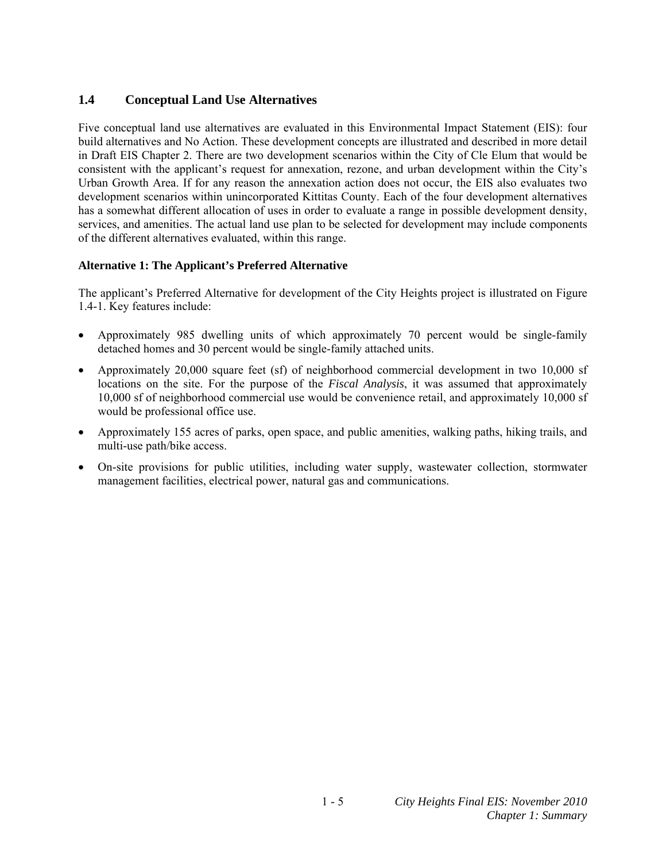## **1.4 Conceptual Land Use Alternatives**

Five conceptual land use alternatives are evaluated in this Environmental Impact Statement (EIS): four build alternatives and No Action. These development concepts are illustrated and described in more detail in Draft EIS Chapter 2. There are two development scenarios within the City of Cle Elum that would be consistent with the applicant's request for annexation, rezone, and urban development within the City's Urban Growth Area. If for any reason the annexation action does not occur, the EIS also evaluates two development scenarios within unincorporated Kittitas County. Each of the four development alternatives has a somewhat different allocation of uses in order to evaluate a range in possible development density, services, and amenities. The actual land use plan to be selected for development may include components of the different alternatives evaluated, within this range.

### **Alternative 1: The Applicant's Preferred Alternative**

The applicant's Preferred Alternative for development of the City Heights project is illustrated on Figure 1.4-1. Key features include:

- Approximately 985 dwelling units of which approximately 70 percent would be single-family detached homes and 30 percent would be single-family attached units.
- Approximately 20,000 square feet (sf) of neighborhood commercial development in two 10,000 sf locations on the site. For the purpose of the *Fiscal Analysis*, it was assumed that approximately 10,000 sf of neighborhood commercial use would be convenience retail, and approximately 10,000 sf would be professional office use.
- Approximately 155 acres of parks, open space, and public amenities, walking paths, hiking trails, and multi-use path/bike access.
- On-site provisions for public utilities, including water supply, wastewater collection, stormwater management facilities, electrical power, natural gas and communications.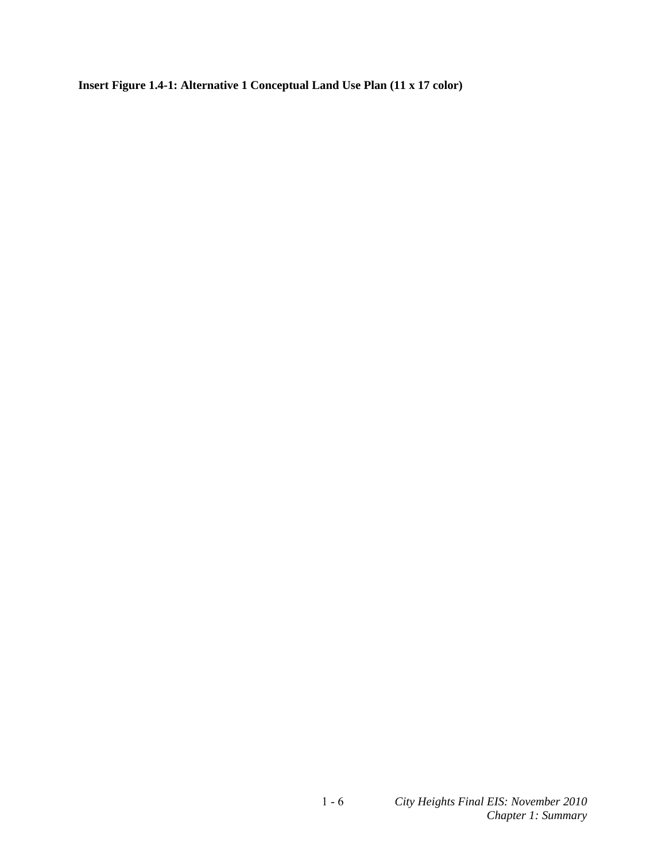**Insert Figure 1.4-1: Alternative 1 Conceptual Land Use Plan (11 x 17 color)**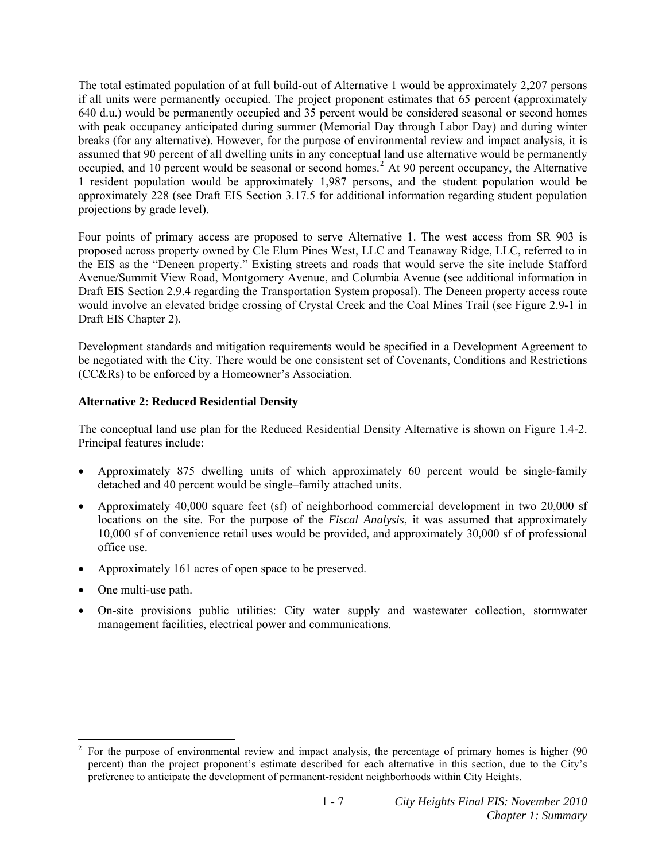The total estimated population of at full build-out of Alternative 1 would be approximately 2,207 persons if all units were permanently occupied. The project proponent estimates that 65 percent (approximately 640 d.u.) would be permanently occupied and 35 percent would be considered seasonal or second homes with peak occupancy anticipated during summer (Memorial Day through Labor Day) and during winter breaks (for any alternative). However, for the purpose of environmental review and impact analysis, it is assumed that 90 percent of all dwelling units in any conceptual land use alternative would be permanently occupied, and 10 percent would be seasonal or second homes.<sup>[2](#page-8-0)</sup> At 90 percent occupancy, the Alternative 1 resident population would be approximately 1,987 persons, and the student population would be approximately 228 (see Draft EIS Section 3.17.5 for additional information regarding student population projections by grade level).

Four points of primary access are proposed to serve Alternative 1. The west access from SR 903 is proposed across property owned by Cle Elum Pines West, LLC and Teanaway Ridge, LLC, referred to in the EIS as the "Deneen property." Existing streets and roads that would serve the site include Stafford Avenue/Summit View Road, Montgomery Avenue, and Columbia Avenue (see additional information in Draft EIS Section 2.9.4 regarding the Transportation System proposal). The Deneen property access route would involve an elevated bridge crossing of Crystal Creek and the Coal Mines Trail (see Figure 2.9-1 in Draft EIS Chapter 2).

Development standards and mitigation requirements would be specified in a Development Agreement to be negotiated with the City. There would be one consistent set of Covenants, Conditions and Restrictions (CC&Rs) to be enforced by a Homeowner's Association.

#### **Alternative 2: Reduced Residential Density**

The conceptual land use plan for the Reduced Residential Density Alternative is shown on Figure 1.4-2. Principal features include:

- Approximately 875 dwelling units of which approximately 60 percent would be single-family detached and 40 percent would be single–family attached units.
- Approximately 40,000 square feet (sf) of neighborhood commercial development in two 20,000 sf locations on the site. For the purpose of the *Fiscal Analysis*, it was assumed that approximately 10,000 sf of convenience retail uses would be provided, and approximately 30,000 sf of professional office use.
- Approximately 161 acres of open space to be preserved.
- One multi-use path.
- On-site provisions public utilities: City water supply and wastewater collection, stormwater management facilities, electrical power and communications.

<span id="page-8-0"></span><sup>&</sup>lt;sup>2</sup> For the purpose of environmental review and impact analysis, the percentage of primary homes is higher (90 percent) than the project proponent's estimate described for each alternative in this section, due to the City's preference to anticipate the development of permanent-resident neighborhoods within City Heights.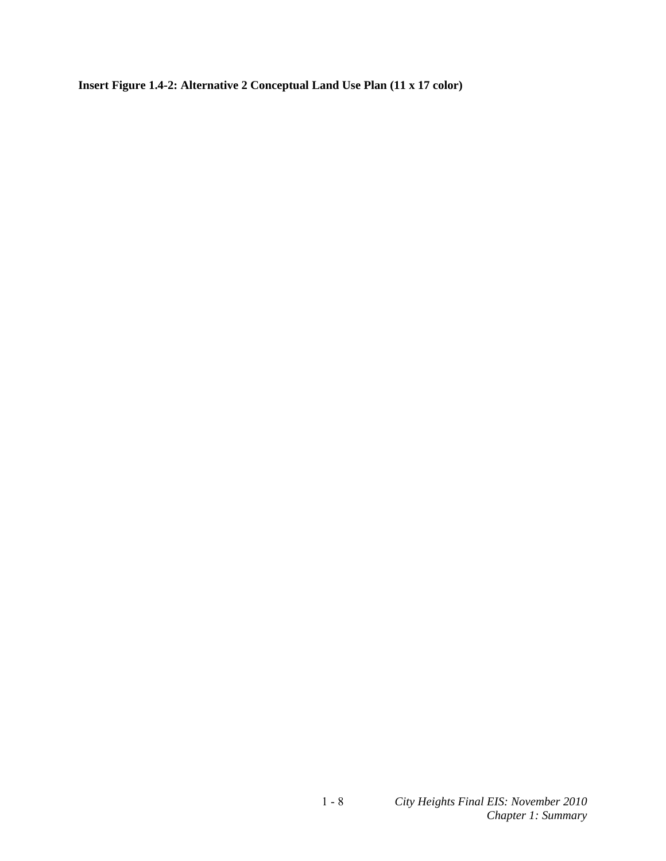**Insert Figure 1.4-2: Alternative 2 Conceptual Land Use Plan (11 x 17 color)**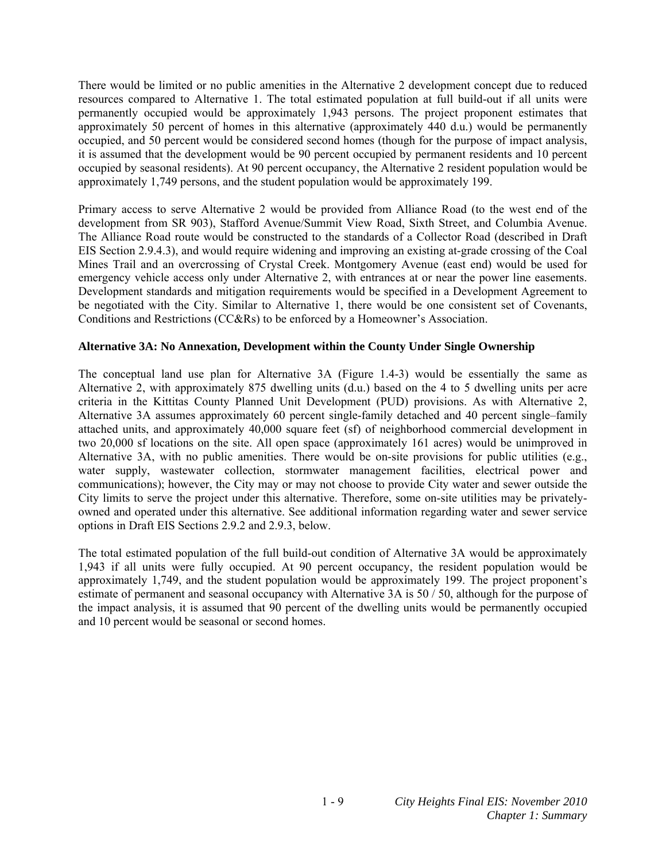There would be limited or no public amenities in the Alternative 2 development concept due to reduced resources compared to Alternative 1. The total estimated population at full build-out if all units were permanently occupied would be approximately 1,943 persons. The project proponent estimates that approximately 50 percent of homes in this alternative (approximately 440 d.u.) would be permanently occupied, and 50 percent would be considered second homes (though for the purpose of impact analysis, it is assumed that the development would be 90 percent occupied by permanent residents and 10 percent occupied by seasonal residents). At 90 percent occupancy, the Alternative 2 resident population would be approximately 1,749 persons, and the student population would be approximately 199.

Primary access to serve Alternative 2 would be provided from Alliance Road (to the west end of the development from SR 903), Stafford Avenue/Summit View Road, Sixth Street, and Columbia Avenue. The Alliance Road route would be constructed to the standards of a Collector Road (described in Draft EIS Section 2.9.4.3), and would require widening and improving an existing at-grade crossing of the Coal Mines Trail and an overcrossing of Crystal Creek. Montgomery Avenue (east end) would be used for emergency vehicle access only under Alternative 2, with entrances at or near the power line easements. Development standards and mitigation requirements would be specified in a Development Agreement to be negotiated with the City. Similar to Alternative 1, there would be one consistent set of Covenants, Conditions and Restrictions (CC&Rs) to be enforced by a Homeowner's Association.

#### **Alternative 3A: No Annexation, Development within the County Under Single Ownership**

The conceptual land use plan for Alternative 3A (Figure 1.4-3) would be essentially the same as Alternative 2, with approximately 875 dwelling units (d.u.) based on the 4 to 5 dwelling units per acre criteria in the Kittitas County Planned Unit Development (PUD) provisions. As with Alternative 2, Alternative 3A assumes approximately 60 percent single-family detached and 40 percent single–family attached units, and approximately 40,000 square feet (sf) of neighborhood commercial development in two 20,000 sf locations on the site. All open space (approximately 161 acres) would be unimproved in Alternative 3A, with no public amenities. There would be on-site provisions for public utilities (e.g., water supply, wastewater collection, stormwater management facilities, electrical power and communications); however, the City may or may not choose to provide City water and sewer outside the City limits to serve the project under this alternative. Therefore, some on-site utilities may be privatelyowned and operated under this alternative. See additional information regarding water and sewer service options in Draft EIS Sections 2.9.2 and 2.9.3, below.

The total estimated population of the full build-out condition of Alternative 3A would be approximately 1,943 if all units were fully occupied. At 90 percent occupancy, the resident population would be approximately 1,749, and the student population would be approximately 199. The project proponent's estimate of permanent and seasonal occupancy with Alternative 3A is 50 / 50, although for the purpose of the impact analysis, it is assumed that 90 percent of the dwelling units would be permanently occupied and 10 percent would be seasonal or second homes.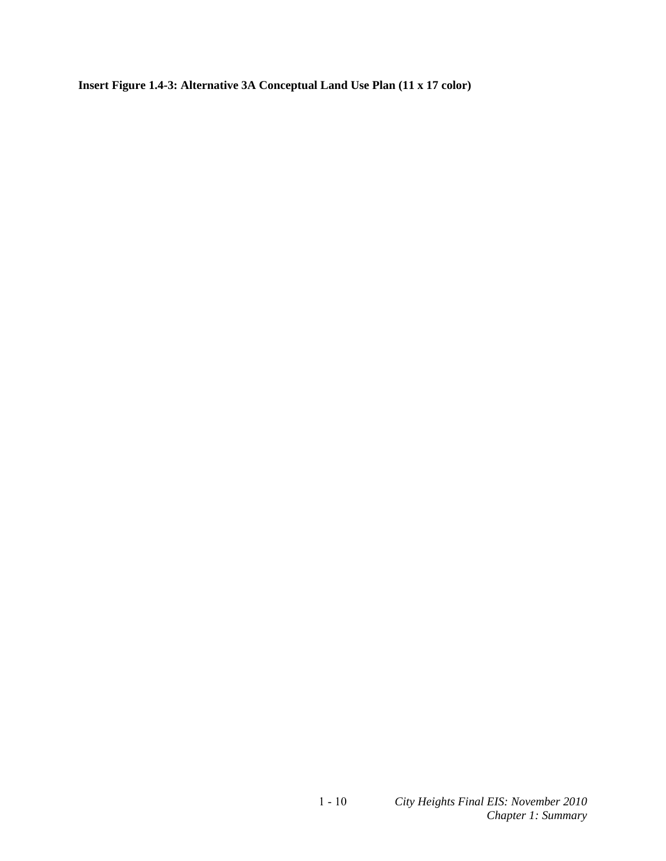**Insert Figure 1.4-3: Alternative 3A Conceptual Land Use Plan (11 x 17 color)**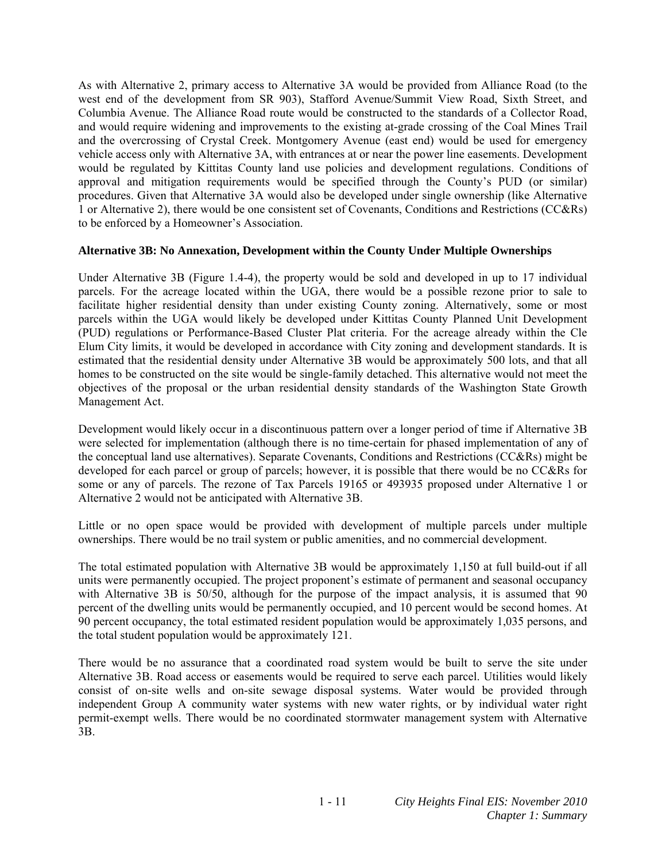As with Alternative 2, primary access to Alternative 3A would be provided from Alliance Road (to the west end of the development from SR 903), Stafford Avenue/Summit View Road, Sixth Street, and Columbia Avenue. The Alliance Road route would be constructed to the standards of a Collector Road, and would require widening and improvements to the existing at-grade crossing of the Coal Mines Trail and the overcrossing of Crystal Creek. Montgomery Avenue (east end) would be used for emergency vehicle access only with Alternative 3A, with entrances at or near the power line easements. Development would be regulated by Kittitas County land use policies and development regulations. Conditions of approval and mitigation requirements would be specified through the County's PUD (or similar) procedures. Given that Alternative 3A would also be developed under single ownership (like Alternative 1 or Alternative 2), there would be one consistent set of Covenants, Conditions and Restrictions (CC&Rs) to be enforced by a Homeowner's Association.

#### **Alternative 3B: No Annexation, Development within the County Under Multiple Ownerships**

Under Alternative 3B (Figure 1.4-4), the property would be sold and developed in up to 17 individual parcels. For the acreage located within the UGA, there would be a possible rezone prior to sale to facilitate higher residential density than under existing County zoning. Alternatively, some or most parcels within the UGA would likely be developed under Kittitas County Planned Unit Development (PUD) regulations or Performance-Based Cluster Plat criteria. For the acreage already within the Cle Elum City limits, it would be developed in accordance with City zoning and development standards. It is estimated that the residential density under Alternative 3B would be approximately 500 lots, and that all homes to be constructed on the site would be single-family detached. This alternative would not meet the objectives of the proposal or the urban residential density standards of the Washington State Growth Management Act.

Development would likely occur in a discontinuous pattern over a longer period of time if Alternative 3B were selected for implementation (although there is no time-certain for phased implementation of any of the conceptual land use alternatives). Separate Covenants, Conditions and Restrictions (CC&Rs) might be developed for each parcel or group of parcels; however, it is possible that there would be no CC&Rs for some or any of parcels. The rezone of Tax Parcels 19165 or 493935 proposed under Alternative 1 or Alternative 2 would not be anticipated with Alternative 3B.

Little or no open space would be provided with development of multiple parcels under multiple ownerships. There would be no trail system or public amenities, and no commercial development.

The total estimated population with Alternative 3B would be approximately 1,150 at full build-out if all units were permanently occupied. The project proponent's estimate of permanent and seasonal occupancy with Alternative 3B is 50/50, although for the purpose of the impact analysis, it is assumed that 90 percent of the dwelling units would be permanently occupied, and 10 percent would be second homes. At 90 percent occupancy, the total estimated resident population would be approximately 1,035 persons, and the total student population would be approximately 121.

There would be no assurance that a coordinated road system would be built to serve the site under Alternative 3B. Road access or easements would be required to serve each parcel. Utilities would likely consist of on-site wells and on-site sewage disposal systems. Water would be provided through independent Group A community water systems with new water rights, or by individual water right permit-exempt wells. There would be no coordinated stormwater management system with Alternative 3B.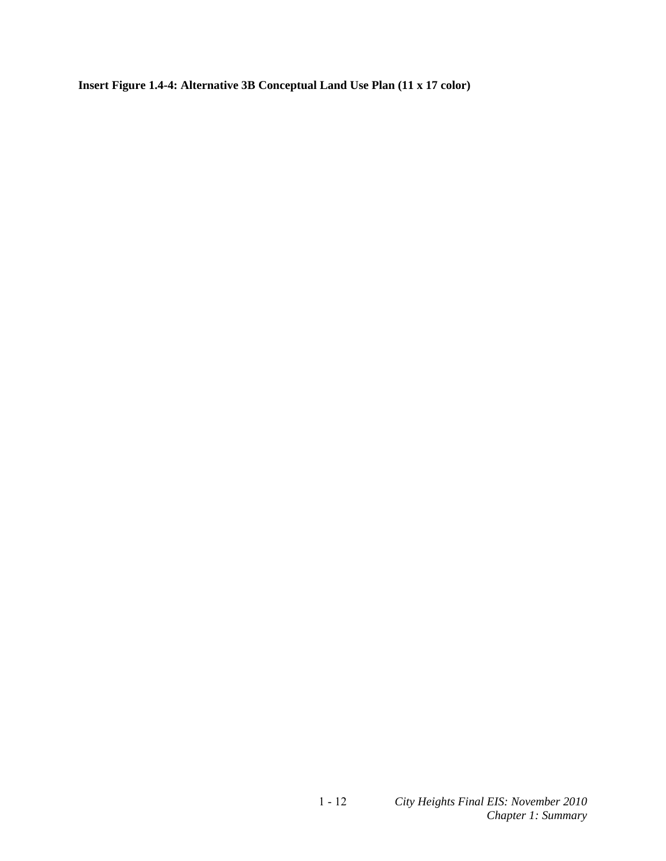**Insert Figure 1.4-4: Alternative 3B Conceptual Land Use Plan (11 x 17 color)**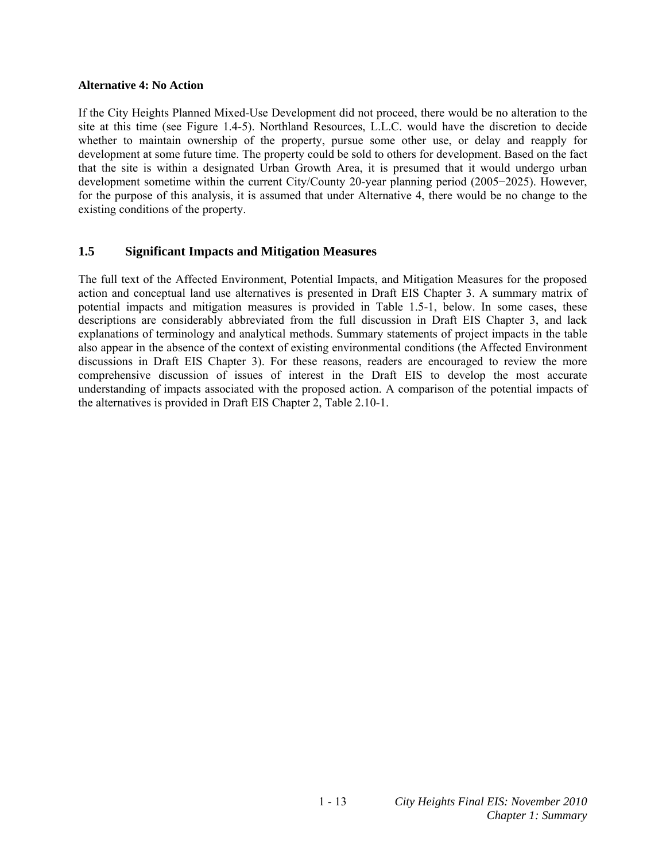#### **Alternative 4: No Action**

If the City Heights Planned Mixed-Use Development did not proceed, there would be no alteration to the site at this time (see Figure 1.4-5). Northland Resources, L.L.C. would have the discretion to decide whether to maintain ownership of the property, pursue some other use, or delay and reapply for development at some future time. The property could be sold to others for development. Based on the fact that the site is within a designated Urban Growth Area, it is presumed that it would undergo urban development sometime within the current City/County 20-year planning period (2005−2025). However, for the purpose of this analysis, it is assumed that under Alternative 4, there would be no change to the existing conditions of the property.

### **1.5 Significant Impacts and Mitigation Measures**

The full text of the Affected Environment, Potential Impacts, and Mitigation Measures for the proposed action and conceptual land use alternatives is presented in Draft EIS Chapter 3. A summary matrix of potential impacts and mitigation measures is provided in Table 1.5-1, below. In some cases, these descriptions are considerably abbreviated from the full discussion in Draft EIS Chapter 3, and lack explanations of terminology and analytical methods. Summary statements of project impacts in the table also appear in the absence of the context of existing environmental conditions (the Affected Environment discussions in Draft EIS Chapter 3). For these reasons, readers are encouraged to review the more comprehensive discussion of issues of interest in the Draft EIS to develop the most accurate understanding of impacts associated with the proposed action. A comparison of the potential impacts of the alternatives is provided in Draft EIS Chapter 2, Table 2.10-1.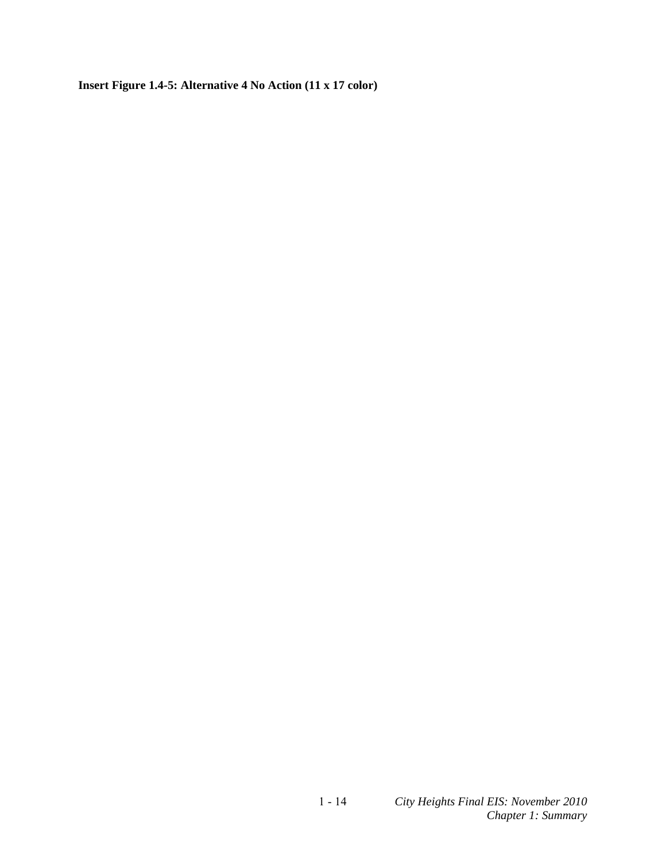**Insert Figure 1.4-5: Alternative 4 No Action (11 x 17 color)**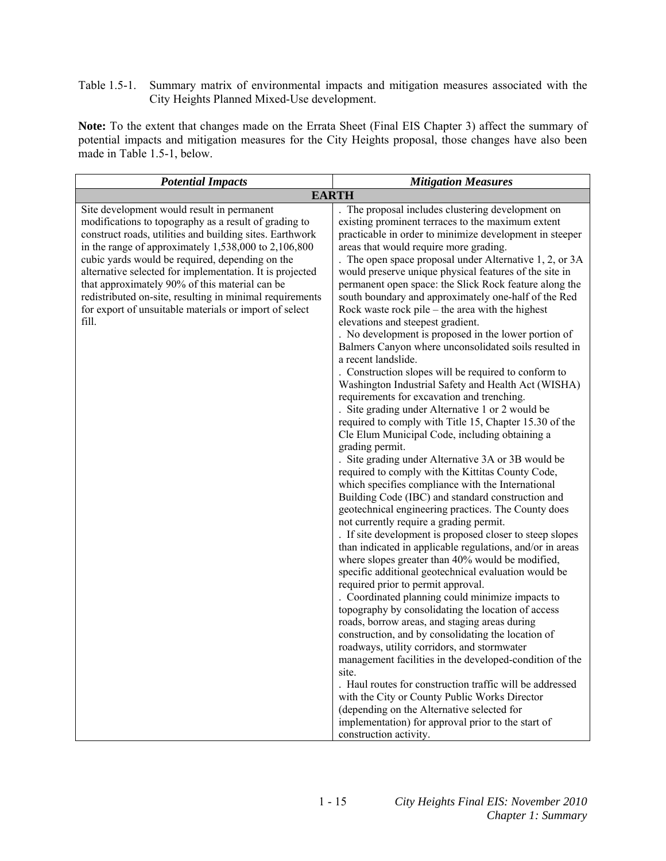Table 1.5-1. Summary matrix of environmental impacts and mitigation measures associated with the City Heights Planned Mixed-Use development.

**Note:** To the extent that changes made on the Errata Sheet (Final EIS Chapter 3) affect the summary of potential impacts and mitigation measures for the City Heights proposal, those changes have also been made in Table 1.5-1, below.

| <b>Potential Impacts</b>                                                                                                                                                                                                                                                                                                                                                                                                                                                                                                    | <b>Mitigation Measures</b>                                                                                                                                                                                                                                                                                                                                                                                                                                                                                                                                                                                                                                                                                                                                                                                                                                                                                                                                                                                                                                                                                                                                                                                                                                                                                                                                                                                                                                                                                                                                                                                                                                                                                                                                                                                                                                                                                                                                                                                                                                                                                                                                                                                       |
|-----------------------------------------------------------------------------------------------------------------------------------------------------------------------------------------------------------------------------------------------------------------------------------------------------------------------------------------------------------------------------------------------------------------------------------------------------------------------------------------------------------------------------|------------------------------------------------------------------------------------------------------------------------------------------------------------------------------------------------------------------------------------------------------------------------------------------------------------------------------------------------------------------------------------------------------------------------------------------------------------------------------------------------------------------------------------------------------------------------------------------------------------------------------------------------------------------------------------------------------------------------------------------------------------------------------------------------------------------------------------------------------------------------------------------------------------------------------------------------------------------------------------------------------------------------------------------------------------------------------------------------------------------------------------------------------------------------------------------------------------------------------------------------------------------------------------------------------------------------------------------------------------------------------------------------------------------------------------------------------------------------------------------------------------------------------------------------------------------------------------------------------------------------------------------------------------------------------------------------------------------------------------------------------------------------------------------------------------------------------------------------------------------------------------------------------------------------------------------------------------------------------------------------------------------------------------------------------------------------------------------------------------------------------------------------------------------------------------------------------------------|
|                                                                                                                                                                                                                                                                                                                                                                                                                                                                                                                             | <b>EARTH</b>                                                                                                                                                                                                                                                                                                                                                                                                                                                                                                                                                                                                                                                                                                                                                                                                                                                                                                                                                                                                                                                                                                                                                                                                                                                                                                                                                                                                                                                                                                                                                                                                                                                                                                                                                                                                                                                                                                                                                                                                                                                                                                                                                                                                     |
| Site development would result in permanent<br>modifications to topography as a result of grading to<br>construct roads, utilities and building sites. Earthwork<br>in the range of approximately $1,538,000$ to $2,106,800$<br>cubic yards would be required, depending on the<br>alternative selected for implementation. It is projected<br>that approximately 90% of this material can be<br>redistributed on-site, resulting in minimal requirements<br>for export of unsuitable materials or import of select<br>fill. | The proposal includes clustering development on<br>existing prominent terraces to the maximum extent<br>practicable in order to minimize development in steeper<br>areas that would require more grading.<br>The open space proposal under Alternative 1, 2, or 3A<br>would preserve unique physical features of the site in<br>permanent open space: the Slick Rock feature along the<br>south boundary and approximately one-half of the Red<br>Rock waste rock pile – the area with the highest<br>elevations and steepest gradient.<br>. No development is proposed in the lower portion of<br>Balmers Canyon where unconsolidated soils resulted in<br>a recent landslide.<br>. Construction slopes will be required to conform to<br>Washington Industrial Safety and Health Act (WISHA)<br>requirements for excavation and trenching.<br>. Site grading under Alternative 1 or 2 would be<br>required to comply with Title 15, Chapter 15.30 of the<br>Cle Elum Municipal Code, including obtaining a<br>grading permit.<br>. Site grading under Alternative 3A or 3B would be<br>required to comply with the Kittitas County Code,<br>which specifies compliance with the International<br>Building Code (IBC) and standard construction and<br>geotechnical engineering practices. The County does<br>not currently require a grading permit.<br>. If site development is proposed closer to steep slopes<br>than indicated in applicable regulations, and/or in areas<br>where slopes greater than 40% would be modified,<br>specific additional geotechnical evaluation would be<br>required prior to permit approval.<br>. Coordinated planning could minimize impacts to<br>topography by consolidating the location of access<br>roads, borrow areas, and staging areas during<br>construction, and by consolidating the location of<br>roadways, utility corridors, and stormwater<br>management facilities in the developed-condition of the<br>site.<br>. Haul routes for construction traffic will be addressed<br>with the City or County Public Works Director<br>(depending on the Alternative selected for<br>implementation) for approval prior to the start of<br>construction activity. |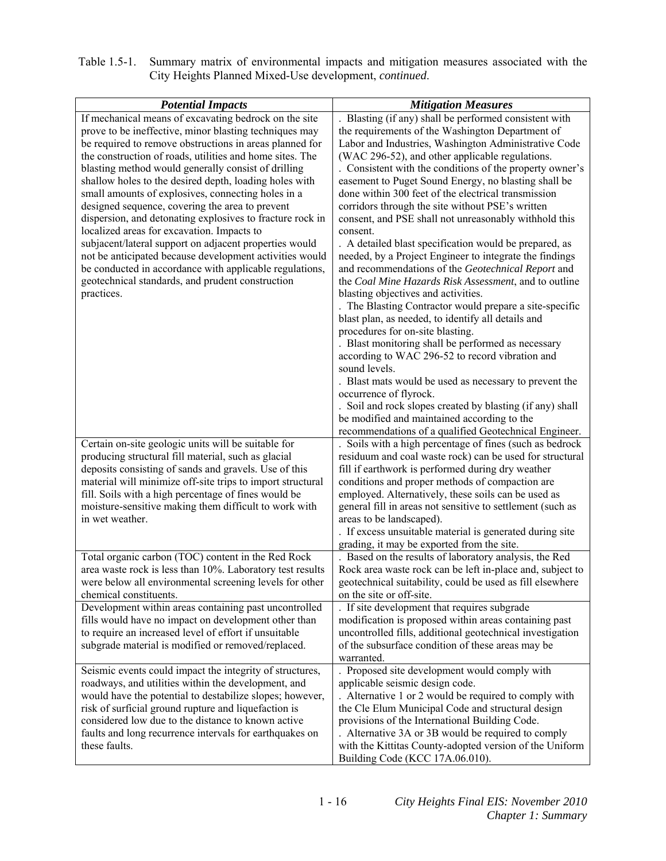| Table 1.5-1. Summary matrix of environmental impacts and mitigation measures associated with the |
|--------------------------------------------------------------------------------------------------|
| City Heights Planned Mixed-Use development, <i>continued</i> .                                   |

| <b>Potential Impacts</b><br>If mechanical means of excavating bedrock on the site<br>prove to be ineffective, minor blasting techniques may<br>be required to remove obstructions in areas planned for<br>the construction of roads, utilities and home sites. The<br>blasting method would generally consist of drilling<br>shallow holes to the desired depth, loading holes with<br>small amounts of explosives, connecting holes in a<br>designed sequence, covering the area to prevent<br>dispersion, and detonating explosives to fracture rock in<br>localized areas for excavation. Impacts to<br>subjacent/lateral support on adjacent properties would<br>not be anticipated because development activities would<br>be conducted in accordance with applicable regulations,<br>geotechnical standards, and prudent construction<br>practices. | <b>Mitigation Measures</b><br>Blasting (if any) shall be performed consistent with<br>the requirements of the Washington Department of<br>Labor and Industries, Washington Administrative Code<br>(WAC 296-52), and other applicable regulations.<br>. Consistent with the conditions of the property owner's<br>easement to Puget Sound Energy, no blasting shall be<br>done within 300 feet of the electrical transmission<br>corridors through the site without PSE's written<br>consent, and PSE shall not unreasonably withhold this<br>consent.<br>. A detailed blast specification would be prepared, as<br>needed, by a Project Engineer to integrate the findings<br>and recommendations of the Geotechnical Report and<br>the Coal Mine Hazards Risk Assessment, and to outline<br>blasting objectives and activities.<br>. The Blasting Contractor would prepare a site-specific<br>blast plan, as needed, to identify all details and<br>procedures for on-site blasting.<br>. Blast monitoring shall be performed as necessary<br>according to WAC 296-52 to record vibration and<br>sound levels.<br>. Blast mats would be used as necessary to prevent the<br>occurrence of flyrock.<br>. Soil and rock slopes created by blasting (if any) shall<br>be modified and maintained according to the |
|-----------------------------------------------------------------------------------------------------------------------------------------------------------------------------------------------------------------------------------------------------------------------------------------------------------------------------------------------------------------------------------------------------------------------------------------------------------------------------------------------------------------------------------------------------------------------------------------------------------------------------------------------------------------------------------------------------------------------------------------------------------------------------------------------------------------------------------------------------------|-----------------------------------------------------------------------------------------------------------------------------------------------------------------------------------------------------------------------------------------------------------------------------------------------------------------------------------------------------------------------------------------------------------------------------------------------------------------------------------------------------------------------------------------------------------------------------------------------------------------------------------------------------------------------------------------------------------------------------------------------------------------------------------------------------------------------------------------------------------------------------------------------------------------------------------------------------------------------------------------------------------------------------------------------------------------------------------------------------------------------------------------------------------------------------------------------------------------------------------------------------------------------------------------------------------------|
| Certain on-site geologic units will be suitable for<br>producing structural fill material, such as glacial<br>deposits consisting of sands and gravels. Use of this<br>material will minimize off-site trips to import structural<br>fill. Soils with a high percentage of fines would be<br>moisture-sensitive making them difficult to work with<br>in wet weather.<br>Total organic carbon (TOC) content in the Red Rock                                                                                                                                                                                                                                                                                                                                                                                                                               | recommendations of a qualified Geotechnical Engineer.<br>. Soils with a high percentage of fines (such as bedrock<br>residuum and coal waste rock) can be used for structural<br>fill if earthwork is performed during dry weather<br>conditions and proper methods of compaction are<br>employed. Alternatively, these soils can be used as<br>general fill in areas not sensitive to settlement (such as<br>areas to be landscaped).<br>. If excess unsuitable material is generated during site<br>grading, it may be exported from the site.<br>. Based on the results of laboratory analysis, the Red                                                                                                                                                                                                                                                                                                                                                                                                                                                                                                                                                                                                                                                                                                      |
| area waste rock is less than 10%. Laboratory test results<br>were below all environmental screening levels for other<br>chemical constituents.<br>Development within areas containing past uncontrolled                                                                                                                                                                                                                                                                                                                                                                                                                                                                                                                                                                                                                                                   | Rock area waste rock can be left in-place and, subject to<br>geotechnical suitability, could be used as fill elsewhere<br>on the site or off-site.<br>If site development that requires subgrade                                                                                                                                                                                                                                                                                                                                                                                                                                                                                                                                                                                                                                                                                                                                                                                                                                                                                                                                                                                                                                                                                                                |
| fills would have no impact on development other than<br>to require an increased level of effort if unsuitable<br>subgrade material is modified or removed/replaced.                                                                                                                                                                                                                                                                                                                                                                                                                                                                                                                                                                                                                                                                                       | modification is proposed within areas containing past<br>uncontrolled fills, additional geotechnical investigation<br>of the subsurface condition of these areas may be<br>warranted.                                                                                                                                                                                                                                                                                                                                                                                                                                                                                                                                                                                                                                                                                                                                                                                                                                                                                                                                                                                                                                                                                                                           |
| Seismic events could impact the integrity of structures,<br>roadways, and utilities within the development, and<br>would have the potential to destabilize slopes; however,<br>risk of surficial ground rupture and liquefaction is<br>considered low due to the distance to known active<br>faults and long recurrence intervals for earthquakes on<br>these faults.                                                                                                                                                                                                                                                                                                                                                                                                                                                                                     | . Proposed site development would comply with<br>applicable seismic design code.<br>. Alternative 1 or 2 would be required to comply with<br>the Cle Elum Municipal Code and structural design<br>provisions of the International Building Code.<br>. Alternative 3A or 3B would be required to comply<br>with the Kittitas County-adopted version of the Uniform<br>Building Code (KCC 17A.06.010).                                                                                                                                                                                                                                                                                                                                                                                                                                                                                                                                                                                                                                                                                                                                                                                                                                                                                                            |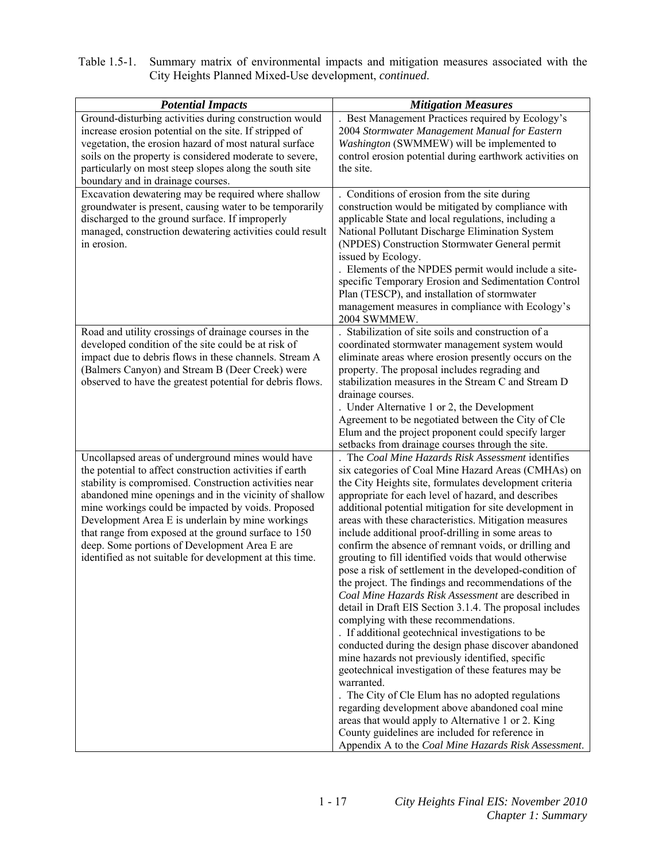| Table 1.5-1. Summary matrix of environmental impacts and mitigation measures associated with the |
|--------------------------------------------------------------------------------------------------|
| City Heights Planned Mixed-Use development, <i>continued</i> .                                   |

| <b>Potential Impacts</b>                                                                                         | <b>Mitigation Measures</b>                                                                           |
|------------------------------------------------------------------------------------------------------------------|------------------------------------------------------------------------------------------------------|
| Ground-disturbing activities during construction would<br>increase erosion potential on the site. If stripped of | Best Management Practices required by Ecology's<br>2004 Stormwater Management Manual for Eastern     |
| vegetation, the erosion hazard of most natural surface                                                           | Washington (SWMMEW) will be implemented to                                                           |
| soils on the property is considered moderate to severe,                                                          | control erosion potential during earthwork activities on                                             |
| particularly on most steep slopes along the south site                                                           | the site.                                                                                            |
| boundary and in drainage courses.                                                                                |                                                                                                      |
| Excavation dewatering may be required where shallow                                                              | Conditions of erosion from the site during                                                           |
| groundwater is present, causing water to be temporarily                                                          | construction would be mitigated by compliance with                                                   |
| discharged to the ground surface. If improperly                                                                  | applicable State and local regulations, including a                                                  |
| managed, construction dewatering activities could result                                                         | National Pollutant Discharge Elimination System                                                      |
| in erosion.                                                                                                      | (NPDES) Construction Stormwater General permit                                                       |
|                                                                                                                  | issued by Ecology.                                                                                   |
|                                                                                                                  | . Elements of the NPDES permit would include a site-                                                 |
|                                                                                                                  | specific Temporary Erosion and Sedimentation Control                                                 |
|                                                                                                                  | Plan (TESCP), and installation of stormwater                                                         |
|                                                                                                                  | management measures in compliance with Ecology's<br>2004 SWMMEW.                                     |
| Road and utility crossings of drainage courses in the                                                            | Stabilization of site soils and construction of a                                                    |
| developed condition of the site could be at risk of                                                              | coordinated stormwater management system would                                                       |
| impact due to debris flows in these channels. Stream A                                                           | eliminate areas where erosion presently occurs on the                                                |
| (Balmers Canyon) and Stream B (Deer Creek) were                                                                  | property. The proposal includes regrading and                                                        |
| observed to have the greatest potential for debris flows.                                                        | stabilization measures in the Stream C and Stream D                                                  |
|                                                                                                                  | drainage courses.                                                                                    |
|                                                                                                                  | . Under Alternative 1 or 2, the Development                                                          |
|                                                                                                                  | Agreement to be negotiated between the City of Cle                                                   |
|                                                                                                                  | Elum and the project proponent could specify larger                                                  |
| Uncollapsed areas of underground mines would have                                                                | setbacks from drainage courses through the site.<br>The Coal Mine Hazards Risk Assessment identifies |
| the potential to affect construction activities if earth                                                         | six categories of Coal Mine Hazard Areas (CMHAs) on                                                  |
| stability is compromised. Construction activities near                                                           | the City Heights site, formulates development criteria                                               |
| abandoned mine openings and in the vicinity of shallow                                                           | appropriate for each level of hazard, and describes                                                  |
| mine workings could be impacted by voids. Proposed                                                               | additional potential mitigation for site development in                                              |
| Development Area E is underlain by mine workings                                                                 | areas with these characteristics. Mitigation measures                                                |
| that range from exposed at the ground surface to 150                                                             | include additional proof-drilling in some areas to                                                   |
| deep. Some portions of Development Area E are                                                                    | confirm the absence of remnant voids, or drilling and                                                |
| identified as not suitable for development at this time.                                                         | grouting to fill identified voids that would otherwise                                               |
|                                                                                                                  | pose a risk of settlement in the developed-condition of                                              |
|                                                                                                                  | the project. The findings and recommendations of the                                                 |
|                                                                                                                  | Coal Mine Hazards Risk Assessment are described in                                                   |
|                                                                                                                  | detail in Draft EIS Section 3.1.4. The proposal includes<br>complying with these recommendations.    |
|                                                                                                                  | . If additional geotechnical investigations to be                                                    |
|                                                                                                                  | conducted during the design phase discover abandoned                                                 |
|                                                                                                                  | mine hazards not previously identified, specific                                                     |
|                                                                                                                  | geotechnical investigation of these features may be                                                  |
|                                                                                                                  | warranted.                                                                                           |
|                                                                                                                  | . The City of Cle Elum has no adopted regulations                                                    |
|                                                                                                                  | regarding development above abandoned coal mine                                                      |
|                                                                                                                  | areas that would apply to Alternative 1 or 2. King                                                   |
|                                                                                                                  | County guidelines are included for reference in                                                      |
|                                                                                                                  | Appendix A to the Coal Mine Hazards Risk Assessment.                                                 |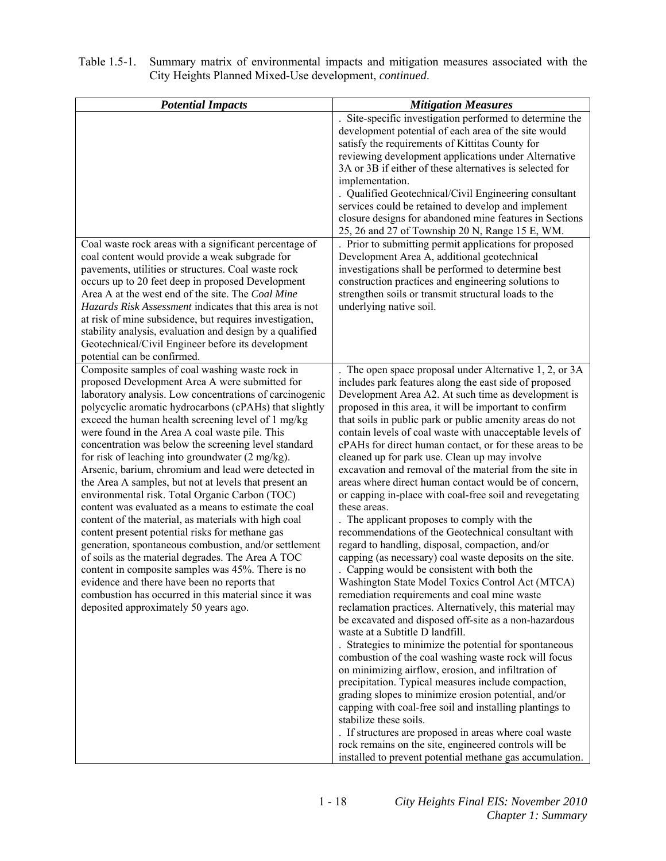| Table 1.5-1. Summary matrix of environmental impacts and mitigation measures associated with the |
|--------------------------------------------------------------------------------------------------|
| City Heights Planned Mixed-Use development, <i>continued</i> .                                   |

| <b>Potential Impacts</b><br>Coal waste rock areas with a significant percentage of<br>coal content would provide a weak subgrade for<br>pavements, utilities or structures. Coal waste rock<br>occurs up to 20 feet deep in proposed Development<br>Area A at the west end of the site. The Coal Mine<br>Hazards Risk Assessment indicates that this area is not<br>at risk of mine subsidence, but requires investigation,<br>stability analysis, evaluation and design by a qualified<br>Geotechnical/Civil Engineer before its development                                                                                                                                                                                                                                                                                                                                                                                                                                                                                                                                                                                        | <b>Mitigation Measures</b><br>Site-specific investigation performed to determine the<br>development potential of each area of the site would<br>satisfy the requirements of Kittitas County for<br>reviewing development applications under Alternative<br>3A or 3B if either of these alternatives is selected for<br>implementation.<br>. Qualified Geotechnical/Civil Engineering consultant<br>services could be retained to develop and implement<br>closure designs for abandoned mine features in Sections<br>25, 26 and 27 of Township 20 N, Range 15 E, WM.<br>. Prior to submitting permit applications for proposed<br>Development Area A, additional geotechnical<br>investigations shall be performed to determine best<br>construction practices and engineering solutions to<br>strengthen soils or transmit structural loads to the<br>underlying native soil.                                                                                                                                                                                                                                                                                                                                                                                                                                                                                                                                                                                                                                                                                                                                                                                                                                                                                 |
|--------------------------------------------------------------------------------------------------------------------------------------------------------------------------------------------------------------------------------------------------------------------------------------------------------------------------------------------------------------------------------------------------------------------------------------------------------------------------------------------------------------------------------------------------------------------------------------------------------------------------------------------------------------------------------------------------------------------------------------------------------------------------------------------------------------------------------------------------------------------------------------------------------------------------------------------------------------------------------------------------------------------------------------------------------------------------------------------------------------------------------------|----------------------------------------------------------------------------------------------------------------------------------------------------------------------------------------------------------------------------------------------------------------------------------------------------------------------------------------------------------------------------------------------------------------------------------------------------------------------------------------------------------------------------------------------------------------------------------------------------------------------------------------------------------------------------------------------------------------------------------------------------------------------------------------------------------------------------------------------------------------------------------------------------------------------------------------------------------------------------------------------------------------------------------------------------------------------------------------------------------------------------------------------------------------------------------------------------------------------------------------------------------------------------------------------------------------------------------------------------------------------------------------------------------------------------------------------------------------------------------------------------------------------------------------------------------------------------------------------------------------------------------------------------------------------------------------------------------------------------------------------------------------|
| potential can be confirmed.<br>Composite samples of coal washing waste rock in<br>proposed Development Area A were submitted for<br>laboratory analysis. Low concentrations of carcinogenic<br>polycyclic aromatic hydrocarbons (cPAHs) that slightly<br>exceed the human health screening level of 1 mg/kg<br>were found in the Area A coal waste pile. This<br>concentration was below the screening level standard<br>for risk of leaching into groundwater (2 mg/kg).<br>Arsenic, barium, chromium and lead were detected in<br>the Area A samples, but not at levels that present an<br>environmental risk. Total Organic Carbon (TOC)<br>content was evaluated as a means to estimate the coal<br>content of the material, as materials with high coal<br>content present potential risks for methane gas<br>generation, spontaneous combustion, and/or settlement<br>of soils as the material degrades. The Area A TOC<br>content in composite samples was 45%. There is no<br>evidence and there have been no reports that<br>combustion has occurred in this material since it was<br>deposited approximately 50 years ago. | The open space proposal under Alternative 1, 2, or 3A<br>includes park features along the east side of proposed<br>Development Area A2. At such time as development is<br>proposed in this area, it will be important to confirm<br>that soils in public park or public amenity areas do not<br>contain levels of coal waste with unacceptable levels of<br>cPAHs for direct human contact, or for these areas to be<br>cleaned up for park use. Clean up may involve<br>excavation and removal of the material from the site in<br>areas where direct human contact would be of concern,<br>or capping in-place with coal-free soil and revegetating<br>these areas.<br>The applicant proposes to comply with the<br>recommendations of the Geotechnical consultant with<br>regard to handling, disposal, compaction, and/or<br>capping (as necessary) coal waste deposits on the site.<br>. Capping would be consistent with both the<br>Washington State Model Toxics Control Act (MTCA)<br>remediation requirements and coal mine waste<br>reclamation practices. Alternatively, this material may<br>be excavated and disposed off-site as a non-hazardous<br>waste at a Subtitle D landfill.<br>. Strategies to minimize the potential for spontaneous<br>combustion of the coal washing waste rock will focus<br>on minimizing airflow, erosion, and infiltration of<br>precipitation. Typical measures include compaction,<br>grading slopes to minimize erosion potential, and/or<br>capping with coal-free soil and installing plantings to<br>stabilize these soils.<br>. If structures are proposed in areas where coal waste<br>rock remains on the site, engineered controls will be<br>installed to prevent potential methane gas accumulation. |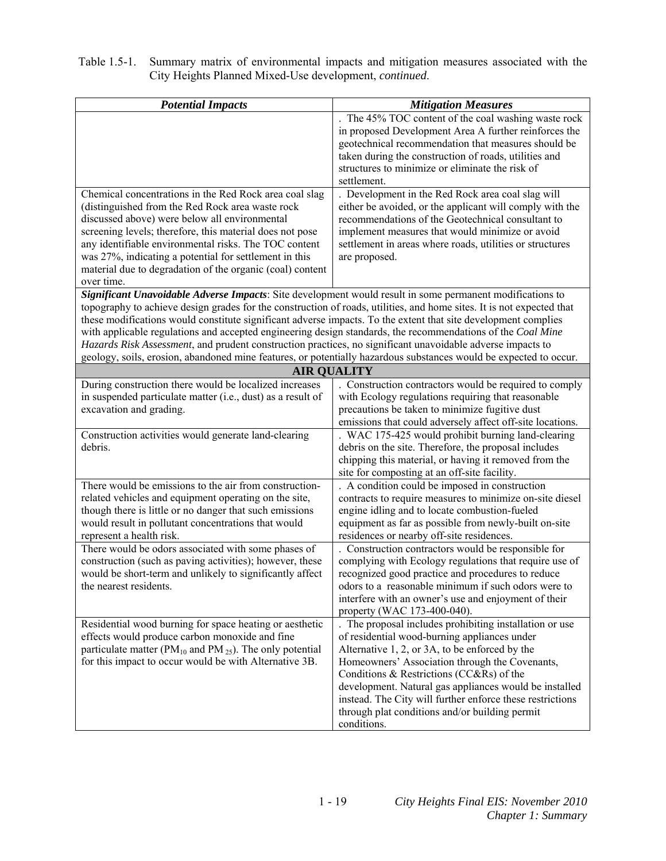| Table 1.5-1. Summary matrix of environmental impacts and mitigation measures associated with the |
|--------------------------------------------------------------------------------------------------|
| City Heights Planned Mixed-Use development, <i>continued</i> .                                   |

| <b>Potential Impacts</b>                                                                                              | <b>Mitigation Measures</b>                                                                                    |
|-----------------------------------------------------------------------------------------------------------------------|---------------------------------------------------------------------------------------------------------------|
|                                                                                                                       | The 45% TOC content of the coal washing waste rock                                                            |
|                                                                                                                       | in proposed Development Area A further reinforces the                                                         |
|                                                                                                                       | geotechnical recommendation that measures should be                                                           |
|                                                                                                                       | taken during the construction of roads, utilities and                                                         |
|                                                                                                                       | structures to minimize or eliminate the risk of                                                               |
|                                                                                                                       | settlement.                                                                                                   |
| Chemical concentrations in the Red Rock area coal slag                                                                | . Development in the Red Rock area coal slag will                                                             |
| (distinguished from the Red Rock area waste rock<br>discussed above) were below all environmental                     | either be avoided, or the applicant will comply with the<br>recommendations of the Geotechnical consultant to |
| screening levels; therefore, this material does not pose                                                              | implement measures that would minimize or avoid                                                               |
| any identifiable environmental risks. The TOC content                                                                 | settlement in areas where roads, utilities or structures                                                      |
| was 27%, indicating a potential for settlement in this                                                                | are proposed.                                                                                                 |
| material due to degradation of the organic (coal) content                                                             |                                                                                                               |
| over time.                                                                                                            |                                                                                                               |
| Significant Unavoidable Adverse Impacts: Site development would result in some permanent modifications to             |                                                                                                               |
| topography to achieve design grades for the construction of roads, utilities, and home sites. It is not expected that |                                                                                                               |
| these modifications would constitute significant adverse impacts. To the extent that site development complies        |                                                                                                               |
| with applicable regulations and accepted engineering design standards, the recommendations of the Coal Mine           |                                                                                                               |
| Hazards Risk Assessment, and prudent construction practices, no significant unavoidable adverse impacts to            |                                                                                                               |
| geology, soils, erosion, abandoned mine features, or potentially hazardous substances would be expected to occur.     |                                                                                                               |
|                                                                                                                       | <b>AIR QUALITY</b>                                                                                            |
| During construction there would be localized increases                                                                | . Construction contractors would be required to comply                                                        |
| in suspended particulate matter (i.e., dust) as a result of<br>excavation and grading.                                | with Ecology regulations requiring that reasonable<br>precautions be taken to minimize fugitive dust          |
|                                                                                                                       | emissions that could adversely affect off-site locations.                                                     |
| Construction activities would generate land-clearing                                                                  | . WAC 175-425 would prohibit burning land-clearing                                                            |
| debris.                                                                                                               | debris on the site. Therefore, the proposal includes                                                          |
|                                                                                                                       | chipping this material, or having it removed from the                                                         |
|                                                                                                                       | site for composting at an off-site facility.                                                                  |
| There would be emissions to the air from construction-                                                                | . A condition could be imposed in construction                                                                |
| related vehicles and equipment operating on the site,                                                                 | contracts to require measures to minimize on-site diesel                                                      |
| though there is little or no danger that such emissions                                                               | engine idling and to locate combustion-fueled                                                                 |
| would result in pollutant concentrations that would                                                                   | equipment as far as possible from newly-built on-site                                                         |
| represent a health risk.                                                                                              | residences or nearby off-site residences.                                                                     |
| There would be odors associated with some phases of                                                                   | . Construction contractors would be responsible for<br>complying with Ecology regulations that require use of |
| construction (such as paving activities); however, these<br>would be short-term and unlikely to significantly affect  | recognized good practice and procedures to reduce                                                             |
| the nearest residents.                                                                                                | odors to a reasonable minimum if such odors were to                                                           |
|                                                                                                                       | interfere with an owner's use and enjoyment of their                                                          |
|                                                                                                                       | property (WAC 173-400-040).                                                                                   |
| Residential wood burning for space heating or aesthetic                                                               | . The proposal includes prohibiting installation or use                                                       |
| effects would produce carbon monoxide and fine                                                                        | of residential wood-burning appliances under                                                                  |
| particulate matter ( $PM_{10}$ and $PM_{25}$ ). The only potential                                                    | Alternative 1, 2, or 3A, to be enforced by the                                                                |
| for this impact to occur would be with Alternative 3B.                                                                | Homeowners' Association through the Covenants,                                                                |
|                                                                                                                       | Conditions & Restrictions ( $CC&RS$ ) of the                                                                  |
|                                                                                                                       | development. Natural gas appliances would be installed                                                        |
|                                                                                                                       | instead. The City will further enforce these restrictions                                                     |
|                                                                                                                       | through plat conditions and/or building permit                                                                |
|                                                                                                                       | conditions.                                                                                                   |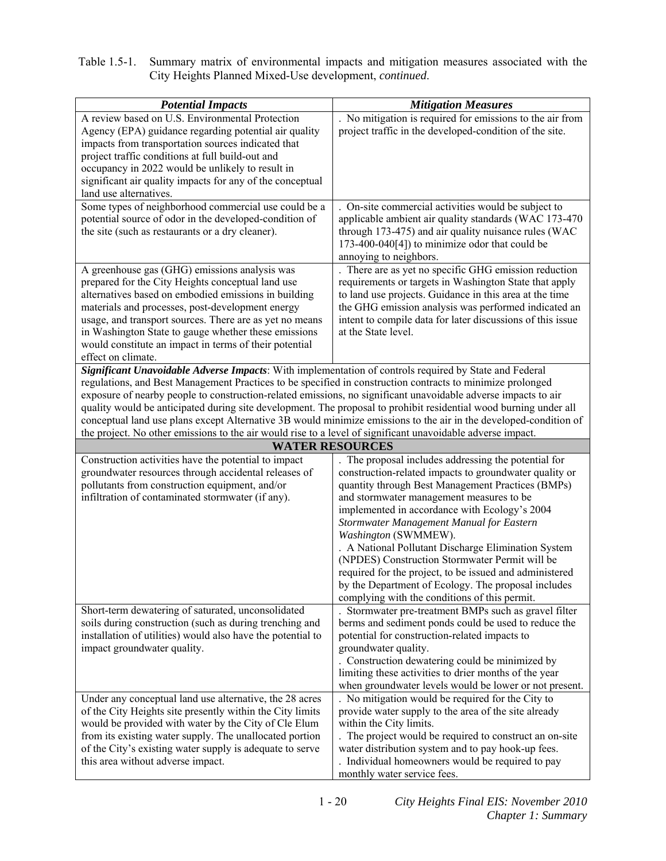Table 1.5-1. Summary matrix of environmental impacts and mitigation measures associated with the City Heights Planned Mixed-Use development, *continued*.

| <b>Potential Impacts</b>                                                                                                     | <b>Mitigation Measures</b>                                                                                        |
|------------------------------------------------------------------------------------------------------------------------------|-------------------------------------------------------------------------------------------------------------------|
| A review based on U.S. Environmental Protection                                                                              | . No mitigation is required for emissions to the air from                                                         |
| Agency (EPA) guidance regarding potential air quality                                                                        | project traffic in the developed-condition of the site.                                                           |
| impacts from transportation sources indicated that                                                                           |                                                                                                                   |
| project traffic conditions at full build-out and                                                                             |                                                                                                                   |
| occupancy in 2022 would be unlikely to result in                                                                             |                                                                                                                   |
| significant air quality impacts for any of the conceptual                                                                    |                                                                                                                   |
| land use alternatives.                                                                                                       |                                                                                                                   |
| Some types of neighborhood commercial use could be a                                                                         | . On-site commercial activities would be subject to<br>applicable ambient air quality standards (WAC 173-470      |
| potential source of odor in the developed-condition of<br>the site (such as restaurants or a dry cleaner).                   | through 173-475) and air quality nuisance rules (WAC                                                              |
|                                                                                                                              | 173-400-040[4]) to minimize odor that could be                                                                    |
|                                                                                                                              | annoying to neighbors.                                                                                            |
| A greenhouse gas (GHG) emissions analysis was                                                                                | There are as yet no specific GHG emission reduction                                                               |
| prepared for the City Heights conceptual land use                                                                            | requirements or targets in Washington State that apply                                                            |
| alternatives based on embodied emissions in building                                                                         | to land use projects. Guidance in this area at the time                                                           |
| materials and processes, post-development energy                                                                             | the GHG emission analysis was performed indicated an                                                              |
| usage, and transport sources. There are as yet no means                                                                      | intent to compile data for later discussions of this issue                                                        |
| in Washington State to gauge whether these emissions                                                                         | at the State level.                                                                                               |
| would constitute an impact in terms of their potential                                                                       |                                                                                                                   |
| effect on climate.<br>Significant Unavoidable Adverse Impacts: With implementation of controls required by State and Federal |                                                                                                                   |
| regulations, and Best Management Practices to be specified in construction contracts to minimize prolonged                   |                                                                                                                   |
| exposure of nearby people to construction-related emissions, no significant unavoidable adverse impacts to air               |                                                                                                                   |
| quality would be anticipated during site development. The proposal to prohibit residential wood burning under all            |                                                                                                                   |
|                                                                                                                              | conceptual land use plans except Alternative 3B would minimize emissions to the air in the developed-condition of |
| the project. No other emissions to the air would rise to a level of significant unavoidable adverse impact.                  |                                                                                                                   |
|                                                                                                                              | <b>WATER RESOURCES</b>                                                                                            |
| Construction activities have the potential to impact                                                                         | The proposal includes addressing the potential for                                                                |
| groundwater resources through accidental releases of                                                                         | construction-related impacts to groundwater quality or                                                            |
| pollutants from construction equipment, and/or<br>infiltration of contaminated stormwater (if any).                          | quantity through Best Management Practices (BMPs)<br>and stormwater management measures to be                     |
|                                                                                                                              | implemented in accordance with Ecology's 2004                                                                     |
|                                                                                                                              | Stormwater Management Manual for Eastern                                                                          |
|                                                                                                                              | Washington (SWMMEW).                                                                                              |
|                                                                                                                              | . A National Pollutant Discharge Elimination System                                                               |
|                                                                                                                              | (NPDES) Construction Stormwater Permit will be                                                                    |
|                                                                                                                              | required for the project, to be issued and administered                                                           |
|                                                                                                                              | by the Department of Ecology. The proposal includes                                                               |
|                                                                                                                              | complying with the conditions of this permit.                                                                     |
| Short-term dewatering of saturated, unconsolidated<br>soils during construction (such as during trenching and                | Stormwater pre-treatment BMPs such as gravel filter<br>berms and sediment ponds could be used to reduce the       |
| installation of utilities) would also have the potential to                                                                  | potential for construction-related impacts to                                                                     |
| impact groundwater quality.                                                                                                  | groundwater quality.                                                                                              |
|                                                                                                                              | . Construction dewatering could be minimized by                                                                   |
|                                                                                                                              | limiting these activities to drier months of the year                                                             |
|                                                                                                                              | when groundwater levels would be lower or not present.                                                            |
| Under any conceptual land use alternative, the 28 acres                                                                      | . No mitigation would be required for the City to                                                                 |
| of the City Heights site presently within the City limits                                                                    | provide water supply to the area of the site already                                                              |
| would be provided with water by the City of Cle Elum                                                                         | within the City limits.                                                                                           |
| from its existing water supply. The unallocated portion                                                                      | The project would be required to construct an on-site                                                             |
| of the City's existing water supply is adequate to serve                                                                     | water distribution system and to pay hook-up fees.                                                                |
| this area without adverse impact.                                                                                            | . Individual homeowners would be required to pay<br>monthly water service fees.                                   |
|                                                                                                                              |                                                                                                                   |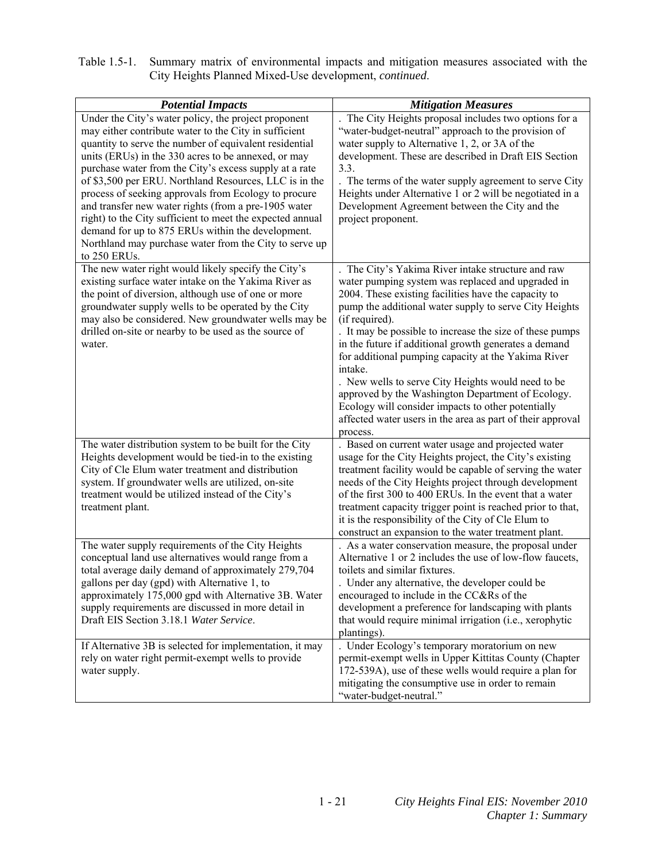| Table 1.5-1. Summary matrix of environmental impacts and mitigation measures associated with the |
|--------------------------------------------------------------------------------------------------|
| City Heights Planned Mixed-Use development, <i>continued</i> .                                   |

| <b>Potential Impacts</b>                                                                                                                                                                                                                                                                                                                                                                                                                                                                                                                                                                                                                                       | <b>Mitigation Measures</b>                                                                                                                                                                                                                                                                                                                                                                                                                                                                                                                                                                                                                                                  |
|----------------------------------------------------------------------------------------------------------------------------------------------------------------------------------------------------------------------------------------------------------------------------------------------------------------------------------------------------------------------------------------------------------------------------------------------------------------------------------------------------------------------------------------------------------------------------------------------------------------------------------------------------------------|-----------------------------------------------------------------------------------------------------------------------------------------------------------------------------------------------------------------------------------------------------------------------------------------------------------------------------------------------------------------------------------------------------------------------------------------------------------------------------------------------------------------------------------------------------------------------------------------------------------------------------------------------------------------------------|
| Under the City's water policy, the project proponent<br>may either contribute water to the City in sufficient<br>quantity to serve the number of equivalent residential<br>units (ERUs) in the 330 acres to be annexed, or may<br>purchase water from the City's excess supply at a rate<br>of \$3,500 per ERU. Northland Resources, LLC is in the<br>process of seeking approvals from Ecology to procure<br>and transfer new water rights (from a pre-1905 water<br>right) to the City sufficient to meet the expected annual<br>demand for up to 875 ERUs within the development.<br>Northland may purchase water from the City to serve up<br>to 250 ERUs. | The City Heights proposal includes two options for a<br>"water-budget-neutral" approach to the provision of<br>water supply to Alternative 1, 2, or 3A of the<br>development. These are described in Draft EIS Section<br>3.3.<br>. The terms of the water supply agreement to serve City<br>Heights under Alternative 1 or 2 will be negotiated in a<br>Development Agreement between the City and the<br>project proponent.                                                                                                                                                                                                                                               |
| The new water right would likely specify the City's<br>existing surface water intake on the Yakima River as<br>the point of diversion, although use of one or more<br>groundwater supply wells to be operated by the City<br>may also be considered. New groundwater wells may be<br>drilled on-site or nearby to be used as the source of<br>water.                                                                                                                                                                                                                                                                                                           | The City's Yakima River intake structure and raw<br>water pumping system was replaced and upgraded in<br>2004. These existing facilities have the capacity to<br>pump the additional water supply to serve City Heights<br>(if required).<br>. It may be possible to increase the size of these pumps<br>in the future if additional growth generates a demand<br>for additional pumping capacity at the Yakima River<br>intake.<br>. New wells to serve City Heights would need to be<br>approved by the Washington Department of Ecology.<br>Ecology will consider impacts to other potentially<br>affected water users in the area as part of their approval<br>process. |
| The water distribution system to be built for the City<br>Heights development would be tied-in to the existing<br>City of Cle Elum water treatment and distribution<br>system. If groundwater wells are utilized, on-site<br>treatment would be utilized instead of the City's<br>treatment plant.                                                                                                                                                                                                                                                                                                                                                             | Based on current water usage and projected water<br>usage for the City Heights project, the City's existing<br>treatment facility would be capable of serving the water<br>needs of the City Heights project through development<br>of the first 300 to 400 ERUs. In the event that a water<br>treatment capacity trigger point is reached prior to that,<br>it is the responsibility of the City of Cle Elum to<br>construct an expansion to the water treatment plant.                                                                                                                                                                                                    |
| The water supply requirements of the City Heights<br>conceptual land use alternatives would range from a<br>total average daily demand of approximately 279,704<br>gallons per day (gpd) with Alternative 1, to<br>approximately 175,000 gpd with Alternative 3B. Water<br>supply requirements are discussed in more detail in<br>Draft EIS Section 3.18.1 Water Service.                                                                                                                                                                                                                                                                                      | . As a water conservation measure, the proposal under<br>Alternative 1 or 2 includes the use of low-flow faucets,<br>toilets and similar fixtures.<br>Under any alternative, the developer could be<br>encouraged to include in the CC&Rs of the<br>development a preference for landscaping with plants<br>that would require minimal irrigation (i.e., xerophytic<br>plantings).                                                                                                                                                                                                                                                                                          |
| If Alternative 3B is selected for implementation, it may<br>rely on water right permit-exempt wells to provide<br>water supply.                                                                                                                                                                                                                                                                                                                                                                                                                                                                                                                                | . Under Ecology's temporary moratorium on new<br>permit-exempt wells in Upper Kittitas County (Chapter<br>172-539A), use of these wells would require a plan for<br>mitigating the consumptive use in order to remain<br>"water-budget-neutral."                                                                                                                                                                                                                                                                                                                                                                                                                            |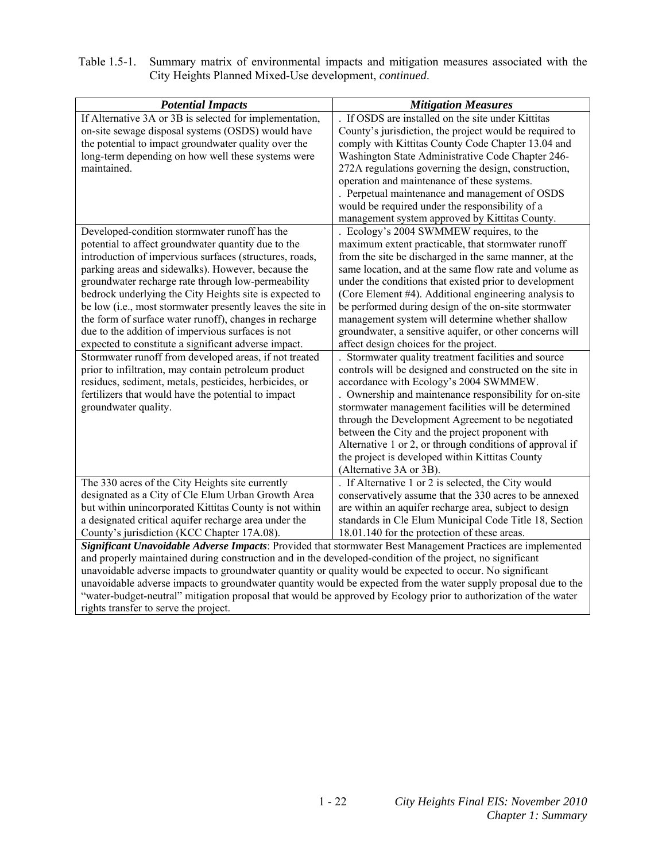| Table 1.5-1. Summary matrix of environmental impacts and mitigation measures associated with the |
|--------------------------------------------------------------------------------------------------|
| City Heights Planned Mixed-Use development, <i>continued</i> .                                   |

| <b>Potential Impacts</b>                                                                                         | <b>Mitigation Measures</b>                               |
|------------------------------------------------------------------------------------------------------------------|----------------------------------------------------------|
| If Alternative 3A or 3B is selected for implementation,                                                          | If OSDS are installed on the site under Kittitas         |
| on-site sewage disposal systems (OSDS) would have                                                                | County's jurisdiction, the project would be required to  |
| the potential to impact groundwater quality over the                                                             | comply with Kittitas County Code Chapter 13.04 and       |
| long-term depending on how well these systems were                                                               | Washington State Administrative Code Chapter 246-        |
| maintained.                                                                                                      | 272A regulations governing the design, construction,     |
|                                                                                                                  | operation and maintenance of these systems.              |
|                                                                                                                  | . Perpetual maintenance and management of OSDS           |
|                                                                                                                  | would be required under the responsibility of a          |
|                                                                                                                  | management system approved by Kittitas County.           |
| Developed-condition stormwater runoff has the                                                                    | Ecology's 2004 SWMMEW requires, to the                   |
| potential to affect groundwater quantity due to the                                                              | maximum extent practicable, that stormwater runoff       |
| introduction of impervious surfaces (structures, roads,                                                          | from the site be discharged in the same manner, at the   |
| parking areas and sidewalks). However, because the                                                               | same location, and at the same flow rate and volume as   |
| groundwater recharge rate through low-permeability                                                               | under the conditions that existed prior to development   |
| bedrock underlying the City Heights site is expected to                                                          | (Core Element #4). Additional engineering analysis to    |
| be low (i.e., most stormwater presently leaves the site in                                                       | be performed during design of the on-site stormwater     |
| the form of surface water runoff), changes in recharge                                                           | management system will determine whether shallow         |
| due to the addition of impervious surfaces is not                                                                | groundwater, a sensitive aquifer, or other concerns will |
| expected to constitute a significant adverse impact.                                                             | affect design choices for the project.                   |
| Stormwater runoff from developed areas, if not treated                                                           | Stormwater quality treatment facilities and source       |
| prior to infiltration, may contain petroleum product                                                             | controls will be designed and constructed on the site in |
| residues, sediment, metals, pesticides, herbicides, or                                                           | accordance with Ecology's 2004 SWMMEW.                   |
| fertilizers that would have the potential to impact                                                              | . Ownership and maintenance responsibility for on-site   |
| groundwater quality.                                                                                             | stormwater management facilities will be determined      |
|                                                                                                                  | through the Development Agreement to be negotiated       |
|                                                                                                                  | between the City and the project proponent with          |
|                                                                                                                  | Alternative 1 or 2, or through conditions of approval if |
|                                                                                                                  | the project is developed within Kittitas County          |
|                                                                                                                  | (Alternative 3A or 3B)                                   |
| The 330 acres of the City Heights site currently                                                                 | If Alternative 1 or 2 is selected, the City would        |
| designated as a City of Cle Elum Urban Growth Area                                                               | conservatively assume that the 330 acres to be annexed   |
| but within unincorporated Kittitas County is not within                                                          | are within an aquifer recharge area, subject to design   |
| a designated critical aquifer recharge area under the                                                            | standards in Cle Elum Municipal Code Title 18, Section   |
| County's jurisdiction (KCC Chapter 17A.08).                                                                      | 18.01.140 for the protection of these areas.             |
| Significant Unavoidable Adverse Impacts: Provided that stormwater Best Management Practices are implemented      |                                                          |
| and properly maintained during construction and in the developed-condition of the project, no significant        |                                                          |
| unavoidable adverse impacts to groundwater quantity or quality would be expected to occur. No significant        |                                                          |
| unavoidable adverse impacts to groundwater quantity would be expected from the water supply proposal due to the  |                                                          |
| "water-budget-neutral" mitigation proposal that would be approved by Ecology prior to authorization of the water |                                                          |
| rights transfer to serve the project.                                                                            |                                                          |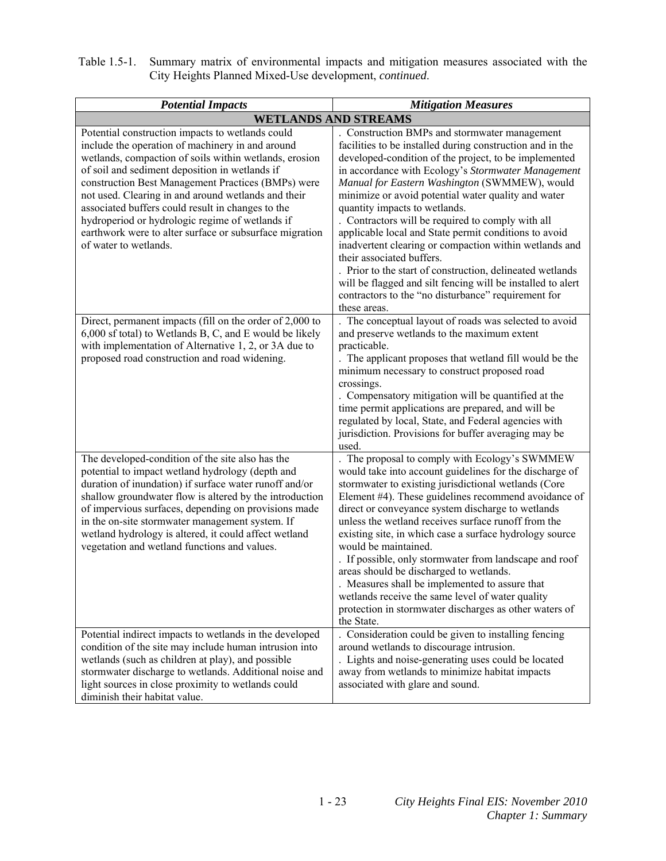| Table 1.5-1. Summary matrix of environmental impacts and mitigation measures associated with the |
|--------------------------------------------------------------------------------------------------|
| City Heights Planned Mixed-Use development, <i>continued</i> .                                   |

| <b>Potential Impacts</b>                                                                                                                                                                                                                                                                                                                                                                                                                                                                                                  | <b>Mitigation Measures</b>                                                                                                                                                                                                                                                                                                                                                                                                                                                                                                                                                                                                                                                                                                                                                 |
|---------------------------------------------------------------------------------------------------------------------------------------------------------------------------------------------------------------------------------------------------------------------------------------------------------------------------------------------------------------------------------------------------------------------------------------------------------------------------------------------------------------------------|----------------------------------------------------------------------------------------------------------------------------------------------------------------------------------------------------------------------------------------------------------------------------------------------------------------------------------------------------------------------------------------------------------------------------------------------------------------------------------------------------------------------------------------------------------------------------------------------------------------------------------------------------------------------------------------------------------------------------------------------------------------------------|
|                                                                                                                                                                                                                                                                                                                                                                                                                                                                                                                           | <b>WETLANDS AND STREAMS</b>                                                                                                                                                                                                                                                                                                                                                                                                                                                                                                                                                                                                                                                                                                                                                |
| Potential construction impacts to wetlands could<br>include the operation of machinery in and around<br>wetlands, compaction of soils within wetlands, erosion<br>of soil and sediment deposition in wetlands if<br>construction Best Management Practices (BMPs) were<br>not used. Clearing in and around wetlands and their<br>associated buffers could result in changes to the<br>hydroperiod or hydrologic regime of wetlands if<br>earthwork were to alter surface or subsurface migration<br>of water to wetlands. | . Construction BMPs and stormwater management<br>facilities to be installed during construction and in the<br>developed-condition of the project, to be implemented<br>in accordance with Ecology's Stormwater Management<br>Manual for Eastern Washington (SWMMEW), would<br>minimize or avoid potential water quality and water<br>quantity impacts to wetlands.<br>. Contractors will be required to comply with all<br>applicable local and State permit conditions to avoid<br>inadvertent clearing or compaction within wetlands and<br>their associated buffers.<br>. Prior to the start of construction, delineated wetlands<br>will be flagged and silt fencing will be installed to alert<br>contractors to the "no disturbance" requirement for<br>these areas. |
| Direct, permanent impacts (fill on the order of 2,000 to<br>6,000 sf total) to Wetlands B, C, and E would be likely<br>with implementation of Alternative 1, 2, or 3A due to<br>proposed road construction and road widening.                                                                                                                                                                                                                                                                                             | . The conceptual layout of roads was selected to avoid<br>and preserve wetlands to the maximum extent<br>practicable.<br>The applicant proposes that wetland fill would be the<br>minimum necessary to construct proposed road<br>crossings.<br>. Compensatory mitigation will be quantified at the<br>time permit applications are prepared, and will be<br>regulated by local, State, and Federal agencies with<br>jurisdiction. Provisions for buffer averaging may be<br>used.                                                                                                                                                                                                                                                                                         |
| The developed-condition of the site also has the<br>potential to impact wetland hydrology (depth and<br>duration of inundation) if surface water runoff and/or<br>shallow groundwater flow is altered by the introduction<br>of impervious surfaces, depending on provisions made<br>in the on-site stormwater management system. If<br>wetland hydrology is altered, it could affect wetland<br>vegetation and wetland functions and values.                                                                             | The proposal to comply with Ecology's SWMMEW<br>would take into account guidelines for the discharge of<br>stormwater to existing jurisdictional wetlands (Core<br>Element #4). These guidelines recommend avoidance of<br>direct or conveyance system discharge to wetlands<br>unless the wetland receives surface runoff from the<br>existing site, in which case a surface hydrology source<br>would be maintained.<br>. If possible, only stormwater from landscape and roof<br>areas should be discharged to wetlands.<br>. Measures shall be implemented to assure that<br>wetlands receive the same level of water quality<br>protection in stormwater discharges as other waters of<br>the State.                                                                  |
| Potential indirect impacts to wetlands in the developed<br>condition of the site may include human intrusion into<br>wetlands (such as children at play), and possible<br>stormwater discharge to wetlands. Additional noise and<br>light sources in close proximity to wetlands could<br>diminish their habitat value.                                                                                                                                                                                                   | . Consideration could be given to installing fencing<br>around wetlands to discourage intrusion.<br>. Lights and noise-generating uses could be located<br>away from wetlands to minimize habitat impacts<br>associated with glare and sound.                                                                                                                                                                                                                                                                                                                                                                                                                                                                                                                              |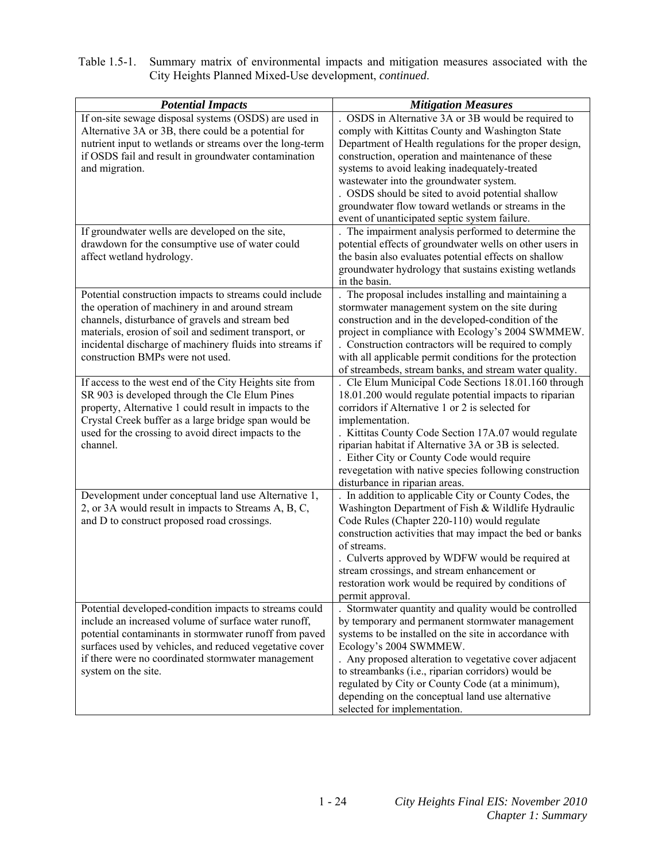| Table 1.5-1. Summary matrix of environmental impacts and mitigation measures associated with the |
|--------------------------------------------------------------------------------------------------|
| City Heights Planned Mixed-Use development, <i>continued</i> .                                   |

| <b>Potential Impacts</b>                                 | <b>Mitigation Measures</b>                               |
|----------------------------------------------------------|----------------------------------------------------------|
| If on-site sewage disposal systems (OSDS) are used in    | . OSDS in Alternative 3A or 3B would be required to      |
| Alternative 3A or 3B, there could be a potential for     | comply with Kittitas County and Washington State         |
| nutrient input to wetlands or streams over the long-term | Department of Health regulations for the proper design,  |
| if OSDS fail and result in groundwater contamination     | construction, operation and maintenance of these         |
| and migration.                                           | systems to avoid leaking inadequately-treated            |
|                                                          | wastewater into the groundwater system.                  |
|                                                          | . OSDS should be sited to avoid potential shallow        |
|                                                          | groundwater flow toward wetlands or streams in the       |
|                                                          | event of unanticipated septic system failure.            |
| If groundwater wells are developed on the site,          | The impairment analysis performed to determine the       |
| drawdown for the consumptive use of water could          | potential effects of groundwater wells on other users in |
| affect wetland hydrology.                                | the basin also evaluates potential effects on shallow    |
|                                                          | groundwater hydrology that sustains existing wetlands    |
|                                                          | in the basin.                                            |
| Potential construction impacts to streams could include  | . The proposal includes installing and maintaining a     |
| the operation of machinery in and around stream          | stormwater management system on the site during          |
| channels, disturbance of gravels and stream bed          | construction and in the developed-condition of the       |
| materials, erosion of soil and sediment transport, or    | project in compliance with Ecology's 2004 SWMMEW.        |
| incidental discharge of machinery fluids into streams if | . Construction contractors will be required to comply    |
| construction BMPs were not used.                         | with all applicable permit conditions for the protection |
|                                                          | of streambeds, stream banks, and stream water quality.   |
| If access to the west end of the City Heights site from  | . Cle Elum Municipal Code Sections 18.01.160 through     |
| SR 903 is developed through the Cle Elum Pines           | 18.01.200 would regulate potential impacts to riparian   |
| property, Alternative 1 could result in impacts to the   | corridors if Alternative 1 or 2 is selected for          |
| Crystal Creek buffer as a large bridge span would be     | implementation.                                          |
| used for the crossing to avoid direct impacts to the     | . Kittitas County Code Section 17A.07 would regulate     |
| channel.                                                 | riparian habitat if Alternative 3A or 3B is selected.    |
|                                                          | . Either City or County Code would require               |
|                                                          | revegetation with native species following construction  |
|                                                          | disturbance in riparian areas.                           |
| Development under conceptual land use Alternative 1,     | In addition to applicable City or County Codes, the      |
| 2, or 3A would result in impacts to Streams A, B, C,     | Washington Department of Fish & Wildlife Hydraulic       |
| and D to construct proposed road crossings.              | Code Rules (Chapter 220-110) would regulate              |
|                                                          | construction activities that may impact the bed or banks |
|                                                          | of streams.                                              |
|                                                          | . Culverts approved by WDFW would be required at         |
|                                                          | stream crossings, and stream enhancement or              |
|                                                          | restoration work would be required by conditions of      |
|                                                          | permit approval.                                         |
| Potential developed-condition impacts to streams could   | . Stormwater quantity and quality would be controlled    |
| include an increased volume of surface water runoff,     | by temporary and permanent stormwater management         |
| potential contaminants in stormwater runoff from paved   | systems to be installed on the site in accordance with   |
| surfaces used by vehicles, and reduced vegetative cover  | Ecology's 2004 SWMMEW.                                   |
| if there were no coordinated stormwater management       | . Any proposed alteration to vegetative cover adjacent   |
| system on the site.                                      | to streambanks (i.e., riparian corridors) would be       |
|                                                          | regulated by City or County Code (at a minimum),         |
|                                                          | depending on the conceptual land use alternative         |
|                                                          | selected for implementation.                             |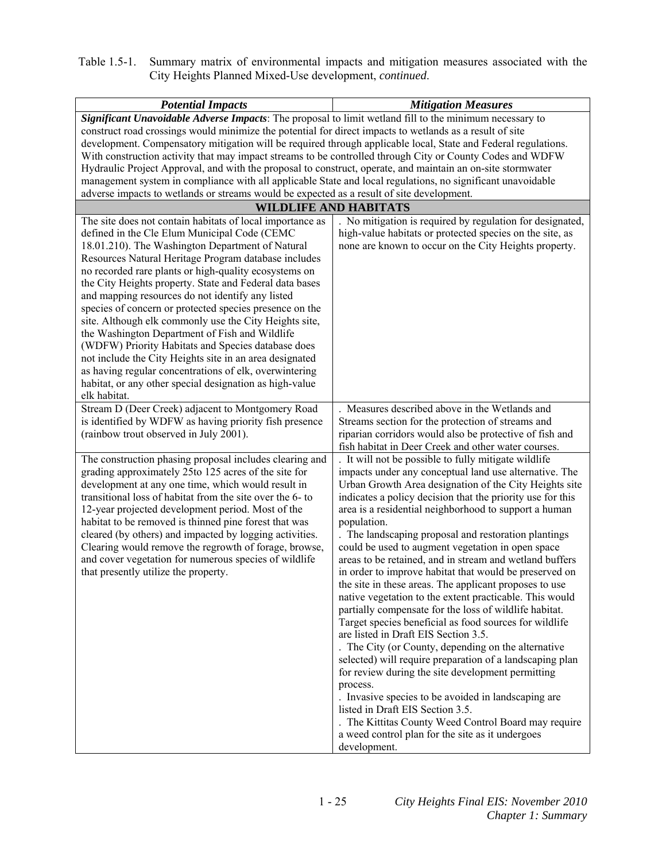Table 1.5-1. Summary matrix of environmental impacts and mitigation measures associated with the City Heights Planned Mixed-Use development, *continued*.

| <b>Potential Impacts</b>                                                                                                                                                                                                                                                                                                                                                                                                                                                                                                                                                                                                                                                                                                                                      | <b>Mitigation Measures</b>                                                                                                                                                                                                                                                                                                                                                                                                                                                                                                                                                                                                                                                                                                                                                                                                                                                                                                                                                                                                                                                                                                                                           |
|---------------------------------------------------------------------------------------------------------------------------------------------------------------------------------------------------------------------------------------------------------------------------------------------------------------------------------------------------------------------------------------------------------------------------------------------------------------------------------------------------------------------------------------------------------------------------------------------------------------------------------------------------------------------------------------------------------------------------------------------------------------|----------------------------------------------------------------------------------------------------------------------------------------------------------------------------------------------------------------------------------------------------------------------------------------------------------------------------------------------------------------------------------------------------------------------------------------------------------------------------------------------------------------------------------------------------------------------------------------------------------------------------------------------------------------------------------------------------------------------------------------------------------------------------------------------------------------------------------------------------------------------------------------------------------------------------------------------------------------------------------------------------------------------------------------------------------------------------------------------------------------------------------------------------------------------|
| Significant Unavoidable Adverse Impacts: The proposal to limit wetland fill to the minimum necessary to                                                                                                                                                                                                                                                                                                                                                                                                                                                                                                                                                                                                                                                       |                                                                                                                                                                                                                                                                                                                                                                                                                                                                                                                                                                                                                                                                                                                                                                                                                                                                                                                                                                                                                                                                                                                                                                      |
| construct road crossings would minimize the potential for direct impacts to wetlands as a result of site<br>development. Compensatory mitigation will be required through applicable local, State and Federal regulations.<br>With construction activity that may impact streams to be controlled through City or County Codes and WDFW<br>Hydraulic Project Approval, and with the proposal to construct, operate, and maintain an on-site stormwater<br>management system in compliance with all applicable State and local regulations, no significant unavoidable<br>adverse impacts to wetlands or streams would be expected as a result of site development.                                                                                            |                                                                                                                                                                                                                                                                                                                                                                                                                                                                                                                                                                                                                                                                                                                                                                                                                                                                                                                                                                                                                                                                                                                                                                      |
|                                                                                                                                                                                                                                                                                                                                                                                                                                                                                                                                                                                                                                                                                                                                                               |                                                                                                                                                                                                                                                                                                                                                                                                                                                                                                                                                                                                                                                                                                                                                                                                                                                                                                                                                                                                                                                                                                                                                                      |
| <b>WILDLIFE AND HABITATS</b><br>The site does not contain habitats of local importance as<br>No mitigation is required by regulation for designated,                                                                                                                                                                                                                                                                                                                                                                                                                                                                                                                                                                                                          |                                                                                                                                                                                                                                                                                                                                                                                                                                                                                                                                                                                                                                                                                                                                                                                                                                                                                                                                                                                                                                                                                                                                                                      |
| defined in the Cle Elum Municipal Code (CEMC<br>18.01.210). The Washington Department of Natural<br>Resources Natural Heritage Program database includes<br>no recorded rare plants or high-quality ecosystems on<br>the City Heights property. State and Federal data bases<br>and mapping resources do not identify any listed<br>species of concern or protected species presence on the<br>site. Although elk commonly use the City Heights site,<br>the Washington Department of Fish and Wildlife<br>(WDFW) Priority Habitats and Species database does<br>not include the City Heights site in an area designated<br>as having regular concentrations of elk, overwintering<br>habitat, or any other special designation as high-value<br>elk habitat. | high-value habitats or protected species on the site, as<br>none are known to occur on the City Heights property.                                                                                                                                                                                                                                                                                                                                                                                                                                                                                                                                                                                                                                                                                                                                                                                                                                                                                                                                                                                                                                                    |
| Stream D (Deer Creek) adjacent to Montgomery Road                                                                                                                                                                                                                                                                                                                                                                                                                                                                                                                                                                                                                                                                                                             | Measures described above in the Wetlands and                                                                                                                                                                                                                                                                                                                                                                                                                                                                                                                                                                                                                                                                                                                                                                                                                                                                                                                                                                                                                                                                                                                         |
| is identified by WDFW as having priority fish presence<br>(rainbow trout observed in July 2001).                                                                                                                                                                                                                                                                                                                                                                                                                                                                                                                                                                                                                                                              | Streams section for the protection of streams and<br>riparian corridors would also be protective of fish and<br>fish habitat in Deer Creek and other water courses.                                                                                                                                                                                                                                                                                                                                                                                                                                                                                                                                                                                                                                                                                                                                                                                                                                                                                                                                                                                                  |
| The construction phasing proposal includes clearing and<br>grading approximately 25to 125 acres of the site for<br>development at any one time, which would result in<br>transitional loss of habitat from the site over the 6- to<br>12-year projected development period. Most of the<br>habitat to be removed is thinned pine forest that was<br>cleared (by others) and impacted by logging activities.<br>Clearing would remove the regrowth of forage, browse,<br>and cover vegetation for numerous species of wildlife<br>that presently utilize the property.                                                                                                                                                                                         | It will not be possible to fully mitigate wildlife<br>impacts under any conceptual land use alternative. The<br>Urban Growth Area designation of the City Heights site<br>indicates a policy decision that the priority use for this<br>area is a residential neighborhood to support a human<br>population.<br>The landscaping proposal and restoration plantings<br>could be used to augment vegetation in open space<br>areas to be retained, and in stream and wetland buffers<br>in order to improve habitat that would be preserved on<br>the site in these areas. The applicant proposes to use<br>native vegetation to the extent practicable. This would<br>partially compensate for the loss of wildlife habitat.<br>Target species beneficial as food sources for wildlife<br>are listed in Draft EIS Section 3.5.<br>. The City (or County, depending on the alternative<br>selected) will require preparation of a landscaping plan<br>for review during the site development permitting<br>process.<br>. Invasive species to be avoided in landscaping are<br>listed in Draft EIS Section 3.5.<br>. The Kittitas County Weed Control Board may require |
|                                                                                                                                                                                                                                                                                                                                                                                                                                                                                                                                                                                                                                                                                                                                                               | a weed control plan for the site as it undergoes<br>development.                                                                                                                                                                                                                                                                                                                                                                                                                                                                                                                                                                                                                                                                                                                                                                                                                                                                                                                                                                                                                                                                                                     |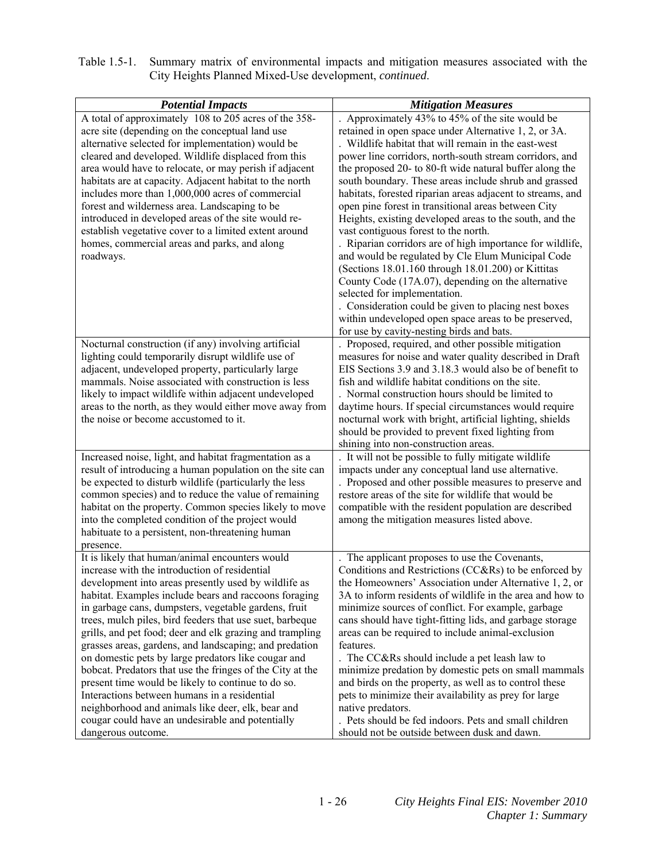| Table 1.5-1. Summary matrix of environmental impacts and mitigation measures associated with the |
|--------------------------------------------------------------------------------------------------|
| City Heights Planned Mixed-Use development, <i>continued</i> .                                   |

| <b>Potential Impacts</b>                                                                                       | <b>Mitigation Measures</b>                                                                                     |
|----------------------------------------------------------------------------------------------------------------|----------------------------------------------------------------------------------------------------------------|
| A total of approximately 108 to 205 acres of the 358-<br>acre site (depending on the conceptual land use       | Approximately 43% to 45% of the site would be                                                                  |
| alternative selected for implementation) would be                                                              | retained in open space under Alternative 1, 2, or 3A.<br>. Wildlife habitat that will remain in the east-west  |
| cleared and developed. Wildlife displaced from this                                                            | power line corridors, north-south stream corridors, and                                                        |
| area would have to relocate, or may perish if adjacent                                                         | the proposed 20- to 80-ft wide natural buffer along the                                                        |
| habitats are at capacity. Adjacent habitat to the north                                                        | south boundary. These areas include shrub and grassed                                                          |
| includes more than 1,000,000 acres of commercial                                                               | habitats, forested riparian areas adjacent to streams, and                                                     |
| forest and wilderness area. Landscaping to be                                                                  | open pine forest in transitional areas between City                                                            |
| introduced in developed areas of the site would re-                                                            | Heights, existing developed areas to the south, and the                                                        |
| establish vegetative cover to a limited extent around                                                          | vast contiguous forest to the north.                                                                           |
| homes, commercial areas and parks, and along                                                                   | . Riparian corridors are of high importance for wildlife,                                                      |
| roadways.                                                                                                      | and would be regulated by Cle Elum Municipal Code                                                              |
|                                                                                                                | (Sections 18.01.160 through 18.01.200) or Kittitas                                                             |
|                                                                                                                | County Code (17A.07), depending on the alternative                                                             |
|                                                                                                                | selected for implementation.                                                                                   |
|                                                                                                                | . Consideration could be given to placing nest boxes                                                           |
|                                                                                                                | within undeveloped open space areas to be preserved,                                                           |
|                                                                                                                | for use by cavity-nesting birds and bats.                                                                      |
| Nocturnal construction (if any) involving artificial                                                           | . Proposed, required, and other possible mitigation                                                            |
| lighting could temporarily disrupt wildlife use of                                                             | measures for noise and water quality described in Draft                                                        |
| adjacent, undeveloped property, particularly large                                                             | EIS Sections 3.9 and 3.18.3 would also be of benefit to                                                        |
| mammals. Noise associated with construction is less                                                            | fish and wildlife habitat conditions on the site.                                                              |
| likely to impact wildlife within adjacent undeveloped                                                          | . Normal construction hours should be limited to                                                               |
| areas to the north, as they would either move away from                                                        | daytime hours. If special circumstances would require                                                          |
| the noise or become accustomed to it.                                                                          | nocturnal work with bright, artificial lighting, shields                                                       |
|                                                                                                                | should be provided to prevent fixed lighting from                                                              |
|                                                                                                                | shining into non-construction areas.                                                                           |
| Increased noise, light, and habitat fragmentation as a                                                         | It will not be possible to fully mitigate wildlife                                                             |
| result of introducing a human population on the site can                                                       | impacts under any conceptual land use alternative.                                                             |
| be expected to disturb wildlife (particularly the less                                                         | . Proposed and other possible measures to preserve and<br>restore areas of the site for wildlife that would be |
| common species) and to reduce the value of remaining<br>habitat on the property. Common species likely to move | compatible with the resident population are described                                                          |
| into the completed condition of the project would                                                              | among the mitigation measures listed above.                                                                    |
| habituate to a persistent, non-threatening human                                                               |                                                                                                                |
| presence.                                                                                                      |                                                                                                                |
| It is likely that human/animal encounters would                                                                | The applicant proposes to use the Covenants,                                                                   |
| increase with the introduction of residential                                                                  | Conditions and Restrictions (CC&Rs) to be enforced by                                                          |
| development into areas presently used by wildlife as                                                           | the Homeowners' Association under Alternative 1, 2, or                                                         |
| habitat. Examples include bears and raccoons foraging                                                          | 3A to inform residents of wildlife in the area and how to                                                      |
| in garbage cans, dumpsters, vegetable gardens, fruit                                                           | minimize sources of conflict. For example, garbage                                                             |
| trees, mulch piles, bird feeders that use suet, barbeque                                                       | cans should have tight-fitting lids, and garbage storage                                                       |
| grills, and pet food; deer and elk grazing and trampling                                                       | areas can be required to include animal-exclusion                                                              |
| grasses areas, gardens, and landscaping; and predation                                                         | features.                                                                                                      |
| on domestic pets by large predators like cougar and                                                            | . The CC&Rs should include a pet leash law to                                                                  |
| bobcat. Predators that use the fringes of the City at the                                                      | minimize predation by domestic pets on small mammals                                                           |
| present time would be likely to continue to do so.                                                             | and birds on the property, as well as to control these                                                         |
| Interactions between humans in a residential                                                                   | pets to minimize their availability as prey for large                                                          |
| neighborhood and animals like deer, elk, bear and                                                              | native predators.                                                                                              |
| cougar could have an undesirable and potentially                                                               | . Pets should be fed indoors. Pets and small children                                                          |
| dangerous outcome.                                                                                             | should not be outside between dusk and dawn.                                                                   |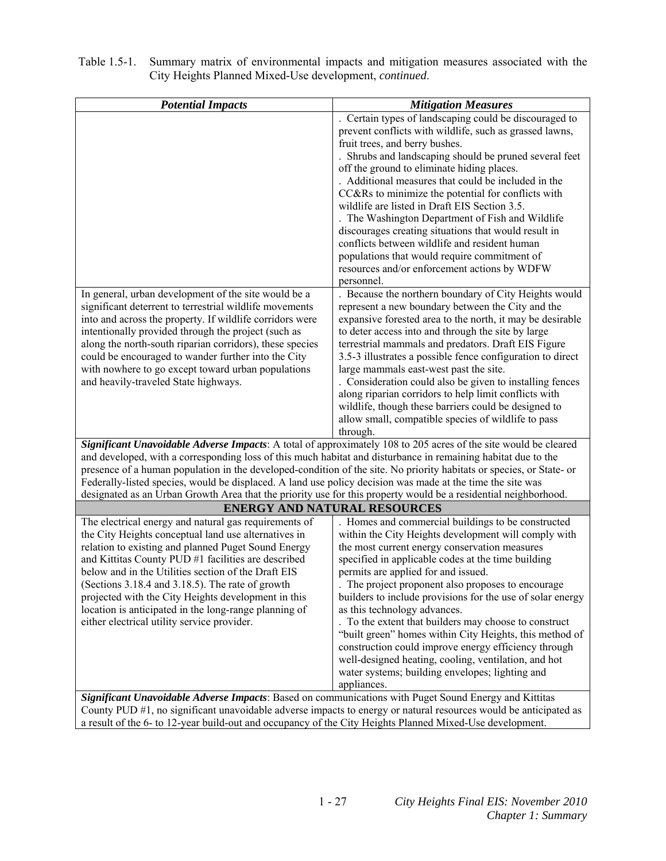| <b>Potential Impacts</b>                                                                                                                                                                                                         | <b>Mitigation Measures</b>                                                                                                                                                                                                                                                                                                                                                                                                                                                                                                                                                                                                                                                                         |
|----------------------------------------------------------------------------------------------------------------------------------------------------------------------------------------------------------------------------------|----------------------------------------------------------------------------------------------------------------------------------------------------------------------------------------------------------------------------------------------------------------------------------------------------------------------------------------------------------------------------------------------------------------------------------------------------------------------------------------------------------------------------------------------------------------------------------------------------------------------------------------------------------------------------------------------------|
|                                                                                                                                                                                                                                  | . Certain types of landscaping could be discouraged to<br>prevent conflicts with wildlife, such as grassed lawns,<br>fruit trees, and berry bushes.<br>. Shrubs and landscaping should be pruned several feet<br>off the ground to eliminate hiding places.<br>. Additional measures that could be included in the<br>CC&Rs to minimize the potential for conflicts with<br>wildlife are listed in Draft EIS Section 3.5.<br>The Washington Department of Fish and Wildlife<br>discourages creating situations that would result in<br>conflicts between wildlife and resident human<br>populations that would require commitment of<br>resources and/or enforcement actions by WDFW<br>personnel. |
| In general, urban development of the site would be a                                                                                                                                                                             | . Because the northern boundary of City Heights would                                                                                                                                                                                                                                                                                                                                                                                                                                                                                                                                                                                                                                              |
| significant deterrent to terrestrial wildlife movements                                                                                                                                                                          | represent a new boundary between the City and the                                                                                                                                                                                                                                                                                                                                                                                                                                                                                                                                                                                                                                                  |
| into and across the property. If wildlife corridors were                                                                                                                                                                         | expansive forested area to the north, it may be desirable                                                                                                                                                                                                                                                                                                                                                                                                                                                                                                                                                                                                                                          |
| intentionally provided through the project (such as                                                                                                                                                                              | to deter access into and through the site by large                                                                                                                                                                                                                                                                                                                                                                                                                                                                                                                                                                                                                                                 |
| along the north-south riparian corridors), these species                                                                                                                                                                         | terrestrial mammals and predators. Draft EIS Figure                                                                                                                                                                                                                                                                                                                                                                                                                                                                                                                                                                                                                                                |
| could be encouraged to wander further into the City<br>with nowhere to go except toward urban populations                                                                                                                        | 3.5-3 illustrates a possible fence configuration to direct<br>large mammals east-west past the site.                                                                                                                                                                                                                                                                                                                                                                                                                                                                                                                                                                                               |
| and heavily-traveled State highways.                                                                                                                                                                                             | . Consideration could also be given to installing fences                                                                                                                                                                                                                                                                                                                                                                                                                                                                                                                                                                                                                                           |
|                                                                                                                                                                                                                                  | along riparian corridors to help limit conflicts with                                                                                                                                                                                                                                                                                                                                                                                                                                                                                                                                                                                                                                              |
|                                                                                                                                                                                                                                  | wildlife, though these barriers could be designed to                                                                                                                                                                                                                                                                                                                                                                                                                                                                                                                                                                                                                                               |
|                                                                                                                                                                                                                                  | allow small, compatible species of wildlife to pass                                                                                                                                                                                                                                                                                                                                                                                                                                                                                                                                                                                                                                                |
|                                                                                                                                                                                                                                  | through.                                                                                                                                                                                                                                                                                                                                                                                                                                                                                                                                                                                                                                                                                           |
| Significant Unavoidable Adverse Impacts: A total of approximately 108 to 205 acres of the site would be cleared<br>and developed, with a corresponding loss of this much habitat and disturbance in remaining habitat due to the |                                                                                                                                                                                                                                                                                                                                                                                                                                                                                                                                                                                                                                                                                                    |
| presence of a human population in the developed-condition of the site. No priority habitats or species, or State- or                                                                                                             |                                                                                                                                                                                                                                                                                                                                                                                                                                                                                                                                                                                                                                                                                                    |
| Federally-listed species, would be displaced. A land use policy decision was made at the time the site was                                                                                                                       |                                                                                                                                                                                                                                                                                                                                                                                                                                                                                                                                                                                                                                                                                                    |
| designated as an Urban Growth Area that the priority use for this property would be a residential neighborhood.                                                                                                                  |                                                                                                                                                                                                                                                                                                                                                                                                                                                                                                                                                                                                                                                                                                    |
|                                                                                                                                                                                                                                  | <b>ENERGY AND NATURAL RESOURCES</b>                                                                                                                                                                                                                                                                                                                                                                                                                                                                                                                                                                                                                                                                |
| The electrical energy and natural gas requirements of                                                                                                                                                                            | . Homes and commercial buildings to be constructed                                                                                                                                                                                                                                                                                                                                                                                                                                                                                                                                                                                                                                                 |
| the City Heights conceptual land use alternatives in                                                                                                                                                                             | within the City Heights development will comply with                                                                                                                                                                                                                                                                                                                                                                                                                                                                                                                                                                                                                                               |
| relation to existing and planned Puget Sound Energy                                                                                                                                                                              | the most current energy conservation measures                                                                                                                                                                                                                                                                                                                                                                                                                                                                                                                                                                                                                                                      |
| and Kittitas County PUD #1 facilities are described<br>below and in the Utilities section of the Draft EIS                                                                                                                       | specified in applicable codes at the time building                                                                                                                                                                                                                                                                                                                                                                                                                                                                                                                                                                                                                                                 |
| (Sections 3.18.4 and 3.18.5). The rate of growth                                                                                                                                                                                 | permits are applied for and issued.<br>The project proponent also proposes to encourage                                                                                                                                                                                                                                                                                                                                                                                                                                                                                                                                                                                                            |
| projected with the City Heights development in this                                                                                                                                                                              | builders to include provisions for the use of solar energy                                                                                                                                                                                                                                                                                                                                                                                                                                                                                                                                                                                                                                         |
| location is anticipated in the long-range planning of                                                                                                                                                                            | as this technology advances.                                                                                                                                                                                                                                                                                                                                                                                                                                                                                                                                                                                                                                                                       |
| either electrical utility service provider.                                                                                                                                                                                      | . To the extent that builders may choose to construct                                                                                                                                                                                                                                                                                                                                                                                                                                                                                                                                                                                                                                              |
|                                                                                                                                                                                                                                  | "built green" homes within City Heights, this method of                                                                                                                                                                                                                                                                                                                                                                                                                                                                                                                                                                                                                                            |
|                                                                                                                                                                                                                                  | construction could improve energy efficiency through                                                                                                                                                                                                                                                                                                                                                                                                                                                                                                                                                                                                                                               |
|                                                                                                                                                                                                                                  | well-designed heating, cooling, ventilation, and hot                                                                                                                                                                                                                                                                                                                                                                                                                                                                                                                                                                                                                                               |
|                                                                                                                                                                                                                                  | water systems; building envelopes; lighting and<br>appliances.                                                                                                                                                                                                                                                                                                                                                                                                                                                                                                                                                                                                                                     |
| Significant Unavoidable Adverse Impacts: Based on communications with Puget Sound Energy and Kittitas                                                                                                                            |                                                                                                                                                                                                                                                                                                                                                                                                                                                                                                                                                                                                                                                                                                    |
|                                                                                                                                                                                                                                  | County PUD #1 no significant unavoidable adverse impacts to energy or natural resources would be anticipated as                                                                                                                                                                                                                                                                                                                                                                                                                                                                                                                                                                                    |

County PUD #1, no significant unavoidable adverse impacts to energy or natural resources would be anticipated as a result of the 6- to 12-year build-out and occupancy of the City Heights Planned Mixed-Use development.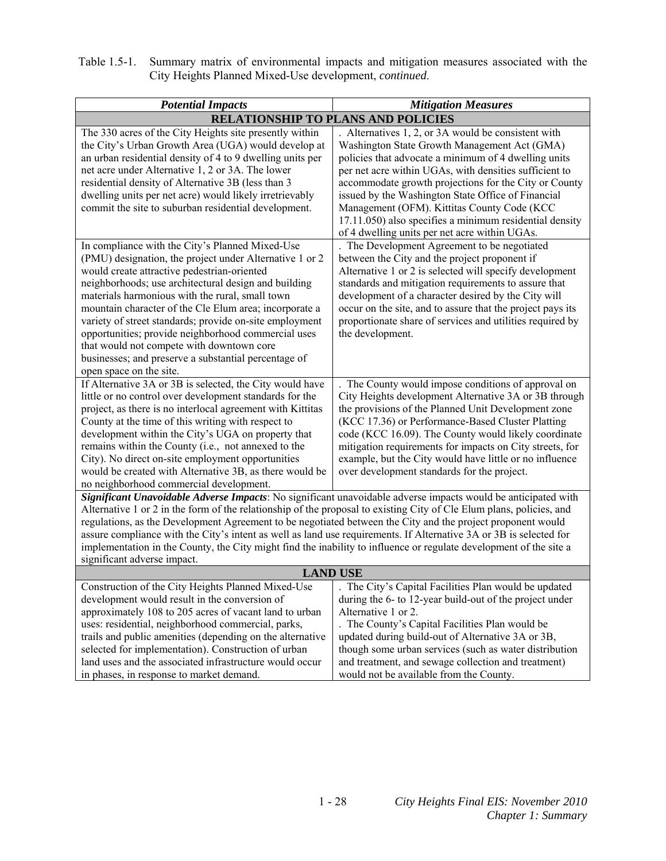| Table 1.5-1. Summary matrix of environmental impacts and mitigation measures associated with the |
|--------------------------------------------------------------------------------------------------|
| City Heights Planned Mixed-Use development, <i>continued</i> .                                   |

| <b>Potential Impacts</b>                                                                                                                                                                                                                                                                                                                                                                                                                                                                                                                                                                                                                                                                                                                                 | <b>Mitigation Measures</b>                                                                                                                                                                                                                                                                                                                                                                                                                                                                    |
|----------------------------------------------------------------------------------------------------------------------------------------------------------------------------------------------------------------------------------------------------------------------------------------------------------------------------------------------------------------------------------------------------------------------------------------------------------------------------------------------------------------------------------------------------------------------------------------------------------------------------------------------------------------------------------------------------------------------------------------------------------|-----------------------------------------------------------------------------------------------------------------------------------------------------------------------------------------------------------------------------------------------------------------------------------------------------------------------------------------------------------------------------------------------------------------------------------------------------------------------------------------------|
| <b>RELATIONSHIP TO PLANS AND POLICIES</b>                                                                                                                                                                                                                                                                                                                                                                                                                                                                                                                                                                                                                                                                                                                |                                                                                                                                                                                                                                                                                                                                                                                                                                                                                               |
| The 330 acres of the City Heights site presently within<br>the City's Urban Growth Area (UGA) would develop at<br>an urban residential density of 4 to 9 dwelling units per<br>net acre under Alternative 1, 2 or 3A. The lower<br>residential density of Alternative 3B (less than 3<br>dwelling units per net acre) would likely irretrievably<br>commit the site to suburban residential development.                                                                                                                                                                                                                                                                                                                                                 | Alternatives 1, 2, or 3A would be consistent with<br>Washington State Growth Management Act (GMA)<br>policies that advocate a minimum of 4 dwelling units<br>per net acre within UGAs, with densities sufficient to<br>accommodate growth projections for the City or County<br>issued by the Washington State Office of Financial<br>Management (OFM). Kittitas County Code (KCC<br>17.11.050) also specifies a minimum residential density<br>of 4 dwelling units per net acre within UGAs. |
| In compliance with the City's Planned Mixed-Use<br>(PMU) designation, the project under Alternative 1 or 2<br>would create attractive pedestrian-oriented<br>neighborhoods; use architectural design and building<br>materials harmonious with the rural, small town<br>mountain character of the Cle Elum area; incorporate a<br>variety of street standards; provide on-site employment<br>opportunities; provide neighborhood commercial uses<br>that would not compete with downtown core<br>businesses; and preserve a substantial percentage of<br>open space on the site.                                                                                                                                                                         | The Development Agreement to be negotiated<br>between the City and the project proponent if<br>Alternative 1 or 2 is selected will specify development<br>standards and mitigation requirements to assure that<br>development of a character desired by the City will<br>occur on the site, and to assure that the project pays its<br>proportionate share of services and utilities required by<br>the development.                                                                          |
| If Alternative 3A or 3B is selected, the City would have<br>little or no control over development standards for the<br>project, as there is no interlocal agreement with Kittitas<br>County at the time of this writing with respect to<br>development within the City's UGA on property that<br>remains within the County (i.e., not annexed to the<br>City). No direct on-site employment opportunities<br>would be created with Alternative 3B, as there would be<br>no neighborhood commercial development.<br>Significant Unavoidable Adverse Impacts: No significant unavoidable adverse impacts would be anticipated with<br>Alternative 1 or 2 in the form of the relationship of the proposal to existing City of Cle Elum plans, policies, and | The County would impose conditions of approval on<br>City Heights development Alternative 3A or 3B through<br>the provisions of the Planned Unit Development zone<br>(KCC 17.36) or Performance-Based Cluster Platting<br>code (KCC 16.09). The County would likely coordinate<br>mitigation requirements for impacts on City streets, for<br>example, but the City would have little or no influence<br>over development standards for the project.                                          |
| regulations, as the Development Agreement to be negotiated between the City and the project proponent would<br>assure compliance with the City's intent as well as land use requirements. If Alternative 3A or 3B is selected for<br>implementation in the County, the City might find the inability to influence or regulate development of the site a<br>significant adverse impact.                                                                                                                                                                                                                                                                                                                                                                   |                                                                                                                                                                                                                                                                                                                                                                                                                                                                                               |
| <b>LAND USE</b>                                                                                                                                                                                                                                                                                                                                                                                                                                                                                                                                                                                                                                                                                                                                          |                                                                                                                                                                                                                                                                                                                                                                                                                                                                                               |
| Construction of the City Heights Planned Mixed-Use<br>development would result in the conversion of<br>approximately 108 to 205 acres of vacant land to urban<br>uses: residential, neighborhood commercial, parks,<br>trails and public amenities (depending on the alternative<br>selected for implementation). Construction of urban<br>land uses and the associated infrastructure would occur<br>in phases, in response to market demand.                                                                                                                                                                                                                                                                                                           | The City's Capital Facilities Plan would be updated<br>during the 6- to 12-year build-out of the project under<br>Alternative 1 or 2.<br>The County's Capital Facilities Plan would be<br>updated during build-out of Alternative 3A or 3B,<br>though some urban services (such as water distribution<br>and treatment, and sewage collection and treatment)<br>would not be available from the County.                                                                                       |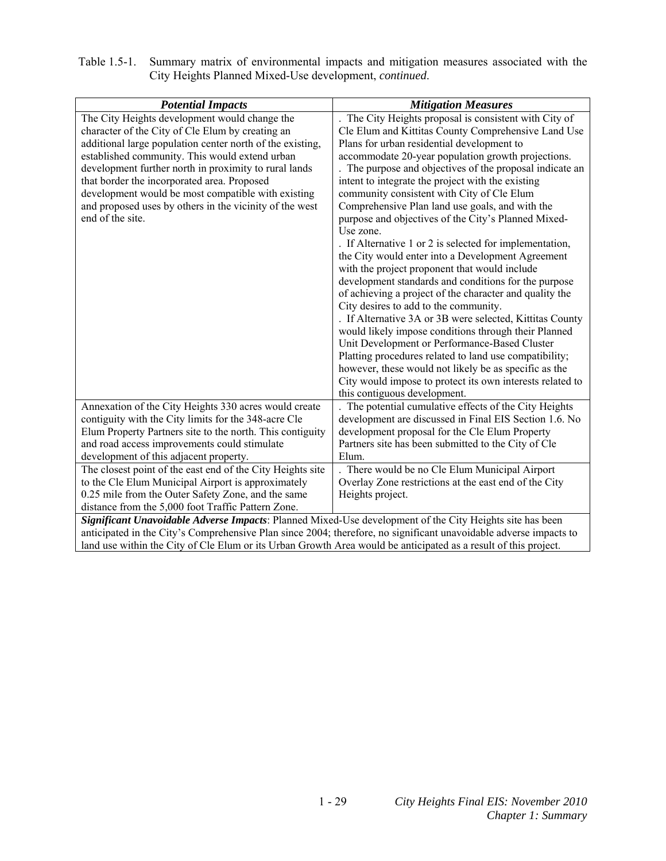| Table 1.5-1. Summary matrix of environmental impacts and mitigation measures associated with the |
|--------------------------------------------------------------------------------------------------|
| City Heights Planned Mixed-Use development, <i>continued</i> .                                   |

| <b>Potential Impacts</b>                                                                                          | <b>Mitigation Measures</b>                                |
|-------------------------------------------------------------------------------------------------------------------|-----------------------------------------------------------|
| The City Heights development would change the                                                                     | The City Heights proposal is consistent with City of      |
| character of the City of Cle Elum by creating an                                                                  | Cle Elum and Kittitas County Comprehensive Land Use       |
| additional large population center north of the existing,                                                         | Plans for urban residential development to                |
| established community. This would extend urban                                                                    | accommodate 20-year population growth projections.        |
| development further north in proximity to rural lands                                                             | The purpose and objectives of the proposal indicate an    |
| that border the incorporated area. Proposed                                                                       | intent to integrate the project with the existing         |
| development would be most compatible with existing                                                                | community consistent with City of Cle Elum                |
| and proposed uses by others in the vicinity of the west                                                           | Comprehensive Plan land use goals, and with the           |
| end of the site.                                                                                                  | purpose and objectives of the City's Planned Mixed-       |
|                                                                                                                   | Use zone.                                                 |
|                                                                                                                   | . If Alternative 1 or 2 is selected for implementation,   |
|                                                                                                                   | the City would enter into a Development Agreement         |
|                                                                                                                   | with the project proponent that would include             |
|                                                                                                                   | development standards and conditions for the purpose      |
|                                                                                                                   | of achieving a project of the character and quality the   |
|                                                                                                                   | City desires to add to the community.                     |
|                                                                                                                   | . If Alternative 3A or 3B were selected, Kittitas County  |
|                                                                                                                   | would likely impose conditions through their Planned      |
|                                                                                                                   | Unit Development or Performance-Based Cluster             |
|                                                                                                                   | Platting procedures related to land use compatibility;    |
|                                                                                                                   | however, these would not likely be as specific as the     |
|                                                                                                                   | City would impose to protect its own interests related to |
|                                                                                                                   | this contiguous development.                              |
| Annexation of the City Heights 330 acres would create                                                             | The potential cumulative effects of the City Heights      |
| contiguity with the City limits for the 348-acre Cle                                                              | development are discussed in Final EIS Section 1.6. No    |
| Elum Property Partners site to the north. This contiguity                                                         | development proposal for the Cle Elum Property            |
| and road access improvements could stimulate                                                                      | Partners site has been submitted to the City of Cle       |
| development of this adjacent property.                                                                            | Elum.                                                     |
| The closest point of the east end of the City Heights site                                                        | . There would be no Cle Elum Municipal Airport            |
| to the Cle Elum Municipal Airport is approximately                                                                | Overlay Zone restrictions at the east end of the City     |
| 0.25 mile from the Outer Safety Zone, and the same                                                                | Heights project.                                          |
| distance from the 5,000 foot Traffic Pattern Zone.                                                                |                                                           |
| Significant Unavoidable Adverse Impacts: Planned Mixed-Use development of the City Heights site has been          |                                                           |
| anticipated in the City's Comprehensive Plan since 2004; therefore, no significant unavoidable adverse impacts to |                                                           |
| land use within the City of Cle Elum or its Urban Growth Area would be anticipated as a result of this project.   |                                                           |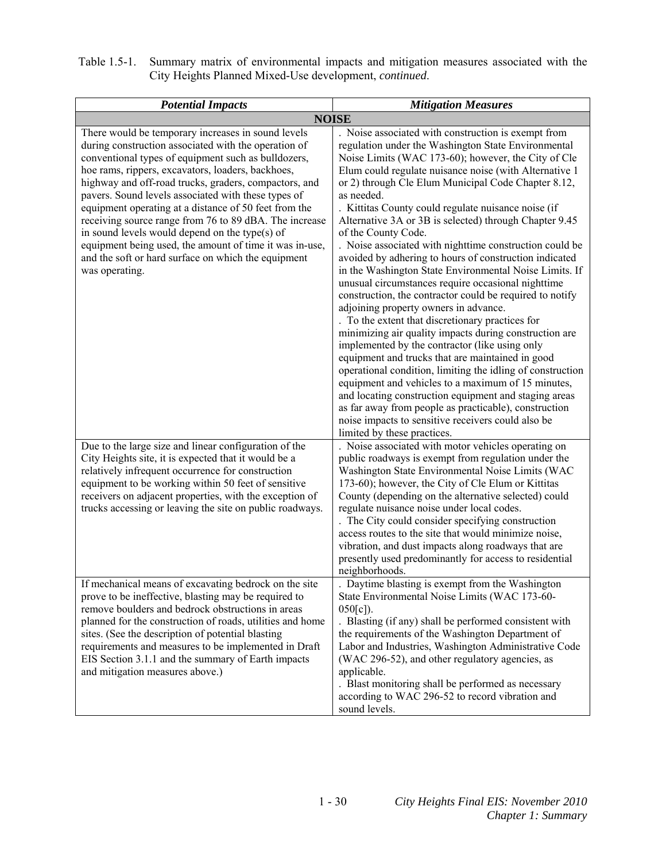| Table 1.5-1. Summary matrix of environmental impacts and mitigation measures associated with the |
|--------------------------------------------------------------------------------------------------|
| City Heights Planned Mixed-Use development, <i>continued</i> .                                   |

| <b>Potential Impacts</b>                                                                                                                                                                                                                                                                                                                                                                                                                                                                                                                                                                                                                        | <b>Mitigation Measures</b>                                                                                                                                                                                                                                                                                                                                                                                                                                                                                                                                                                                                                                                                                                                                                                                                                                                                                                                                                                                                                                                                                                                                                                                                                 |
|-------------------------------------------------------------------------------------------------------------------------------------------------------------------------------------------------------------------------------------------------------------------------------------------------------------------------------------------------------------------------------------------------------------------------------------------------------------------------------------------------------------------------------------------------------------------------------------------------------------------------------------------------|--------------------------------------------------------------------------------------------------------------------------------------------------------------------------------------------------------------------------------------------------------------------------------------------------------------------------------------------------------------------------------------------------------------------------------------------------------------------------------------------------------------------------------------------------------------------------------------------------------------------------------------------------------------------------------------------------------------------------------------------------------------------------------------------------------------------------------------------------------------------------------------------------------------------------------------------------------------------------------------------------------------------------------------------------------------------------------------------------------------------------------------------------------------------------------------------------------------------------------------------|
|                                                                                                                                                                                                                                                                                                                                                                                                                                                                                                                                                                                                                                                 | <b>NOISE</b>                                                                                                                                                                                                                                                                                                                                                                                                                                                                                                                                                                                                                                                                                                                                                                                                                                                                                                                                                                                                                                                                                                                                                                                                                               |
| There would be temporary increases in sound levels<br>during construction associated with the operation of<br>conventional types of equipment such as bulldozers,<br>hoe rams, rippers, excavators, loaders, backhoes,<br>highway and off-road trucks, graders, compactors, and<br>pavers. Sound levels associated with these types of<br>equipment operating at a distance of 50 feet from the<br>receiving source range from 76 to 89 dBA. The increase<br>in sound levels would depend on the type(s) of<br>equipment being used, the amount of time it was in-use,<br>and the soft or hard surface on which the equipment<br>was operating. | Noise associated with construction is exempt from<br>regulation under the Washington State Environmental<br>Noise Limits (WAC 173-60); however, the City of Cle<br>Elum could regulate nuisance noise (with Alternative 1<br>or 2) through Cle Elum Municipal Code Chapter 8.12,<br>as needed.<br>. Kittitas County could regulate nuisance noise (if<br>Alternative 3A or 3B is selected) through Chapter 9.45<br>of the County Code.<br>. Noise associated with nighttime construction could be<br>avoided by adhering to hours of construction indicated<br>in the Washington State Environmental Noise Limits. If<br>unusual circumstances require occasional nighttime<br>construction, the contractor could be required to notify<br>adjoining property owners in advance.<br>. To the extent that discretionary practices for<br>minimizing air quality impacts during construction are<br>implemented by the contractor (like using only<br>equipment and trucks that are maintained in good<br>operational condition, limiting the idling of construction<br>equipment and vehicles to a maximum of 15 minutes,<br>and locating construction equipment and staging areas<br>as far away from people as practicable), construction |
| Due to the large size and linear configuration of the<br>City Heights site, it is expected that it would be a<br>relatively infrequent occurrence for construction<br>equipment to be working within 50 feet of sensitive<br>receivers on adjacent properties, with the exception of<br>trucks accessing or leaving the site on public roadways.                                                                                                                                                                                                                                                                                                | noise impacts to sensitive receivers could also be<br>limited by these practices.<br>Noise associated with motor vehicles operating on<br>public roadways is exempt from regulation under the<br>Washington State Environmental Noise Limits (WAC<br>173-60); however, the City of Cle Elum or Kittitas<br>County (depending on the alternative selected) could<br>regulate nuisance noise under local codes.<br>. The City could consider specifying construction<br>access routes to the site that would minimize noise,<br>vibration, and dust impacts along roadways that are<br>presently used predominantly for access to residential<br>neighborhoods.                                                                                                                                                                                                                                                                                                                                                                                                                                                                                                                                                                              |
| If mechanical means of excavating bedrock on the site<br>prove to be ineffective, blasting may be required to<br>remove boulders and bedrock obstructions in areas<br>planned for the construction of roads, utilities and home<br>sites. (See the description of potential blasting<br>requirements and measures to be implemented in Draft<br>EIS Section 3.1.1 and the summary of Earth impacts<br>and mitigation measures above.)                                                                                                                                                                                                           | Daytime blasting is exempt from the Washington<br>State Environmental Noise Limits (WAC 173-60-<br>$050[c]$ ).<br>. Blasting (if any) shall be performed consistent with<br>the requirements of the Washington Department of<br>Labor and Industries, Washington Administrative Code<br>(WAC 296-52), and other regulatory agencies, as<br>applicable.<br>. Blast monitoring shall be performed as necessary<br>according to WAC 296-52 to record vibration and<br>sound levels.                                                                                                                                                                                                                                                                                                                                                                                                                                                                                                                                                                                                                                                                                                                                                           |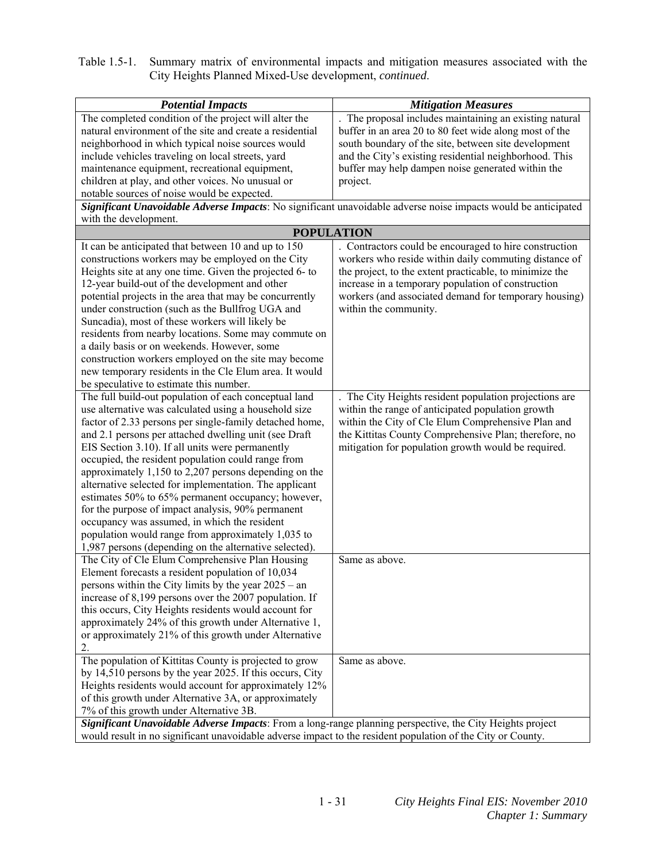| Table 1.5-1. Summary matrix of environmental impacts and mitigation measures associated with the |
|--------------------------------------------------------------------------------------------------|
| City Heights Planned Mixed-Use development, <i>continued</i> .                                   |

| <b>Potential Impacts</b>                                                                                         | <b>Mitigation Measures</b>                                                                                     |
|------------------------------------------------------------------------------------------------------------------|----------------------------------------------------------------------------------------------------------------|
| The completed condition of the project will alter the                                                            | The proposal includes maintaining an existing natural                                                          |
| natural environment of the site and create a residential                                                         | buffer in an area 20 to 80 feet wide along most of the                                                         |
| neighborhood in which typical noise sources would                                                                | south boundary of the site, between site development                                                           |
| include vehicles traveling on local streets, yard                                                                | and the City's existing residential neighborhood. This                                                         |
| maintenance equipment, recreational equipment,                                                                   | buffer may help dampen noise generated within the                                                              |
| children at play, and other voices. No unusual or                                                                | project.                                                                                                       |
| notable sources of noise would be expected.                                                                      |                                                                                                                |
|                                                                                                                  | Significant Unavoidable Adverse Impacts: No significant unavoidable adverse noise impacts would be anticipated |
| with the development.                                                                                            |                                                                                                                |
| <b>POPULATION</b>                                                                                                |                                                                                                                |
| It can be anticipated that between 10 and up to 150                                                              | . Contractors could be encouraged to hire construction                                                         |
| constructions workers may be employed on the City                                                                | workers who reside within daily commuting distance of                                                          |
| Heights site at any one time. Given the projected 6- to                                                          | the project, to the extent practicable, to minimize the                                                        |
| 12-year build-out of the development and other                                                                   | increase in a temporary population of construction                                                             |
| potential projects in the area that may be concurrently                                                          | workers (and associated demand for temporary housing)                                                          |
| under construction (such as the Bullfrog UGA and                                                                 | within the community.                                                                                          |
| Suncadia), most of these workers will likely be                                                                  |                                                                                                                |
| residents from nearby locations. Some may commute on                                                             |                                                                                                                |
| a daily basis or on weekends. However, some                                                                      |                                                                                                                |
| construction workers employed on the site may become                                                             |                                                                                                                |
| new temporary residents in the Cle Elum area. It would                                                           |                                                                                                                |
| be speculative to estimate this number.                                                                          |                                                                                                                |
| The full build-out population of each conceptual land                                                            | The City Heights resident population projections are<br>within the range of anticipated population growth      |
| use alternative was calculated using a household size<br>factor of 2.33 persons per single-family detached home, | within the City of Cle Elum Comprehensive Plan and                                                             |
| and 2.1 persons per attached dwelling unit (see Draft                                                            | the Kittitas County Comprehensive Plan; therefore, no                                                          |
| EIS Section 3.10). If all units were permanently                                                                 | mitigation for population growth would be required.                                                            |
| occupied, the resident population could range from                                                               |                                                                                                                |
| approximately 1,150 to 2,207 persons depending on the                                                            |                                                                                                                |
| alternative selected for implementation. The applicant                                                           |                                                                                                                |
| estimates 50% to 65% permanent occupancy; however,                                                               |                                                                                                                |
| for the purpose of impact analysis, 90% permanent                                                                |                                                                                                                |
| occupancy was assumed, in which the resident                                                                     |                                                                                                                |
| population would range from approximately 1,035 to                                                               |                                                                                                                |
| 1,987 persons (depending on the alternative selected).                                                           |                                                                                                                |
| The City of Cle Elum Comprehensive Plan Housing                                                                  | Same as above.                                                                                                 |
| Element forecasts a resident population of 10,034                                                                |                                                                                                                |
| persons within the City limits by the year $2025 - an$                                                           |                                                                                                                |
| increase of 8,199 persons over the 2007 population. If                                                           |                                                                                                                |
| this occurs, City Heights residents would account for                                                            |                                                                                                                |
| approximately 24% of this growth under Alternative 1,                                                            |                                                                                                                |
| or approximately 21% of this growth under Alternative                                                            |                                                                                                                |
| 2.                                                                                                               |                                                                                                                |
| The population of Kittitas County is projected to grow                                                           | Same as above.                                                                                                 |
| by 14,510 persons by the year 2025. If this occurs, City                                                         |                                                                                                                |
| Heights residents would account for approximately 12%                                                            |                                                                                                                |
| of this growth under Alternative 3A, or approximately                                                            |                                                                                                                |
| 7% of this growth under Alternative 3B.                                                                          |                                                                                                                |
| Significant Unavoidable Adverse Impacts: From a long-range planning perspective, the City Heights project        |                                                                                                                |
| would result in no significant unavoidable adverse impact to the resident population of the City or County.      |                                                                                                                |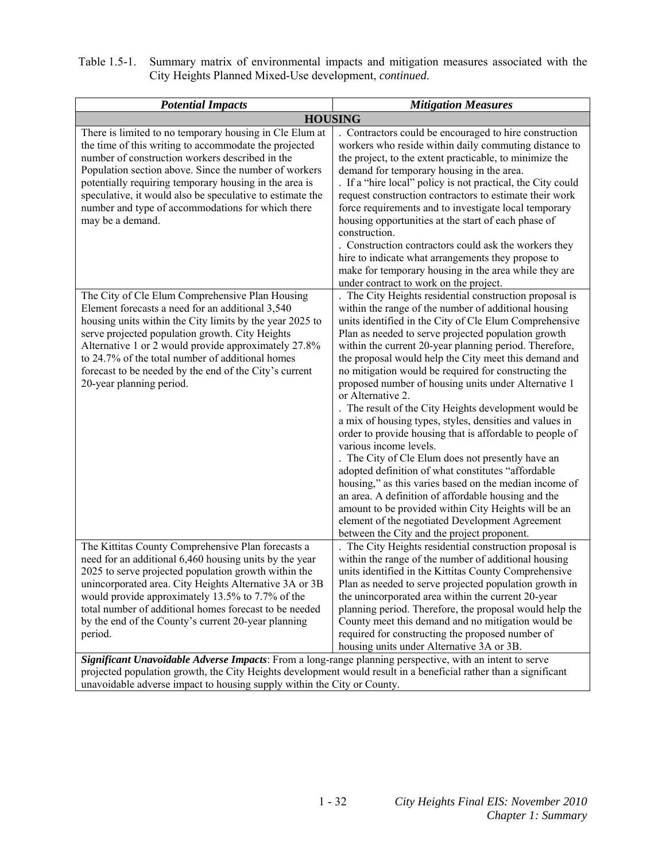| Table 1.5-1. Summary matrix of environmental impacts and mitigation measures associated with the |
|--------------------------------------------------------------------------------------------------|
| City Heights Planned Mixed-Use development, <i>continued</i> .                                   |

| <b>Potential Impacts</b>                                                                                                                                                                                                                                                                                                                                                                                                     | <b>Mitigation Measures</b>                                                                                                                                                                                                                                                                                                                                                                                                                                                                                                                                                                                                                                                                                                                                                                                                                                                                                                                                                                                                                                                         |
|------------------------------------------------------------------------------------------------------------------------------------------------------------------------------------------------------------------------------------------------------------------------------------------------------------------------------------------------------------------------------------------------------------------------------|------------------------------------------------------------------------------------------------------------------------------------------------------------------------------------------------------------------------------------------------------------------------------------------------------------------------------------------------------------------------------------------------------------------------------------------------------------------------------------------------------------------------------------------------------------------------------------------------------------------------------------------------------------------------------------------------------------------------------------------------------------------------------------------------------------------------------------------------------------------------------------------------------------------------------------------------------------------------------------------------------------------------------------------------------------------------------------|
|                                                                                                                                                                                                                                                                                                                                                                                                                              | <b>HOUSING</b>                                                                                                                                                                                                                                                                                                                                                                                                                                                                                                                                                                                                                                                                                                                                                                                                                                                                                                                                                                                                                                                                     |
| There is limited to no temporary housing in Cle Elum at<br>the time of this writing to accommodate the projected<br>number of construction workers described in the<br>Population section above. Since the number of workers<br>potentially requiring temporary housing in the area is<br>speculative, it would also be speculative to estimate the<br>number and type of accommodations for which there<br>may be a demand. | . Contractors could be encouraged to hire construction<br>workers who reside within daily commuting distance to<br>the project, to the extent practicable, to minimize the<br>demand for temporary housing in the area.<br>. If a "hire local" policy is not practical, the City could<br>request construction contractors to estimate their work<br>force requirements and to investigate local temporary<br>housing opportunities at the start of each phase of<br>construction.<br>. Construction contractors could ask the workers they<br>hire to indicate what arrangements they propose to<br>make for temporary housing in the area while they are<br>under contract to work on the project.                                                                                                                                                                                                                                                                                                                                                                               |
| The City of Cle Elum Comprehensive Plan Housing<br>Element forecasts a need for an additional 3,540<br>housing units within the City limits by the year 2025 to<br>serve projected population growth. City Heights<br>Alternative 1 or 2 would provide approximately 27.8%<br>to 24.7% of the total number of additional homes<br>forecast to be needed by the end of the City's current<br>20-year planning period.         | The City Heights residential construction proposal is<br>within the range of the number of additional housing<br>units identified in the City of Cle Elum Comprehensive<br>Plan as needed to serve projected population growth<br>within the current 20-year planning period. Therefore,<br>the proposal would help the City meet this demand and<br>no mitigation would be required for constructing the<br>proposed number of housing units under Alternative 1<br>or Alternative 2.<br>The result of the City Heights development would be<br>a mix of housing types, styles, densities and values in<br>order to provide housing that is affordable to people of<br>various income levels.<br>The City of Cle Elum does not presently have an<br>adopted definition of what constitutes "affordable<br>housing," as this varies based on the median income of<br>an area. A definition of affordable housing and the<br>amount to be provided within City Heights will be an<br>element of the negotiated Development Agreement<br>between the City and the project proponent. |
| The Kittitas County Comprehensive Plan forecasts a<br>need for an additional 6,460 housing units by the year<br>2025 to serve projected population growth within the<br>unincorporated area. City Heights Alternative 3A or 3B<br>would provide approximately 13.5% to 7.7% of the<br>total number of additional homes forecast to be needed<br>by the end of the County's current 20-year planning<br>period.               | The City Heights residential construction proposal is<br>within the range of the number of additional housing<br>units identified in the Kittitas County Comprehensive<br>Plan as needed to serve projected population growth in<br>the unincorporated area within the current 20-year<br>planning period. Therefore, the proposal would help the<br>County meet this demand and no mitigation would be<br>required for constructing the proposed number of<br>housing units under Alternative 3A or 3B.                                                                                                                                                                                                                                                                                                                                                                                                                                                                                                                                                                           |
| Significant Unavoidable Adverse Impacts: From a long-range planning perspective, with an intent to serve<br>projected population growth, the City Heights development would result in a beneficial rather than a significant                                                                                                                                                                                                 |                                                                                                                                                                                                                                                                                                                                                                                                                                                                                                                                                                                                                                                                                                                                                                                                                                                                                                                                                                                                                                                                                    |

unavoidable adverse impact to housing supply within the City or County.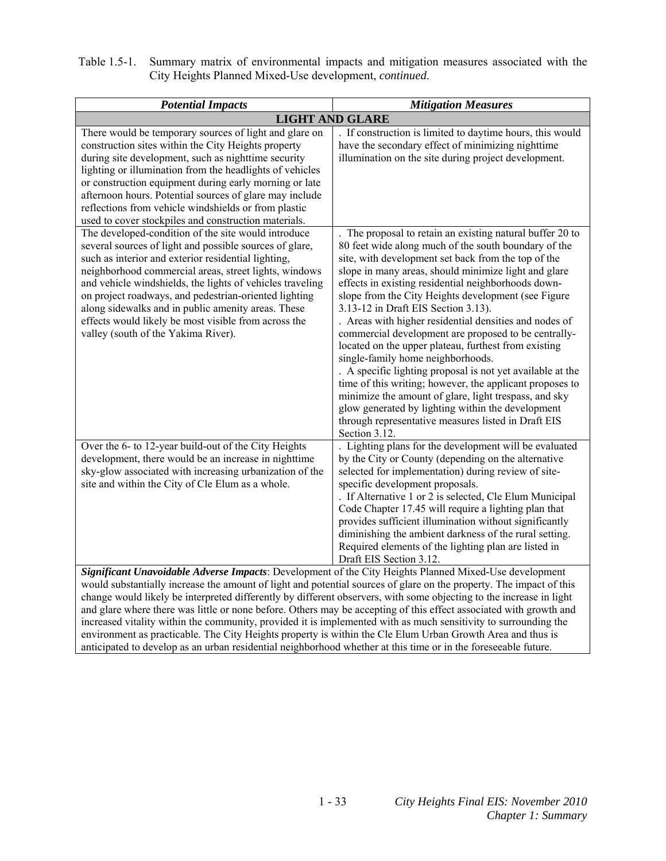| Table 1.5-1. Summary matrix of environmental impacts and mitigation measures associated with the |
|--------------------------------------------------------------------------------------------------|
| City Heights Planned Mixed-Use development, <i>continued</i> .                                   |

| <b>Potential Impacts</b>                                                                                                                                                                                                                                                                                                                                                                                                                                                                                                                                                                                                                                                                                    | <b>Mitigation Measures</b>                                                                                                                                                                                                                                                                                                                                                                                                                                                                                                                                                                                                                                                                                                                                                                                                                                                                                         |
|-------------------------------------------------------------------------------------------------------------------------------------------------------------------------------------------------------------------------------------------------------------------------------------------------------------------------------------------------------------------------------------------------------------------------------------------------------------------------------------------------------------------------------------------------------------------------------------------------------------------------------------------------------------------------------------------------------------|--------------------------------------------------------------------------------------------------------------------------------------------------------------------------------------------------------------------------------------------------------------------------------------------------------------------------------------------------------------------------------------------------------------------------------------------------------------------------------------------------------------------------------------------------------------------------------------------------------------------------------------------------------------------------------------------------------------------------------------------------------------------------------------------------------------------------------------------------------------------------------------------------------------------|
|                                                                                                                                                                                                                                                                                                                                                                                                                                                                                                                                                                                                                                                                                                             | <b>LIGHT AND GLARE</b>                                                                                                                                                                                                                                                                                                                                                                                                                                                                                                                                                                                                                                                                                                                                                                                                                                                                                             |
| There would be temporary sources of light and glare on<br>construction sites within the City Heights property<br>during site development, such as nighttime security<br>lighting or illumination from the headlights of vehicles<br>or construction equipment during early morning or late<br>afternoon hours. Potential sources of glare may include<br>reflections from vehicle windshields or from plastic<br>used to cover stockpiles and construction materials.                                                                                                                                                                                                                                       | . If construction is limited to daytime hours, this would<br>have the secondary effect of minimizing nighttime<br>illumination on the site during project development.                                                                                                                                                                                                                                                                                                                                                                                                                                                                                                                                                                                                                                                                                                                                             |
| The developed-condition of the site would introduce<br>several sources of light and possible sources of glare,<br>such as interior and exterior residential lighting,<br>neighborhood commercial areas, street lights, windows<br>and vehicle windshields, the lights of vehicles traveling<br>on project roadways, and pedestrian-oriented lighting<br>along sidewalks and in public amenity areas. These<br>effects would likely be most visible from across the<br>valley (south of the Yakima River).                                                                                                                                                                                                   | The proposal to retain an existing natural buffer 20 to<br>80 feet wide along much of the south boundary of the<br>site, with development set back from the top of the<br>slope in many areas, should minimize light and glare<br>effects in existing residential neighborhoods down-<br>slope from the City Heights development (see Figure<br>3.13-12 in Draft EIS Section 3.13).<br>. Areas with higher residential densities and nodes of<br>commercial development are proposed to be centrally-<br>located on the upper plateau, furthest from existing<br>single-family home neighborhoods.<br>. A specific lighting proposal is not yet available at the<br>time of this writing; however, the applicant proposes to<br>minimize the amount of glare, light trespass, and sky<br>glow generated by lighting within the development<br>through representative measures listed in Draft EIS<br>Section 3.12. |
| Over the 6- to 12-year build-out of the City Heights<br>development, there would be an increase in nighttime<br>sky-glow associated with increasing urbanization of the<br>site and within the City of Cle Elum as a whole.                                                                                                                                                                                                                                                                                                                                                                                                                                                                                 | Lighting plans for the development will be evaluated<br>by the City or County (depending on the alternative<br>selected for implementation) during review of site-<br>specific development proposals.<br>. If Alternative 1 or 2 is selected, Cle Elum Municipal<br>Code Chapter 17.45 will require a lighting plan that<br>provides sufficient illumination without significantly<br>diminishing the ambient darkness of the rural setting.<br>Required elements of the lighting plan are listed in<br>Draft EIS Section 3.12.                                                                                                                                                                                                                                                                                                                                                                                    |
| Significant Unavoidable Adverse Impacts: Development of the City Heights Planned Mixed-Use development<br>would substantially increase the amount of light and potential sources of glare on the property. The impact of this<br>change would likely be interpreted differently by different observers, with some objecting to the increase in light<br>and glare where there was little or none before. Others may be accepting of this effect associated with growth and<br>increased vitality within the community, provided it is implemented with as much sensitivity to surrounding the<br>environment as practicable. The City Heights property is within the Cle Elum Urban Growth Area and thus is |                                                                                                                                                                                                                                                                                                                                                                                                                                                                                                                                                                                                                                                                                                                                                                                                                                                                                                                    |

anticipated to develop as an urban residential neighborhood whether at this time or in the foreseeable future.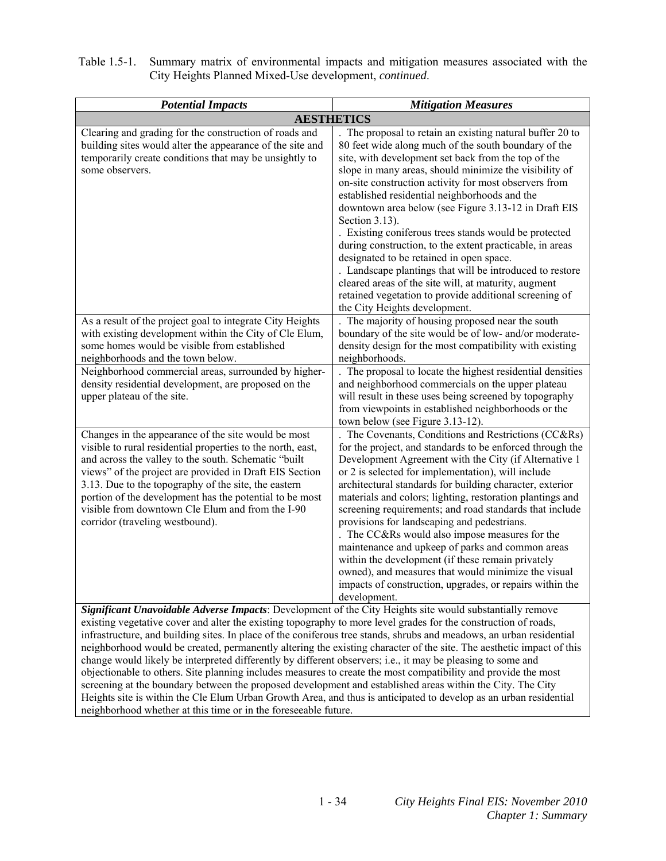| Table 1.5-1. Summary matrix of environmental impacts and mitigation measures associated with the |
|--------------------------------------------------------------------------------------------------|
| City Heights Planned Mixed-Use development, <i>continued</i> .                                   |

| <b>Potential Impacts</b>                                                                                                                                                                                                                                                                                                                                                                                                                                                                                                                                                                                                                                                                                     | <b>Mitigation Measures</b>                                                                                                                                                                                                                                                                                                                                                                                                                                                                                                                                                                                                                                                                                                                                                                         |
|--------------------------------------------------------------------------------------------------------------------------------------------------------------------------------------------------------------------------------------------------------------------------------------------------------------------------------------------------------------------------------------------------------------------------------------------------------------------------------------------------------------------------------------------------------------------------------------------------------------------------------------------------------------------------------------------------------------|----------------------------------------------------------------------------------------------------------------------------------------------------------------------------------------------------------------------------------------------------------------------------------------------------------------------------------------------------------------------------------------------------------------------------------------------------------------------------------------------------------------------------------------------------------------------------------------------------------------------------------------------------------------------------------------------------------------------------------------------------------------------------------------------------|
|                                                                                                                                                                                                                                                                                                                                                                                                                                                                                                                                                                                                                                                                                                              | <b>AESTHETICS</b>                                                                                                                                                                                                                                                                                                                                                                                                                                                                                                                                                                                                                                                                                                                                                                                  |
| Clearing and grading for the construction of roads and<br>building sites would alter the appearance of the site and<br>temporarily create conditions that may be unsightly to<br>some observers.                                                                                                                                                                                                                                                                                                                                                                                                                                                                                                             | The proposal to retain an existing natural buffer 20 to<br>80 feet wide along much of the south boundary of the<br>site, with development set back from the top of the<br>slope in many areas, should minimize the visibility of<br>on-site construction activity for most observers from<br>established residential neighborhoods and the<br>downtown area below (see Figure 3.13-12 in Draft EIS<br>Section 3.13).<br>Existing coniferous trees stands would be protected<br>during construction, to the extent practicable, in areas<br>designated to be retained in open space.<br>. Landscape plantings that will be introduced to restore<br>cleared areas of the site will, at maturity, augment<br>retained vegetation to provide additional screening of<br>the City Heights development. |
| As a result of the project goal to integrate City Heights<br>with existing development within the City of Cle Elum,<br>some homes would be visible from established<br>neighborhoods and the town below.<br>Neighborhood commercial areas, surrounded by higher-<br>density residential development, are proposed on the<br>upper plateau of the site.                                                                                                                                                                                                                                                                                                                                                       | The majority of housing proposed near the south<br>boundary of the site would be of low- and/or moderate-<br>density design for the most compatibility with existing<br>neighborhoods.<br>. The proposal to locate the highest residential densities<br>and neighborhood commercials on the upper plateau<br>will result in these uses being screened by topography<br>from viewpoints in established neighborhoods or the                                                                                                                                                                                                                                                                                                                                                                         |
| Changes in the appearance of the site would be most<br>visible to rural residential properties to the north, east,<br>and across the valley to the south. Schematic "built<br>views" of the project are provided in Draft EIS Section<br>3.13. Due to the topography of the site, the eastern<br>portion of the development has the potential to be most<br>visible from downtown Cle Elum and from the I-90<br>corridor (traveling westbound).                                                                                                                                                                                                                                                              | town below (see Figure 3.13-12).<br>The Covenants, Conditions and Restrictions (CC&Rs)<br>for the project, and standards to be enforced through the<br>Development Agreement with the City (if Alternative 1<br>or 2 is selected for implementation), will include<br>architectural standards for building character, exterior<br>materials and colors; lighting, restoration plantings and<br>screening requirements; and road standards that include<br>provisions for landscaping and pedestrians.<br>The CC&Rs would also impose measures for the<br>maintenance and upkeep of parks and common areas<br>within the development (if these remain privately<br>owned), and measures that would minimize the visual<br>impacts of construction, upgrades, or repairs within the<br>development.  |
| Significant Unavoidable Adverse Impacts: Development of the City Heights site would substantially remove<br>existing vegetative cover and alter the existing topography to more level grades for the construction of roads,<br>infrastructure, and building sites. In place of the coniferous tree stands, shrubs and meadows, an urban residential<br>neighborhood would be created, permanently altering the existing character of the site. The aesthetic impact of this<br>change would likely be interpreted differently by different observers; i.e., it may be pleasing to some and<br>objectionable to others. Site planning includes measures to create the most compatibility and provide the most |                                                                                                                                                                                                                                                                                                                                                                                                                                                                                                                                                                                                                                                                                                                                                                                                    |

screening at the boundary between the proposed development and established areas within the City. The City Heights site is within the Cle Elum Urban Growth Area, and thus is anticipated to develop as an urban residential

neighborhood whether at this time or in the foreseeable future.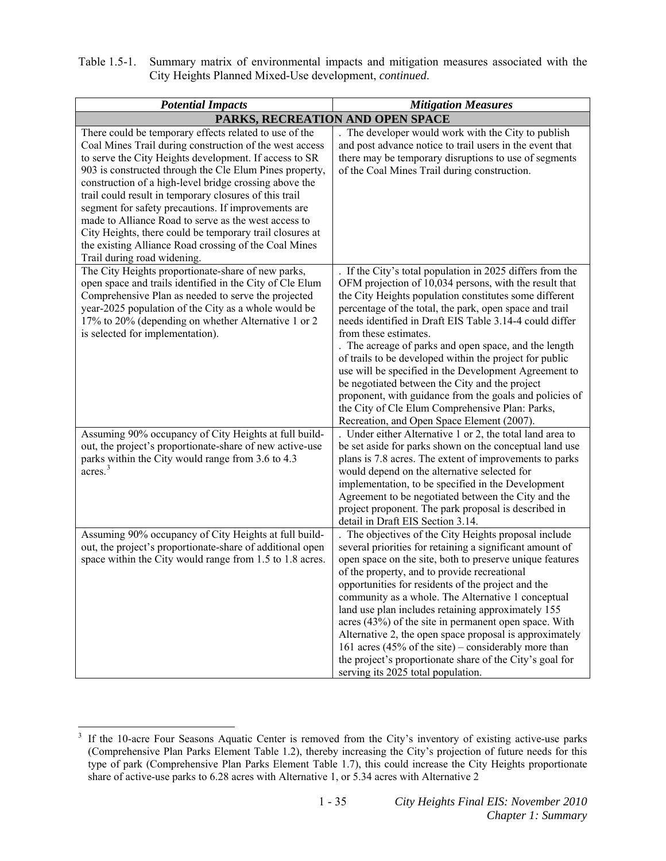| Table 1.5-1. Summary matrix of environmental impacts and mitigation measures associated with the |
|--------------------------------------------------------------------------------------------------|
| City Heights Planned Mixed-Use development, <i>continued</i> .                                   |

| <b>Potential Impacts</b>                                                                                                                                                                                                                                                                                                                                                                                                                                                                                                                                                                                                      | <b>Mitigation Measures</b>                                                                                                                                                                                                                                                                                                                                                                                                                                                                                                                                                                                                                                                                                              |
|-------------------------------------------------------------------------------------------------------------------------------------------------------------------------------------------------------------------------------------------------------------------------------------------------------------------------------------------------------------------------------------------------------------------------------------------------------------------------------------------------------------------------------------------------------------------------------------------------------------------------------|-------------------------------------------------------------------------------------------------------------------------------------------------------------------------------------------------------------------------------------------------------------------------------------------------------------------------------------------------------------------------------------------------------------------------------------------------------------------------------------------------------------------------------------------------------------------------------------------------------------------------------------------------------------------------------------------------------------------------|
|                                                                                                                                                                                                                                                                                                                                                                                                                                                                                                                                                                                                                               | PARKS, RECREATION AND OPEN SPACE                                                                                                                                                                                                                                                                                                                                                                                                                                                                                                                                                                                                                                                                                        |
| There could be temporary effects related to use of the<br>Coal Mines Trail during construction of the west access<br>to serve the City Heights development. If access to SR<br>903 is constructed through the Cle Elum Pines property,<br>construction of a high-level bridge crossing above the<br>trail could result in temporary closures of this trail<br>segment for safety precautions. If improvements are<br>made to Alliance Road to serve as the west access to<br>City Heights, there could be temporary trail closures at<br>the existing Alliance Road crossing of the Coal Mines<br>Trail during road widening. | . The developer would work with the City to publish<br>and post advance notice to trail users in the event that<br>there may be temporary disruptions to use of segments<br>of the Coal Mines Trail during construction.                                                                                                                                                                                                                                                                                                                                                                                                                                                                                                |
| The City Heights proportionate-share of new parks,<br>open space and trails identified in the City of Cle Elum<br>Comprehensive Plan as needed to serve the projected<br>year-2025 population of the City as a whole would be<br>17% to 20% (depending on whether Alternative 1 or 2<br>is selected for implementation).                                                                                                                                                                                                                                                                                                      | . If the City's total population in 2025 differs from the<br>OFM projection of 10,034 persons, with the result that<br>the City Heights population constitutes some different<br>percentage of the total, the park, open space and trail<br>needs identified in Draft EIS Table 3.14-4 could differ<br>from these estimates.<br>. The acreage of parks and open space, and the length<br>of trails to be developed within the project for public<br>use will be specified in the Development Agreement to<br>be negotiated between the City and the project<br>proponent, with guidance from the goals and policies of<br>the City of Cle Elum Comprehensive Plan: Parks,<br>Recreation, and Open Space Element (2007). |
| Assuming 90% occupancy of City Heights at full build-<br>out, the project's proportionate-share of new active-use<br>parks within the City would range from 3.6 to 4.3<br>$\arccos$ <sup>3</sup>                                                                                                                                                                                                                                                                                                                                                                                                                              | . Under either Alternative 1 or 2, the total land area to<br>be set aside for parks shown on the conceptual land use<br>plans is 7.8 acres. The extent of improvements to parks<br>would depend on the alternative selected for<br>implementation, to be specified in the Development<br>Agreement to be negotiated between the City and the<br>project proponent. The park proposal is described in<br>detail in Draft EIS Section 3.14.                                                                                                                                                                                                                                                                               |
| Assuming 90% occupancy of City Heights at full build-<br>out, the project's proportionate-share of additional open<br>space within the City would range from 1.5 to 1.8 acres.                                                                                                                                                                                                                                                                                                                                                                                                                                                | . The objectives of the City Heights proposal include<br>several priorities for retaining a significant amount of<br>open space on the site, both to preserve unique features<br>of the property, and to provide recreational<br>opportunities for residents of the project and the<br>community as a whole. The Alternative 1 conceptual<br>land use plan includes retaining approximately 155<br>acres (43%) of the site in permanent open space. With<br>Alternative 2, the open space proposal is approximately<br>161 acres (45% of the site) – considerably more than<br>the project's proportionate share of the City's goal for<br>serving its 2025 total population.                                           |

<span id="page-44-0"></span><sup>&</sup>lt;sup>3</sup> If the 10-acre Four Seasons Aquatic Center is removed from the City's inventory of existing active-use parks (Comprehensive Plan Parks Element Table 1.2), thereby increasing the City's projection of future needs for this type of park (Comprehensive Plan Parks Element Table 1.7), this could increase the City Heights proportionate share of active-use parks to 6.28 acres with Alternative 1, or 5.34 acres with Alternative 2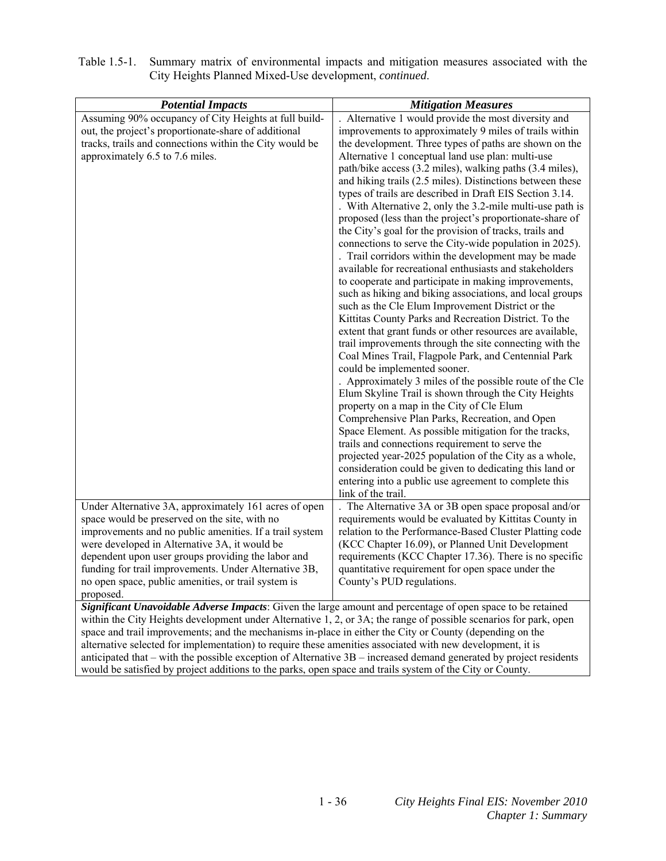| <b>Potential Impacts</b>                                                                                                                                                                                                          | <b>Mitigation Measures</b>                                                                                     |
|-----------------------------------------------------------------------------------------------------------------------------------------------------------------------------------------------------------------------------------|----------------------------------------------------------------------------------------------------------------|
| Assuming 90% occupancy of City Heights at full build-<br>out, the project's proportionate-share of additional                                                                                                                     | . Alternative 1 would provide the most diversity and<br>improvements to approximately 9 miles of trails within |
|                                                                                                                                                                                                                                   | the development. Three types of paths are shown on the                                                         |
| tracks, trails and connections within the City would be                                                                                                                                                                           | Alternative 1 conceptual land use plan: multi-use                                                              |
| approximately 6.5 to 7.6 miles.                                                                                                                                                                                                   |                                                                                                                |
|                                                                                                                                                                                                                                   | path/bike access (3.2 miles), walking paths (3.4 miles),                                                       |
|                                                                                                                                                                                                                                   | and hiking trails (2.5 miles). Distinctions between these                                                      |
|                                                                                                                                                                                                                                   | types of trails are described in Draft EIS Section 3.14.                                                       |
|                                                                                                                                                                                                                                   | . With Alternative 2, only the 3.2-mile multi-use path is                                                      |
|                                                                                                                                                                                                                                   | proposed (less than the project's proportionate-share of                                                       |
|                                                                                                                                                                                                                                   | the City's goal for the provision of tracks, trails and                                                        |
|                                                                                                                                                                                                                                   | connections to serve the City-wide population in 2025).                                                        |
|                                                                                                                                                                                                                                   | . Trail corridors within the development may be made                                                           |
|                                                                                                                                                                                                                                   | available for recreational enthusiasts and stakeholders                                                        |
|                                                                                                                                                                                                                                   | to cooperate and participate in making improvements,                                                           |
|                                                                                                                                                                                                                                   | such as hiking and biking associations, and local groups                                                       |
|                                                                                                                                                                                                                                   | such as the Cle Elum Improvement District or the<br>Kittitas County Parks and Recreation District. To the      |
|                                                                                                                                                                                                                                   | extent that grant funds or other resources are available,                                                      |
|                                                                                                                                                                                                                                   | trail improvements through the site connecting with the                                                        |
|                                                                                                                                                                                                                                   | Coal Mines Trail, Flagpole Park, and Centennial Park                                                           |
|                                                                                                                                                                                                                                   | could be implemented sooner.                                                                                   |
|                                                                                                                                                                                                                                   | . Approximately 3 miles of the possible route of the Cle                                                       |
|                                                                                                                                                                                                                                   | Elum Skyline Trail is shown through the City Heights                                                           |
|                                                                                                                                                                                                                                   | property on a map in the City of Cle Elum                                                                      |
|                                                                                                                                                                                                                                   | Comprehensive Plan Parks, Recreation, and Open                                                                 |
|                                                                                                                                                                                                                                   | Space Element. As possible mitigation for the tracks,                                                          |
|                                                                                                                                                                                                                                   | trails and connections requirement to serve the                                                                |
|                                                                                                                                                                                                                                   | projected year-2025 population of the City as a whole,                                                         |
|                                                                                                                                                                                                                                   | consideration could be given to dedicating this land or                                                        |
|                                                                                                                                                                                                                                   | entering into a public use agreement to complete this                                                          |
|                                                                                                                                                                                                                                   | link of the trail.                                                                                             |
| Under Alternative 3A, approximately 161 acres of open                                                                                                                                                                             | The Alternative 3A or 3B open space proposal and/or                                                            |
| space would be preserved on the site, with no                                                                                                                                                                                     | requirements would be evaluated by Kittitas County in                                                          |
| improvements and no public amenities. If a trail system                                                                                                                                                                           | relation to the Performance-Based Cluster Platting code                                                        |
| were developed in Alternative 3A, it would be                                                                                                                                                                                     | (KCC Chapter 16.09), or Planned Unit Development                                                               |
| dependent upon user groups providing the labor and                                                                                                                                                                                | requirements (KCC Chapter 17.36). There is no specific                                                         |
| funding for trail improvements. Under Alternative 3B,                                                                                                                                                                             | quantitative requirement for open space under the                                                              |
| no open space, public amenities, or trail system is                                                                                                                                                                               | County's PUD regulations.                                                                                      |
| proposed.                                                                                                                                                                                                                         |                                                                                                                |
| Significant Unavoidable Adverse Impacts: Given the large amount and percentage of open space to be retained                                                                                                                       |                                                                                                                |
| within the City Heights development under Alternative 1, 2, or 3A; the range of possible scenarios for park, open                                                                                                                 |                                                                                                                |
| space and trail improvements; and the mechanisms in-place in either the City or County (depending on the                                                                                                                          |                                                                                                                |
| alternative selected for implementation) to require these amenities associated with new development, it is                                                                                                                        |                                                                                                                |
|                                                                                                                                                                                                                                   |                                                                                                                |
| anticipated that – with the possible exception of Alternative $3B$ – increased demand generated by project residents<br>would be satisfied by project additions to the parks, open space and trails system of the City or County. |                                                                                                                |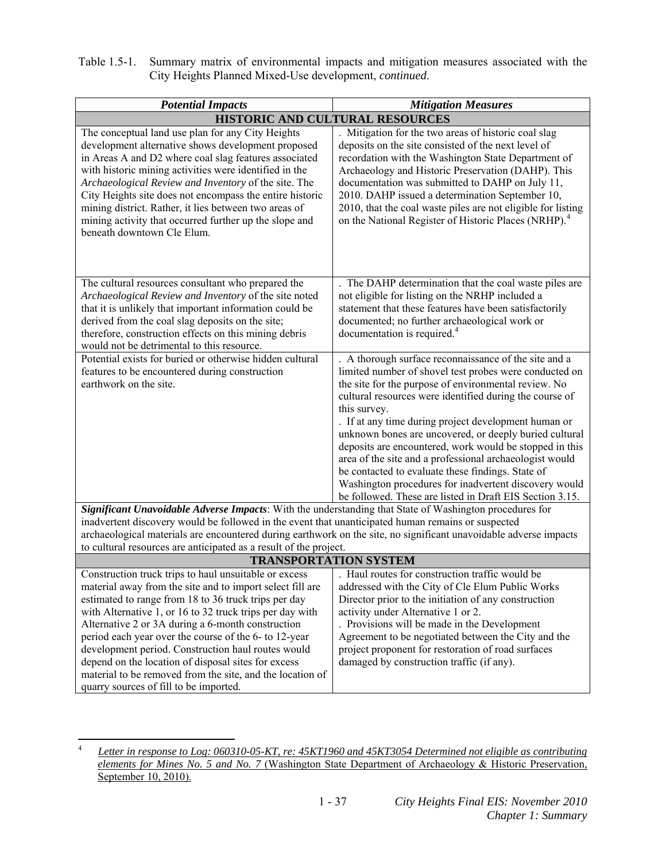| Table 1.5-1. Summary matrix of environmental impacts and mitigation measures associated with the |
|--------------------------------------------------------------------------------------------------|
| City Heights Planned Mixed-Use development, <i>continued</i> .                                   |

| <b>Potential Impacts</b>                                                                                                                                                                                                                                                                                                                                                                                                                                                                        | <b>Mitigation Measures</b>                                                                                                                                                                                                                                                                                                                                                                                                                                                                                                                                                                                                                                           |
|-------------------------------------------------------------------------------------------------------------------------------------------------------------------------------------------------------------------------------------------------------------------------------------------------------------------------------------------------------------------------------------------------------------------------------------------------------------------------------------------------|----------------------------------------------------------------------------------------------------------------------------------------------------------------------------------------------------------------------------------------------------------------------------------------------------------------------------------------------------------------------------------------------------------------------------------------------------------------------------------------------------------------------------------------------------------------------------------------------------------------------------------------------------------------------|
| HISTORIC AND CULTURAL RESOURCES                                                                                                                                                                                                                                                                                                                                                                                                                                                                 |                                                                                                                                                                                                                                                                                                                                                                                                                                                                                                                                                                                                                                                                      |
| The conceptual land use plan for any City Heights<br>development alternative shows development proposed<br>in Areas A and D2 where coal slag features associated<br>with historic mining activities were identified in the<br>Archaeological Review and Inventory of the site. The<br>City Heights site does not encompass the entire historic<br>mining district. Rather, it lies between two areas of<br>mining activity that occurred further up the slope and<br>beneath downtown Cle Elum. | Mitigation for the two areas of historic coal slag<br>deposits on the site consisted of the next level of<br>recordation with the Washington State Department of<br>Archaeology and Historic Preservation (DAHP). This<br>documentation was submitted to DAHP on July 11,<br>2010. DAHP issued a determination September 10,<br>2010, that the coal waste piles are not eligible for listing<br>on the National Register of Historic Places (NRHP). <sup>4</sup>                                                                                                                                                                                                     |
| The cultural resources consultant who prepared the<br>Archaeological Review and Inventory of the site noted<br>that it is unlikely that important information could be<br>derived from the coal slag deposits on the site;<br>therefore, construction effects on this mining debris<br>would not be detrimental to this resource.                                                                                                                                                               | . The DAHP determination that the coal waste piles are<br>not eligible for listing on the NRHP included a<br>statement that these features have been satisfactorily<br>documented; no further archaeological work or<br>documentation is required. <sup>4</sup>                                                                                                                                                                                                                                                                                                                                                                                                      |
| Potential exists for buried or otherwise hidden cultural<br>features to be encountered during construction<br>earthwork on the site.                                                                                                                                                                                                                                                                                                                                                            | . A thorough surface reconnaissance of the site and a<br>limited number of shovel test probes were conducted on<br>the site for the purpose of environmental review. No<br>cultural resources were identified during the course of<br>this survey.<br>. If at any time during project development human or<br>unknown bones are uncovered, or deeply buried cultural<br>deposits are encountered, work would be stopped in this<br>area of the site and a professional archaeologist would<br>be contacted to evaluate these findings. State of<br>Washington procedures for inadvertent discovery would<br>be followed. These are listed in Draft EIS Section 3.15. |
| Significant Unavoidable Adverse Impacts: With the understanding that State of Washington procedures for                                                                                                                                                                                                                                                                                                                                                                                         |                                                                                                                                                                                                                                                                                                                                                                                                                                                                                                                                                                                                                                                                      |
| inadvertent discovery would be followed in the event that unanticipated human remains or suspected                                                                                                                                                                                                                                                                                                                                                                                              |                                                                                                                                                                                                                                                                                                                                                                                                                                                                                                                                                                                                                                                                      |
| archaeological materials are encountered during earthwork on the site, no significant unavoidable adverse impacts<br>to cultural resources are anticipated as a result of the project.                                                                                                                                                                                                                                                                                                          |                                                                                                                                                                                                                                                                                                                                                                                                                                                                                                                                                                                                                                                                      |
| <b>TRANSPORTATION SYSTEM</b>                                                                                                                                                                                                                                                                                                                                                                                                                                                                    |                                                                                                                                                                                                                                                                                                                                                                                                                                                                                                                                                                                                                                                                      |
| Construction truck trips to haul unsuitable or excess<br>material away from the site and to import select fill are<br>estimated to range from 18 to 36 truck trips per day                                                                                                                                                                                                                                                                                                                      | Haul routes for construction traffic would be<br>addressed with the City of Cle Elum Public Works<br>Director prior to the initiation of any construction                                                                                                                                                                                                                                                                                                                                                                                                                                                                                                            |
| with Alternative 1, or 16 to 32 truck trips per day with<br>Alternative 2 or 3A during a 6-month construction<br>period each year over the course of the 6- to 12-year<br>development period. Construction haul routes would                                                                                                                                                                                                                                                                    | activity under Alternative 1 or 2.<br>. Provisions will be made in the Development<br>Agreement to be negotiated between the City and the<br>project proponent for restoration of road surfaces                                                                                                                                                                                                                                                                                                                                                                                                                                                                      |
| depend on the location of disposal sites for excess<br>material to be removed from the site, and the location of<br>quarry sources of fill to be imported.                                                                                                                                                                                                                                                                                                                                      | damaged by construction traffic (if any).                                                                                                                                                                                                                                                                                                                                                                                                                                                                                                                                                                                                                            |

<span id="page-46-0"></span> 4 *Letter in response to Log: 060310-05-KT, re: 45KT1960 and 45KT3054 Determined not eligible as contributing elements for Mines No. 5 and No. 7* (Washington State Department of Archaeology & Historic Preservation, September 10, 2010).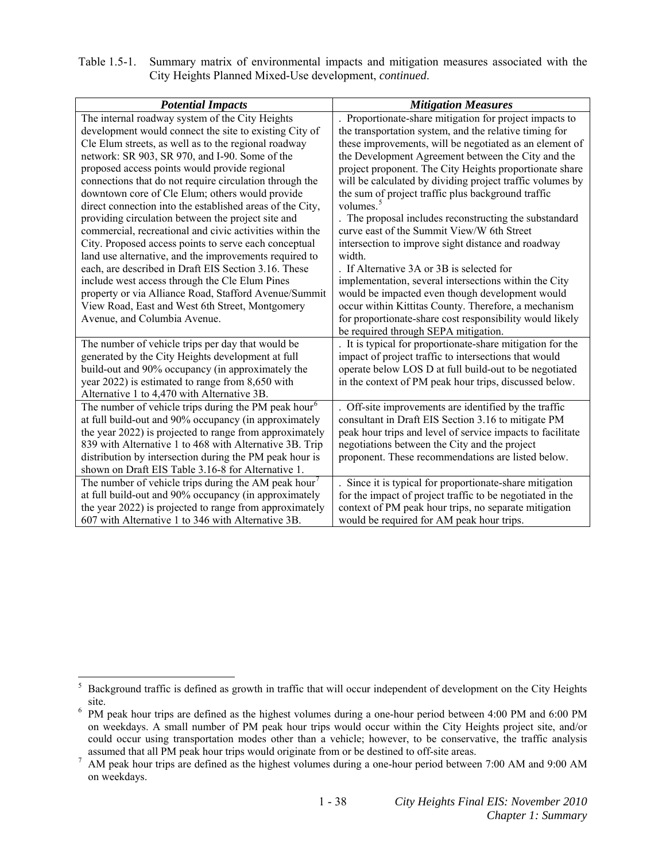| Table 1.5-1. Summary matrix of environmental impacts and mitigation measures associated with the |
|--------------------------------------------------------------------------------------------------|
| City Heights Planned Mixed-Use development, <i>continued</i> .                                   |

| <b>Potential Impacts</b>                                         | <b>Mitigation Measures</b>                                 |
|------------------------------------------------------------------|------------------------------------------------------------|
| The internal roadway system of the City Heights                  | . Proportionate-share mitigation for project impacts to    |
| development would connect the site to existing City of           | the transportation system, and the relative timing for     |
| Cle Elum streets, as well as to the regional roadway             | these improvements, will be negotiated as an element of    |
| network: SR 903, SR 970, and I-90. Some of the                   | the Development Agreement between the City and the         |
| proposed access points would provide regional                    | project proponent. The City Heights proportionate share    |
| connections that do not require circulation through the          | will be calculated by dividing project traffic volumes by  |
| downtown core of Cle Elum; others would provide                  | the sum of project traffic plus background traffic         |
| direct connection into the established areas of the City,        | volumes. <sup>5</sup>                                      |
| providing circulation between the project site and               | . The proposal includes reconstructing the substandard     |
| commercial, recreational and civic activities within the         | curve east of the Summit View/W 6th Street                 |
| City. Proposed access points to serve each conceptual            | intersection to improve sight distance and roadway         |
| land use alternative, and the improvements required to           | width.                                                     |
| each, are described in Draft EIS Section 3.16. These             | . If Alternative 3A or 3B is selected for                  |
| include west access through the Cle Elum Pines                   | implementation, several intersections within the City      |
| property or via Alliance Road, Stafford Avenue/Summit            | would be impacted even though development would            |
| View Road, East and West 6th Street, Montgomery                  | occur within Kittitas County. Therefore, a mechanism       |
| Avenue, and Columbia Avenue.                                     | for proportionate-share cost responsibility would likely   |
|                                                                  | be required through SEPA mitigation.                       |
| The number of vehicle trips per day that would be                | . It is typical for proportionate-share mitigation for the |
| generated by the City Heights development at full                | impact of project traffic to intersections that would      |
| build-out and 90% occupancy (in approximately the                | operate below LOS D at full build-out to be negotiated     |
| year 2022) is estimated to range from 8,650 with                 | in the context of PM peak hour trips, discussed below.     |
| Alternative 1 to 4,470 with Alternative 3B.                      |                                                            |
| The number of vehicle trips during the PM peak hour <sup>6</sup> | . Off-site improvements are identified by the traffic      |
| at full build-out and 90% occupancy (in approximately            | consultant in Draft EIS Section 3.16 to mitigate PM        |
| the year 2022) is projected to range from approximately          | peak hour trips and level of service impacts to facilitate |
| 839 with Alternative 1 to 468 with Alternative 3B. Trip          | negotiations between the City and the project              |
| distribution by intersection during the PM peak hour is          | proponent. These recommendations are listed below.         |
| shown on Draft EIS Table 3.16-8 for Alternative 1.               |                                                            |
| The number of vehicle trips during the AM peak hour <sup>7</sup> | Since it is typical for proportionate-share mitigation     |
| at full build-out and 90% occupancy (in approximately            | for the impact of project traffic to be negotiated in the  |
| the year 2022) is projected to range from approximately          | context of PM peak hour trips, no separate mitigation      |
| 607 with Alternative 1 to 346 with Alternative 3B.               | would be required for AM peak hour trips.                  |

<span id="page-47-0"></span> 5 Background traffic is defined as growth in traffic that will occur independent of development on the City Heights

<span id="page-47-1"></span>site.<br><sup>6</sup> PM peak hour trips are defined as the highest volumes during a one-hour period between 4:00 PM and 6:00 PM on weekdays. A small number of PM peak hour trips would occur within the City Heights project site, and/or could occur using transportation modes other than a vehicle; however, to be conservative, the traffic analysis

<span id="page-47-2"></span>assumed that all PM peak hour trips would originate from or be destined to off-site areas.<br><sup>7</sup> AM peak hour trips are defined as the highest volumes during a one-hour period between 7:00 AM and 9:00 AM on weekdays.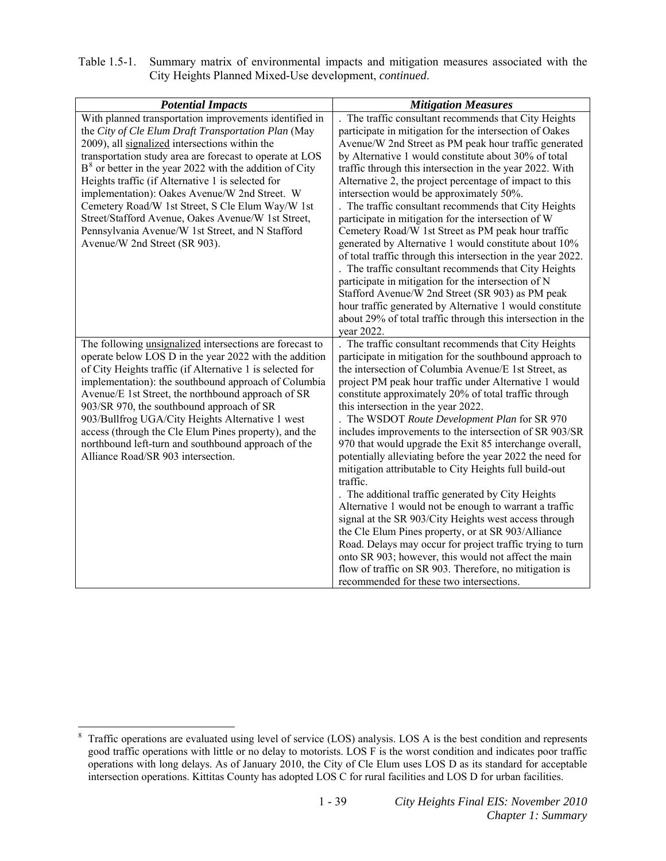| Table 1.5-1. Summary matrix of environmental impacts and mitigation measures associated with the |
|--------------------------------------------------------------------------------------------------|
| City Heights Planned Mixed-Use development, <i>continued</i> .                                   |

| <b>Potential Impacts</b>                                                                                                                                                                                                                                                                                                                                                                                                                                                                                                                                                                       | <b>Mitigation Measures</b>                                                                                                                                                                                                                                                                                                                                                                                                                                                                                                                                                                                                                                                                                                                                                                                                                                                                                                                                                                                                                                                                         |
|------------------------------------------------------------------------------------------------------------------------------------------------------------------------------------------------------------------------------------------------------------------------------------------------------------------------------------------------------------------------------------------------------------------------------------------------------------------------------------------------------------------------------------------------------------------------------------------------|----------------------------------------------------------------------------------------------------------------------------------------------------------------------------------------------------------------------------------------------------------------------------------------------------------------------------------------------------------------------------------------------------------------------------------------------------------------------------------------------------------------------------------------------------------------------------------------------------------------------------------------------------------------------------------------------------------------------------------------------------------------------------------------------------------------------------------------------------------------------------------------------------------------------------------------------------------------------------------------------------------------------------------------------------------------------------------------------------|
| With planned transportation improvements identified in<br>the City of Cle Elum Draft Transportation Plan (May<br>2009), all signalized intersections within the<br>transportation study area are forecast to operate at LOS<br>$B^8$ or better in the year 2022 with the addition of City<br>Heights traffic (if Alternative 1 is selected for<br>implementation): Oakes Avenue/W 2nd Street. W<br>Cemetery Road/W 1st Street, S Cle Elum Way/W 1st<br>Street/Stafford Avenue, Oakes Avenue/W 1st Street,<br>Pennsylvania Avenue/W 1st Street, and N Stafford<br>Avenue/W 2nd Street (SR 903). | The traffic consultant recommends that City Heights<br>participate in mitigation for the intersection of Oakes<br>Avenue/W 2nd Street as PM peak hour traffic generated<br>by Alternative 1 would constitute about 30% of total<br>traffic through this intersection in the year 2022. With<br>Alternative 2, the project percentage of impact to this<br>intersection would be approximately 50%.<br>. The traffic consultant recommends that City Heights<br>participate in mitigation for the intersection of W<br>Cemetery Road/W 1st Street as PM peak hour traffic<br>generated by Alternative 1 would constitute about 10%<br>of total traffic through this intersection in the year 2022.<br>. The traffic consultant recommends that City Heights<br>participate in mitigation for the intersection of N<br>Stafford Avenue/W 2nd Street (SR 903) as PM peak<br>hour traffic generated by Alternative 1 would constitute<br>about 29% of total traffic through this intersection in the<br>year 2022.                                                                                     |
| The following unsignalized intersections are forecast to<br>operate below LOS D in the year 2022 with the addition<br>of City Heights traffic (if Alternative 1 is selected for<br>implementation): the southbound approach of Columbia<br>Avenue/E 1st Street, the northbound approach of SR<br>903/SR 970, the southbound approach of SR<br>903/Bullfrog UGA/City Heights Alternative 1 west<br>access (through the Cle Elum Pines property), and the<br>northbound left-turn and southbound approach of the<br>Alliance Road/SR 903 intersection.                                           | The traffic consultant recommends that City Heights<br>participate in mitigation for the southbound approach to<br>the intersection of Columbia Avenue/E 1st Street, as<br>project PM peak hour traffic under Alternative 1 would<br>constitute approximately 20% of total traffic through<br>this intersection in the year 2022.<br>. The WSDOT Route Development Plan for SR 970<br>includes improvements to the intersection of SR 903/SR<br>970 that would upgrade the Exit 85 interchange overall,<br>potentially alleviating before the year 2022 the need for<br>mitigation attributable to City Heights full build-out<br>traffic.<br>The additional traffic generated by City Heights<br>Alternative 1 would not be enough to warrant a traffic<br>signal at the SR 903/City Heights west access through<br>the Cle Elum Pines property, or at SR 903/Alliance<br>Road. Delays may occur for project traffic trying to turn<br>onto SR 903; however, this would not affect the main<br>flow of traffic on SR 903. Therefore, no mitigation is<br>recommended for these two intersections. |

<span id="page-48-0"></span><sup>&</sup>lt;sup>8</sup> Traffic operations are evaluated using level of service (LOS) analysis. LOS A is the best condition and represents good traffic operations with little or no delay to motorists. LOS F is the worst condition and indicates poor traffic operations with long delays. As of January 2010, the City of Cle Elum uses LOS D as its standard for acceptable intersection operations. Kittitas County has adopted LOS C for rural facilities and LOS D for urban facilities.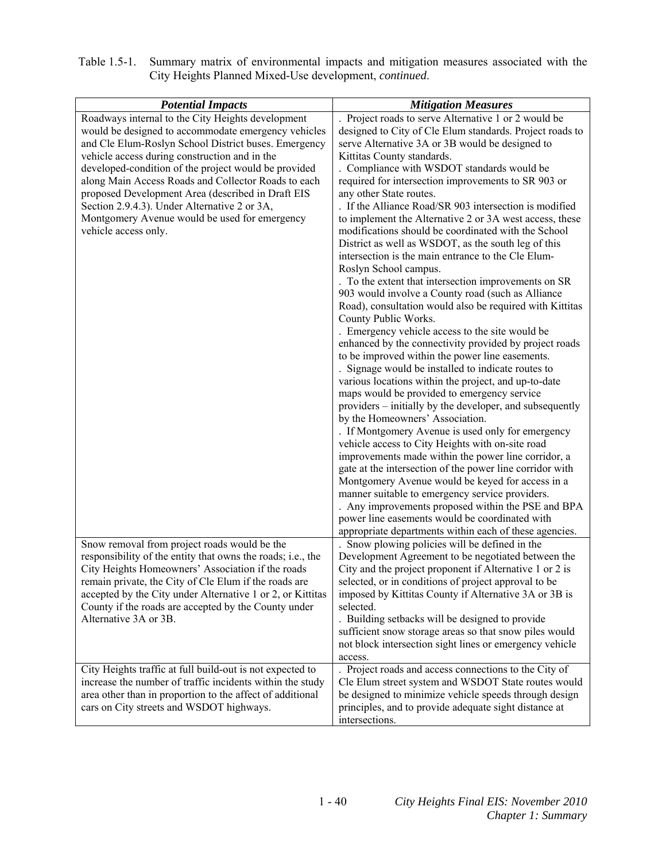| Table 1.5-1. Summary matrix of environmental impacts and mitigation measures associated with the |
|--------------------------------------------------------------------------------------------------|
| City Heights Planned Mixed-Use development, <i>continued</i> .                                   |

| <b>Potential Impacts</b>                                    | <b>Mitigation Measures</b>                               |
|-------------------------------------------------------------|----------------------------------------------------------|
| Roadways internal to the City Heights development           | . Project roads to serve Alternative 1 or 2 would be     |
| would be designed to accommodate emergency vehicles         | designed to City of Cle Elum standards. Project roads to |
| and Cle Elum-Roslyn School District buses. Emergency        | serve Alternative 3A or 3B would be designed to          |
| vehicle access during construction and in the               | Kittitas County standards.                               |
| developed-condition of the project would be provided        | . Compliance with WSDOT standards would be               |
| along Main Access Roads and Collector Roads to each         | required for intersection improvements to SR 903 or      |
| proposed Development Area (described in Draft EIS           | any other State routes.                                  |
| Section 2.9.4.3). Under Alternative 2 or 3A,                | . If the Alliance Road/SR 903 intersection is modified   |
| Montgomery Avenue would be used for emergency               | to implement the Alternative 2 or 3A west access, these  |
| vehicle access only.                                        | modifications should be coordinated with the School      |
|                                                             | District as well as WSDOT, as the south leg of this      |
|                                                             | intersection is the main entrance to the Cle Elum-       |
|                                                             | Roslyn School campus.                                    |
|                                                             | . To the extent that intersection improvements on SR     |
|                                                             | 903 would involve a County road (such as Alliance        |
|                                                             | Road), consultation would also be required with Kittitas |
|                                                             | County Public Works.                                     |
|                                                             | . Emergency vehicle access to the site would be          |
|                                                             | enhanced by the connectivity provided by project roads   |
|                                                             | to be improved within the power line easements.          |
|                                                             | Signage would be installed to indicate routes to         |
|                                                             | various locations within the project, and up-to-date     |
|                                                             | maps would be provided to emergency service              |
|                                                             | providers – initially by the developer, and subsequently |
|                                                             | by the Homeowners' Association.                          |
|                                                             | . If Montgomery Avenue is used only for emergency        |
|                                                             | vehicle access to City Heights with on-site road         |
|                                                             | improvements made within the power line corridor, a      |
|                                                             | gate at the intersection of the power line corridor with |
|                                                             | Montgomery Avenue would be keyed for access in a         |
|                                                             | manner suitable to emergency service providers.          |
|                                                             | . Any improvements proposed within the PSE and BPA       |
|                                                             | power line easements would be coordinated with           |
|                                                             | appropriate departments within each of these agencies.   |
| Snow removal from project roads would be the                | . Snow plowing policies will be defined in the           |
| responsibility of the entity that owns the roads; i.e., the | Development Agreement to be negotiated between the       |
| City Heights Homeowners' Association if the roads           | City and the project proponent if Alternative 1 or 2 is  |
| remain private, the City of Cle Elum if the roads are       | selected, or in conditions of project approval to be     |
| accepted by the City under Alternative 1 or 2, or Kittitas  | imposed by Kittitas County if Alternative 3A or 3B is    |
| County if the roads are accepted by the County under        | selected.                                                |
| Alternative 3A or 3B.                                       | . Building setbacks will be designed to provide          |
|                                                             | sufficient snow storage areas so that snow piles would   |
|                                                             | not block intersection sight lines or emergency vehicle  |
|                                                             | access.                                                  |
| City Heights traffic at full build-out is not expected to   | . Project roads and access connections to the City of    |
| increase the number of traffic incidents within the study   | Cle Elum street system and WSDOT State routes would      |
| area other than in proportion to the affect of additional   | be designed to minimize vehicle speeds through design    |
| cars on City streets and WSDOT highways.                    | principles, and to provide adequate sight distance at    |
|                                                             | intersections.                                           |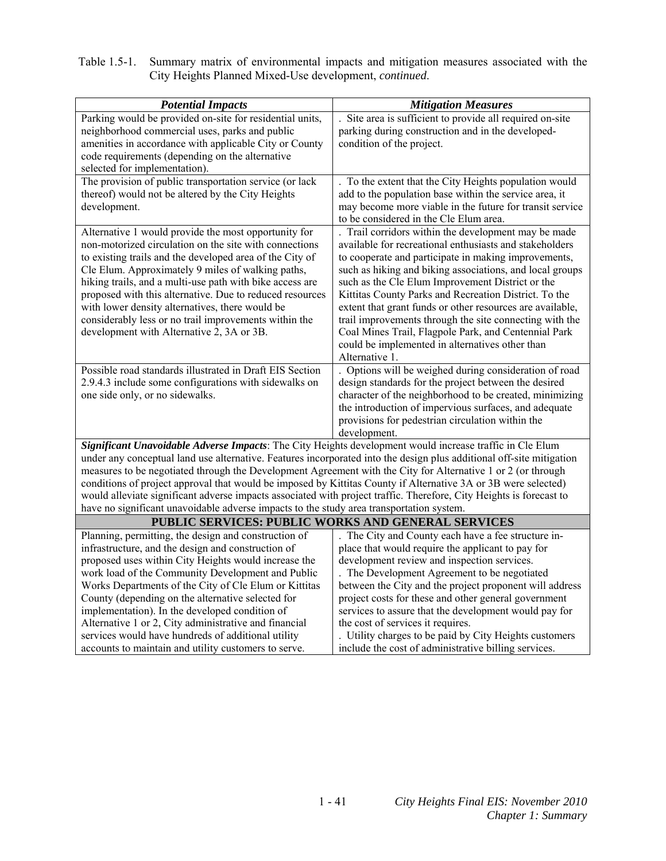| Table 1.5-1. Summary matrix of environmental impacts and mitigation measures associated with the |
|--------------------------------------------------------------------------------------------------|
| City Heights Planned Mixed-Use development, <i>continued</i> .                                   |

| <b>Potential Impacts</b>                                                                                                                                                                                                       | <b>Mitigation Measures</b>                                                                                         |  |
|--------------------------------------------------------------------------------------------------------------------------------------------------------------------------------------------------------------------------------|--------------------------------------------------------------------------------------------------------------------|--|
| Parking would be provided on-site for residential units,                                                                                                                                                                       | Site area is sufficient to provide all required on-site                                                            |  |
| neighborhood commercial uses, parks and public                                                                                                                                                                                 | parking during construction and in the developed-                                                                  |  |
| amenities in accordance with applicable City or County                                                                                                                                                                         | condition of the project.                                                                                          |  |
| code requirements (depending on the alternative                                                                                                                                                                                |                                                                                                                    |  |
| selected for implementation).                                                                                                                                                                                                  |                                                                                                                    |  |
| The provision of public transportation service (or lack                                                                                                                                                                        | . To the extent that the City Heights population would                                                             |  |
| thereof) would not be altered by the City Heights                                                                                                                                                                              | add to the population base within the service area, it                                                             |  |
| development.                                                                                                                                                                                                                   | may become more viable in the future for transit service                                                           |  |
|                                                                                                                                                                                                                                | to be considered in the Cle Elum area.                                                                             |  |
| Alternative 1 would provide the most opportunity for                                                                                                                                                                           | Trail corridors within the development may be made                                                                 |  |
| non-motorized circulation on the site with connections                                                                                                                                                                         | available for recreational enthusiasts and stakeholders                                                            |  |
| to existing trails and the developed area of the City of                                                                                                                                                                       | to cooperate and participate in making improvements,                                                               |  |
| Cle Elum. Approximately 9 miles of walking paths,                                                                                                                                                                              | such as hiking and biking associations, and local groups                                                           |  |
| hiking trails, and a multi-use path with bike access are<br>proposed with this alternative. Due to reduced resources                                                                                                           | such as the Cle Elum Improvement District or the                                                                   |  |
| with lower density alternatives, there would be                                                                                                                                                                                | Kittitas County Parks and Recreation District. To the<br>extent that grant funds or other resources are available, |  |
| considerably less or no trail improvements within the                                                                                                                                                                          | trail improvements through the site connecting with the                                                            |  |
| development with Alternative 2, 3A or 3B.                                                                                                                                                                                      | Coal Mines Trail, Flagpole Park, and Centennial Park                                                               |  |
|                                                                                                                                                                                                                                | could be implemented in alternatives other than                                                                    |  |
|                                                                                                                                                                                                                                | Alternative 1.                                                                                                     |  |
| Possible road standards illustrated in Draft EIS Section                                                                                                                                                                       | . Options will be weighed during consideration of road                                                             |  |
| 2.9.4.3 include some configurations with sidewalks on                                                                                                                                                                          | design standards for the project between the desired                                                               |  |
| one side only, or no sidewalks.                                                                                                                                                                                                | character of the neighborhood to be created, minimizing                                                            |  |
|                                                                                                                                                                                                                                | the introduction of impervious surfaces, and adequate                                                              |  |
|                                                                                                                                                                                                                                | provisions for pedestrian circulation within the                                                                   |  |
|                                                                                                                                                                                                                                | development.                                                                                                       |  |
| Significant Unavoidable Adverse Impacts: The City Heights development would increase traffic in Cle Elum                                                                                                                       |                                                                                                                    |  |
| under any conceptual land use alternative. Features incorporated into the design plus additional off-site mitigation                                                                                                           |                                                                                                                    |  |
| measures to be negotiated through the Development Agreement with the City for Alternative 1 or 2 (or through<br>conditions of project approval that would be imposed by Kittitas County if Alternative 3A or 3B were selected) |                                                                                                                    |  |
| would alleviate significant adverse impacts associated with project traffic. Therefore, City Heights is forecast to                                                                                                            |                                                                                                                    |  |
| have no significant unavoidable adverse impacts to the study area transportation system.                                                                                                                                       |                                                                                                                    |  |
| PUBLIC SERVICES: PUBLIC WORKS AND GENERAL SERVICES                                                                                                                                                                             |                                                                                                                    |  |
| Planning, permitting, the design and construction of                                                                                                                                                                           | The City and County each have a fee structure in-                                                                  |  |
| infrastructure, and the design and construction of                                                                                                                                                                             | place that would require the applicant to pay for                                                                  |  |
| proposed uses within City Heights would increase the                                                                                                                                                                           | development review and inspection services.                                                                        |  |
| work load of the Community Development and Public                                                                                                                                                                              | The Development Agreement to be negotiated                                                                         |  |
| Works Departments of the City of Cle Elum or Kittitas                                                                                                                                                                          | between the City and the project proponent will address                                                            |  |
| County (depending on the alternative selected for                                                                                                                                                                              | project costs for these and other general government                                                               |  |
| implementation). In the developed condition of                                                                                                                                                                                 | services to assure that the development would pay for                                                              |  |
| Alternative 1 or 2, City administrative and financial<br>services would have hundreds of additional utility                                                                                                                    | the cost of services it requires.<br>. Utility charges to be paid by City Heights customers                        |  |
| accounts to maintain and utility customers to serve.                                                                                                                                                                           | include the cost of administrative billing services.                                                               |  |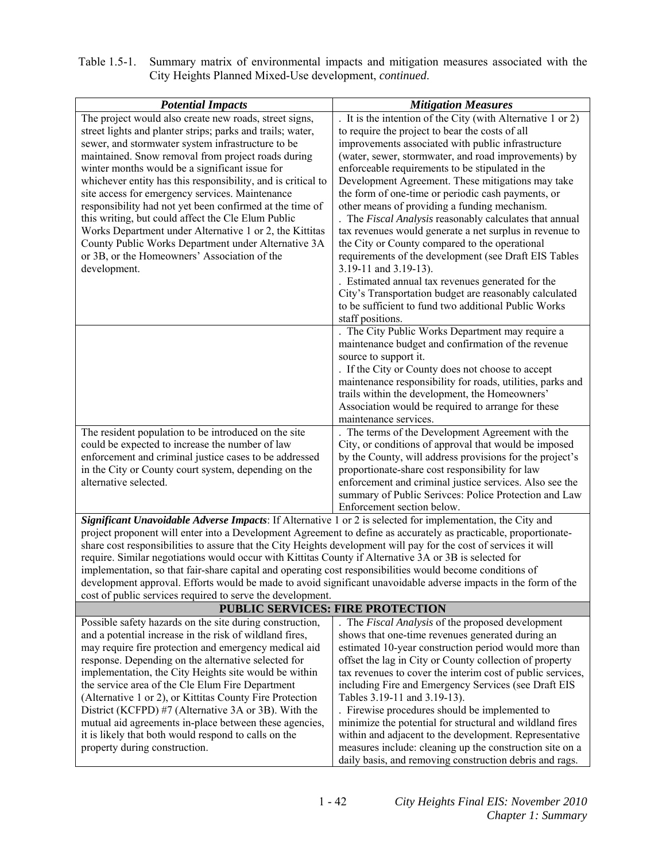| Table 1.5-1. Summary matrix of environmental impacts and mitigation measures associated with the |
|--------------------------------------------------------------------------------------------------|
| City Heights Planned Mixed-Use development, <i>continued</i> .                                   |

| <b>Potential Impacts</b>                                                                                          | <b>Mitigation Measures</b>                                                                                         |
|-------------------------------------------------------------------------------------------------------------------|--------------------------------------------------------------------------------------------------------------------|
| The project would also create new roads, street signs,                                                            | . It is the intention of the City (with Alternative 1 or 2)                                                        |
| street lights and planter strips; parks and trails; water,                                                        | to require the project to bear the costs of all                                                                    |
| sewer, and stormwater system infrastructure to be                                                                 | improvements associated with public infrastructure                                                                 |
| maintained. Snow removal from project roads during                                                                | (water, sewer, stormwater, and road improvements) by                                                               |
| winter months would be a significant issue for                                                                    | enforceable requirements to be stipulated in the                                                                   |
| whichever entity has this responsibility, and is critical to                                                      | Development Agreement. These mitigations may take                                                                  |
| site access for emergency services. Maintenance                                                                   | the form of one-time or periodic cash payments, or                                                                 |
| responsibility had not yet been confirmed at the time of                                                          | other means of providing a funding mechanism.                                                                      |
| this writing, but could affect the Cle Elum Public                                                                | The Fiscal Analysis reasonably calculates that annual<br>tax revenues would generate a net surplus in revenue to   |
| Works Department under Alternative 1 or 2, the Kittitas<br>County Public Works Department under Alternative 3A    | the City or County compared to the operational                                                                     |
| or 3B, or the Homeowners' Association of the                                                                      | requirements of the development (see Draft EIS Tables                                                              |
| development.                                                                                                      | 3.19-11 and 3.19-13).                                                                                              |
|                                                                                                                   | . Estimated annual tax revenues generated for the                                                                  |
|                                                                                                                   | City's Transportation budget are reasonably calculated                                                             |
|                                                                                                                   | to be sufficient to fund two additional Public Works                                                               |
|                                                                                                                   | staff positions.                                                                                                   |
|                                                                                                                   | The City Public Works Department may require a                                                                     |
|                                                                                                                   | maintenance budget and confirmation of the revenue                                                                 |
|                                                                                                                   | source to support it.                                                                                              |
|                                                                                                                   | . If the City or County does not choose to accept                                                                  |
|                                                                                                                   | maintenance responsibility for roads, utilities, parks and                                                         |
|                                                                                                                   | trails within the development, the Homeowners'                                                                     |
|                                                                                                                   | Association would be required to arrange for these                                                                 |
|                                                                                                                   | maintenance services.                                                                                              |
| The resident population to be introduced on the site                                                              | The terms of the Development Agreement with the                                                                    |
| could be expected to increase the number of law                                                                   | City, or conditions of approval that would be imposed                                                              |
| enforcement and criminal justice cases to be addressed                                                            | by the County, will address provisions for the project's                                                           |
| in the City or County court system, depending on the<br>alternative selected.                                     | proportionate-share cost responsibility for law                                                                    |
|                                                                                                                   | enforcement and criminal justice services. Also see the<br>summary of Public Serivces: Police Protection and Law   |
|                                                                                                                   | Enforcement section below.                                                                                         |
| Significant Unavoidable Adverse Impacts: If Alternative 1 or 2 is selected for implementation, the City and       |                                                                                                                    |
| project proponent will enter into a Development Agreement to define as accurately as practicable, proportionate-  |                                                                                                                    |
| share cost responsibilities to assure that the City Heights development will pay for the cost of services it will |                                                                                                                    |
| require. Similar negotiations would occur with Kittitas County if Alternative 3A or 3B is selected for            |                                                                                                                    |
| implementation, so that fair-share capital and operating cost responsibilities would become conditions of         |                                                                                                                    |
| development approval. Efforts would be made to avoid significant unavoidable adverse impacts in the form of the   |                                                                                                                    |
| cost of public services required to serve the development.                                                        |                                                                                                                    |
|                                                                                                                   | <b>PUBLIC SERVICES: FIRE PROTECTION</b>                                                                            |
| Possible safety hazards on the site during construction,                                                          | . The Fiscal Analysis of the proposed development                                                                  |
| and a potential increase in the risk of wildland fires,                                                           | shows that one-time revenues generated during an                                                                   |
| may require fire protection and emergency medical aid                                                             | estimated 10-year construction period would more than                                                              |
| response. Depending on the alternative selected for                                                               | offset the lag in City or County collection of property                                                            |
| implementation, the City Heights site would be within                                                             | tax revenues to cover the interim cost of public services,                                                         |
| the service area of the Cle Elum Fire Department                                                                  | including Fire and Emergency Services (see Draft EIS                                                               |
| (Alternative 1 or 2), or Kittitas County Fire Protection                                                          | Tables 3.19-11 and 3.19-13).                                                                                       |
| District (KCFPD) #7 (Alternative 3A or 3B). With the                                                              | . Firewise procedures should be implemented to                                                                     |
| mutual aid agreements in-place between these agencies,<br>it is likely that both would respond to calls on the    | minimize the potential for structural and wildland fires<br>within and adjacent to the development. Representative |
| property during construction.                                                                                     | measures include: cleaning up the construction site on a                                                           |
|                                                                                                                   | daily basis, and removing construction debris and rags.                                                            |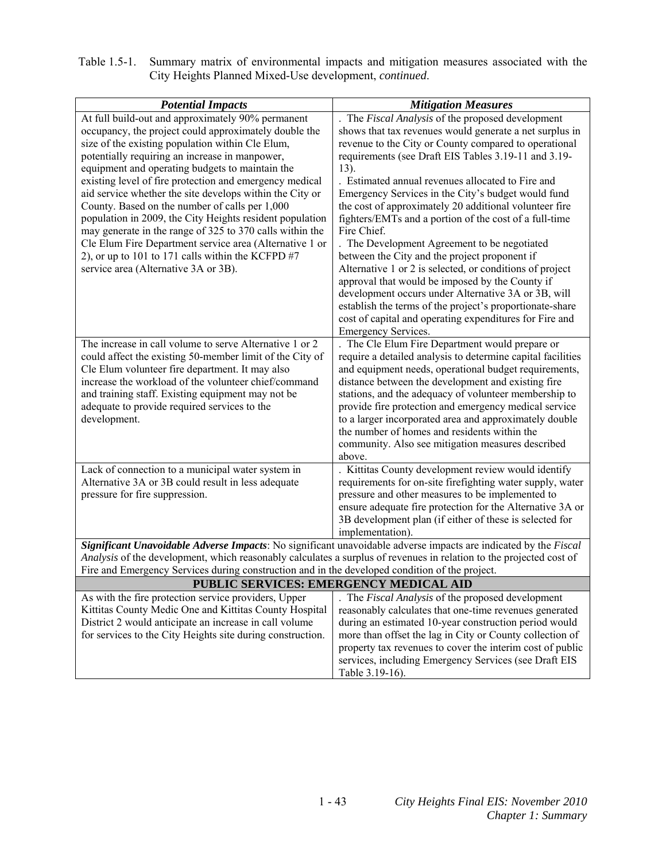| Table 1.5-1. Summary matrix of environmental impacts and mitigation measures associated with the |
|--------------------------------------------------------------------------------------------------|
| City Heights Planned Mixed-Use development, <i>continued</i> .                                   |

| <b>Potential Impacts</b>                                                                                                                                                                                                                                                                                                                                                                                                                                                                                                                                                                                                                                                                                                       | <b>Mitigation Measures</b>                                                                                                                                                                                                                                                                                                                                                                                                                                                                                                                                                                                                                                                                                                                                                                                                                                                                                       |
|--------------------------------------------------------------------------------------------------------------------------------------------------------------------------------------------------------------------------------------------------------------------------------------------------------------------------------------------------------------------------------------------------------------------------------------------------------------------------------------------------------------------------------------------------------------------------------------------------------------------------------------------------------------------------------------------------------------------------------|------------------------------------------------------------------------------------------------------------------------------------------------------------------------------------------------------------------------------------------------------------------------------------------------------------------------------------------------------------------------------------------------------------------------------------------------------------------------------------------------------------------------------------------------------------------------------------------------------------------------------------------------------------------------------------------------------------------------------------------------------------------------------------------------------------------------------------------------------------------------------------------------------------------|
| At full build-out and approximately 90% permanent<br>occupancy, the project could approximately double the<br>size of the existing population within Cle Elum,<br>potentially requiring an increase in manpower,<br>equipment and operating budgets to maintain the<br>existing level of fire protection and emergency medical<br>aid service whether the site develops within the City or<br>County. Based on the number of calls per 1,000<br>population in 2009, the City Heights resident population<br>may generate in the range of 325 to 370 calls within the<br>Cle Elum Fire Department service area (Alternative 1 or<br>2), or up to 101 to 171 calls within the KCFPD $#7$<br>service area (Alternative 3A or 3B). | The Fiscal Analysis of the proposed development<br>shows that tax revenues would generate a net surplus in<br>revenue to the City or County compared to operational<br>requirements (see Draft EIS Tables 3.19-11 and 3.19-<br>$13)$ .<br>. Estimated annual revenues allocated to Fire and<br>Emergency Services in the City's budget would fund<br>the cost of approximately 20 additional volunteer fire<br>fighters/EMTs and a portion of the cost of a full-time<br>Fire Chief.<br>. The Development Agreement to be negotiated<br>between the City and the project proponent if<br>Alternative 1 or 2 is selected, or conditions of project<br>approval that would be imposed by the County if<br>development occurs under Alternative 3A or 3B, will<br>establish the terms of the project's proportionate-share<br>cost of capital and operating expenditures for Fire and<br><b>Emergency Services.</b> |
| The increase in call volume to serve Alternative 1 or 2<br>could affect the existing 50-member limit of the City of<br>Cle Elum volunteer fire department. It may also<br>increase the workload of the volunteer chief/command<br>and training staff. Existing equipment may not be<br>adequate to provide required services to the<br>development.                                                                                                                                                                                                                                                                                                                                                                            | . The Cle Elum Fire Department would prepare or<br>require a detailed analysis to determine capital facilities<br>and equipment needs, operational budget requirements,<br>distance between the development and existing fire<br>stations, and the adequacy of volunteer membership to<br>provide fire protection and emergency medical service<br>to a larger incorporated area and approximately double<br>the number of homes and residents within the<br>community. Also see mitigation measures described<br>above.                                                                                                                                                                                                                                                                                                                                                                                         |
| Lack of connection to a municipal water system in<br>Alternative 3A or 3B could result in less adequate<br>pressure for fire suppression.                                                                                                                                                                                                                                                                                                                                                                                                                                                                                                                                                                                      | . Kittitas County development review would identify<br>requirements for on-site firefighting water supply, water<br>pressure and other measures to be implemented to<br>ensure adequate fire protection for the Alternative 3A or<br>3B development plan (if either of these is selected for<br>implementation).                                                                                                                                                                                                                                                                                                                                                                                                                                                                                                                                                                                                 |
| Significant Unavoidable Adverse Impacts: No significant unavoidable adverse impacts are indicated by the Fiscal                                                                                                                                                                                                                                                                                                                                                                                                                                                                                                                                                                                                                |                                                                                                                                                                                                                                                                                                                                                                                                                                                                                                                                                                                                                                                                                                                                                                                                                                                                                                                  |
| Analysis of the development, which reasonably calculates a surplus of revenues in relation to the projected cost of                                                                                                                                                                                                                                                                                                                                                                                                                                                                                                                                                                                                            |                                                                                                                                                                                                                                                                                                                                                                                                                                                                                                                                                                                                                                                                                                                                                                                                                                                                                                                  |
| Fire and Emergency Services during construction and in the developed condition of the project.                                                                                                                                                                                                                                                                                                                                                                                                                                                                                                                                                                                                                                 |                                                                                                                                                                                                                                                                                                                                                                                                                                                                                                                                                                                                                                                                                                                                                                                                                                                                                                                  |
|                                                                                                                                                                                                                                                                                                                                                                                                                                                                                                                                                                                                                                                                                                                                | PUBLIC SERVICES: EMERGENCY MEDICAL AID                                                                                                                                                                                                                                                                                                                                                                                                                                                                                                                                                                                                                                                                                                                                                                                                                                                                           |
| As with the fire protection service providers, Upper<br>Kittitas County Medic One and Kittitas County Hospital<br>District 2 would anticipate an increase in call volume<br>for services to the City Heights site during construction.                                                                                                                                                                                                                                                                                                                                                                                                                                                                                         | . The Fiscal Analysis of the proposed development<br>reasonably calculates that one-time revenues generated<br>during an estimated 10-year construction period would<br>more than offset the lag in City or County collection of<br>property tax revenues to cover the interim cost of public<br>services, including Emergency Services (see Draft EIS<br>Table 3.19-16).                                                                                                                                                                                                                                                                                                                                                                                                                                                                                                                                        |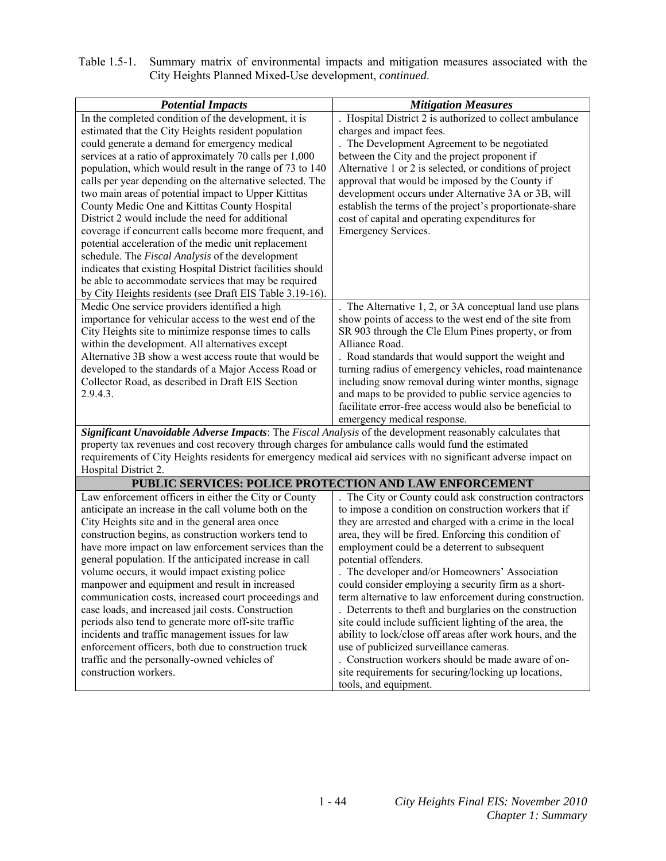| Table 1.5-1. Summary matrix of environmental impacts and mitigation measures associated with the |
|--------------------------------------------------------------------------------------------------|
| City Heights Planned Mixed-Use development, <i>continued</i> .                                   |

| <b>Potential Impacts</b>                                                                                        | <b>Mitigation Measures</b>                                |  |  |
|-----------------------------------------------------------------------------------------------------------------|-----------------------------------------------------------|--|--|
| In the completed condition of the development, it is                                                            | . Hospital District 2 is authorized to collect ambulance  |  |  |
| estimated that the City Heights resident population                                                             | charges and impact fees.                                  |  |  |
| could generate a demand for emergency medical                                                                   | The Development Agreement to be negotiated                |  |  |
| services at a ratio of approximately 70 calls per 1,000                                                         | between the City and the project proponent if             |  |  |
| population, which would result in the range of 73 to 140                                                        | Alternative 1 or 2 is selected, or conditions of project  |  |  |
| calls per year depending on the alternative selected. The                                                       | approval that would be imposed by the County if           |  |  |
| two main areas of potential impact to Upper Kittitas                                                            | development occurs under Alternative 3A or 3B, will       |  |  |
| County Medic One and Kittitas County Hospital                                                                   | establish the terms of the project's proportionate-share  |  |  |
| District 2 would include the need for additional                                                                | cost of capital and operating expenditures for            |  |  |
| coverage if concurrent calls become more frequent, and                                                          | Emergency Services.                                       |  |  |
| potential acceleration of the medic unit replacement                                                            |                                                           |  |  |
| schedule. The Fiscal Analysis of the development                                                                |                                                           |  |  |
| indicates that existing Hospital District facilities should                                                     |                                                           |  |  |
| be able to accommodate services that may be required                                                            |                                                           |  |  |
| by City Heights residents (see Draft EIS Table 3.19-16).                                                        |                                                           |  |  |
| Medic One service providers identified a high                                                                   | . The Alternative 1, 2, or 3A conceptual land use plans   |  |  |
| importance for vehicular access to the west end of the                                                          | show points of access to the west end of the site from    |  |  |
| City Heights site to minimize response times to calls                                                           | SR 903 through the Cle Elum Pines property, or from       |  |  |
| within the development. All alternatives except                                                                 | Alliance Road.                                            |  |  |
| Alternative 3B show a west access route that would be                                                           | . Road standards that would support the weight and        |  |  |
| developed to the standards of a Major Access Road or                                                            | turning radius of emergency vehicles, road maintenance    |  |  |
| Collector Road, as described in Draft EIS Section                                                               | including snow removal during winter months, signage      |  |  |
| 2.9.4.3.                                                                                                        | and maps to be provided to public service agencies to     |  |  |
|                                                                                                                 | facilitate error-free access would also be beneficial to  |  |  |
|                                                                                                                 | emergency medical response.                               |  |  |
| Significant Unavoidable Adverse Impacts: The Fiscal Analysis of the development reasonably calculates that      |                                                           |  |  |
| property tax revenues and cost recovery through charges for ambulance calls would fund the estimated            |                                                           |  |  |
| requirements of City Heights residents for emergency medical aid services with no significant adverse impact on |                                                           |  |  |
| Hospital District 2.                                                                                            |                                                           |  |  |
| <b>PUBLIC SERVICES: POLICE PROTECTION AND LAW ENFORCEMENT</b>                                                   |                                                           |  |  |
| Law enforcement officers in either the City or County                                                           | The City or County could ask construction contractors     |  |  |
| anticipate an increase in the call volume both on the                                                           | to impose a condition on construction workers that if     |  |  |
| City Heights site and in the general area once                                                                  | they are arrested and charged with a crime in the local   |  |  |
| construction begins, as construction workers tend to                                                            | area, they will be fired. Enforcing this condition of     |  |  |
| have more impact on law enforcement services than the                                                           | employment could be a deterrent to subsequent             |  |  |
| general population. If the anticipated increase in call                                                         | potential offenders.                                      |  |  |
| volume occurs, it would impact existing police                                                                  | The developer and/or Homeowners' Association              |  |  |
| manpower and equipment and result in increased                                                                  | could consider employing a security firm as a short-      |  |  |
| communication costs, increased court proceedings and                                                            | term alternative to law enforcement during construction.  |  |  |
| case loads, and increased jail costs. Construction                                                              | . Deterrents to theft and burglaries on the construction  |  |  |
| periods also tend to generate more off-site traffic                                                             | site could include sufficient lighting of the area, the   |  |  |
| incidents and traffic management issues for law                                                                 | ability to lock/close off areas after work hours, and the |  |  |
| enforcement officers, both due to construction truck                                                            | use of publicized surveillance cameras.                   |  |  |
| traffic and the personally-owned vehicles of                                                                    | . Construction workers should be made aware of on-        |  |  |
| construction workers.                                                                                           | site requirements for securing/locking up locations,      |  |  |
|                                                                                                                 | tools, and equipment.                                     |  |  |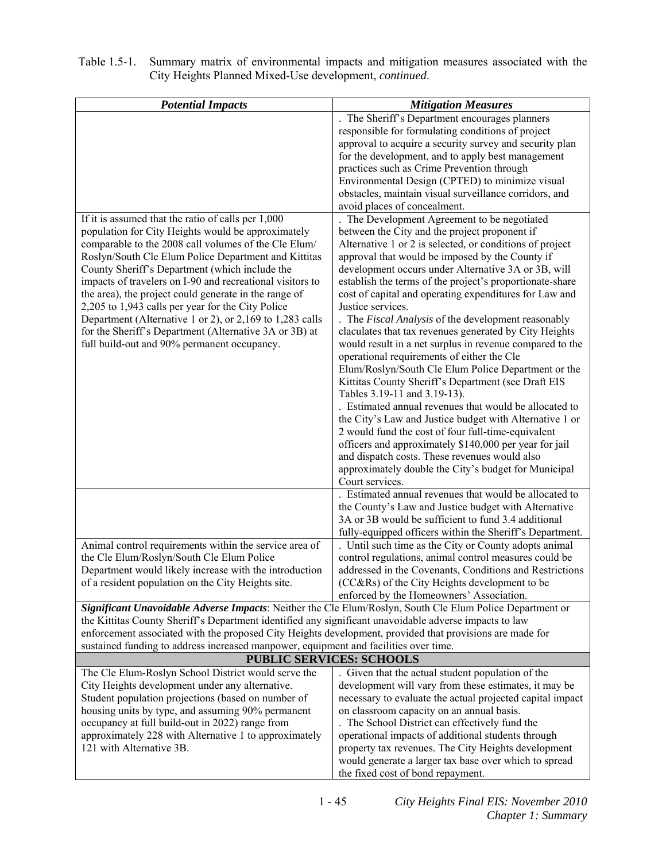| Table 1.5-1. Summary matrix of environmental impacts and mitigation measures associated with the |
|--------------------------------------------------------------------------------------------------|
| City Heights Planned Mixed-Use development, <i>continued</i> .                                   |

| <b>Potential Impacts</b>                                                                                  | <b>Mitigation Measures</b>                                                                                         |
|-----------------------------------------------------------------------------------------------------------|--------------------------------------------------------------------------------------------------------------------|
|                                                                                                           | The Sheriff's Department encourages planners                                                                       |
|                                                                                                           | responsible for formulating conditions of project                                                                  |
|                                                                                                           | approval to acquire a security survey and security plan                                                            |
|                                                                                                           | for the development, and to apply best management                                                                  |
|                                                                                                           | practices such as Crime Prevention through                                                                         |
|                                                                                                           | Environmental Design (CPTED) to minimize visual                                                                    |
|                                                                                                           | obstacles, maintain visual surveillance corridors, and                                                             |
|                                                                                                           | avoid places of concealment.                                                                                       |
| If it is assumed that the ratio of calls per 1,000                                                        | The Development Agreement to be negotiated                                                                         |
| population for City Heights would be approximately                                                        | between the City and the project proponent if                                                                      |
| comparable to the 2008 call volumes of the Cle Elum/                                                      | Alternative 1 or 2 is selected, or conditions of project                                                           |
| Roslyn/South Cle Elum Police Department and Kittitas                                                      | approval that would be imposed by the County if                                                                    |
| County Sheriff's Department (which include the                                                            | development occurs under Alternative 3A or 3B, will                                                                |
| impacts of travelers on I-90 and recreational visitors to                                                 | establish the terms of the project's proportionate-share                                                           |
| the area), the project could generate in the range of                                                     | cost of capital and operating expenditures for Law and                                                             |
| 2,205 to 1,943 calls per year for the City Police                                                         | Justice services.                                                                                                  |
| Department (Alternative 1 or 2), or 2,169 to 1,283 calls                                                  | . The Fiscal Analysis of the development reasonably                                                                |
| for the Sheriff's Department (Alternative 3A or 3B) at                                                    | claculates that tax revenues generated by City Heights                                                             |
| full build-out and 90% permanent occupancy.                                                               | would result in a net surplus in revenue compared to the                                                           |
|                                                                                                           | operational requirements of either the Cle                                                                         |
|                                                                                                           | Elum/Roslyn/South Cle Elum Police Department or the<br>Kittitas County Sheriff's Department (see Draft EIS         |
|                                                                                                           | Tables 3.19-11 and 3.19-13).                                                                                       |
|                                                                                                           | Estimated annual revenues that would be allocated to                                                               |
|                                                                                                           | the City's Law and Justice budget with Alternative 1 or                                                            |
|                                                                                                           | 2 would fund the cost of four full-time-equivalent                                                                 |
|                                                                                                           | officers and approximately \$140,000 per year for jail                                                             |
|                                                                                                           | and dispatch costs. These revenues would also                                                                      |
|                                                                                                           | approximately double the City's budget for Municipal                                                               |
|                                                                                                           | Court services.                                                                                                    |
|                                                                                                           | . Estimated annual revenues that would be allocated to                                                             |
|                                                                                                           | the County's Law and Justice budget with Alternative                                                               |
|                                                                                                           | 3A or 3B would be sufficient to fund 3.4 additional                                                                |
|                                                                                                           | fully-equipped officers within the Sheriff's Department.                                                           |
| Animal control requirements within the service area of                                                    | . Until such time as the City or County adopts animal                                                              |
| the Cle Elum/Roslyn/South Cle Elum Police                                                                 | control regulations, animal control measures could be                                                              |
| Department would likely increase with the introduction                                                    | addressed in the Covenants, Conditions and Restrictions                                                            |
| of a resident population on the City Heights site.                                                        | (CC&Rs) of the City Heights development to be                                                                      |
|                                                                                                           | enforced by the Homeowners' Association.                                                                           |
| Significant Unavoidable Adverse Impacts: Neither the Cle Elum/Roslyn, South Cle Elum Police Department or |                                                                                                                    |
| the Kittitas County Sheriff's Department identified any significant unavoidable adverse impacts to law    |                                                                                                                    |
| enforcement associated with the proposed City Heights development, provided that provisions are made for  |                                                                                                                    |
| sustained funding to address increased manpower, equipment and facilities over time.                      |                                                                                                                    |
| <b>PUBLIC SERVICES: SCHOOLS</b>                                                                           |                                                                                                                    |
| The Cle Elum-Roslyn School District would serve the                                                       | . Given that the actual student population of the                                                                  |
| City Heights development under any alternative.<br>Student population projections (based on number of     | development will vary from these estimates, it may be<br>necessary to evaluate the actual projected capital impact |
| housing units by type, and assuming 90% permanent                                                         | on classroom capacity on an annual basis.                                                                          |
| occupancy at full build-out in 2022) range from                                                           | . The School District can effectively fund the                                                                     |
| approximately 228 with Alternative 1 to approximately                                                     | operational impacts of additional students through                                                                 |
| 121 with Alternative 3B.                                                                                  | property tax revenues. The City Heights development                                                                |
|                                                                                                           | would generate a larger tax base over which to spread                                                              |
|                                                                                                           | the fixed cost of bond repayment.                                                                                  |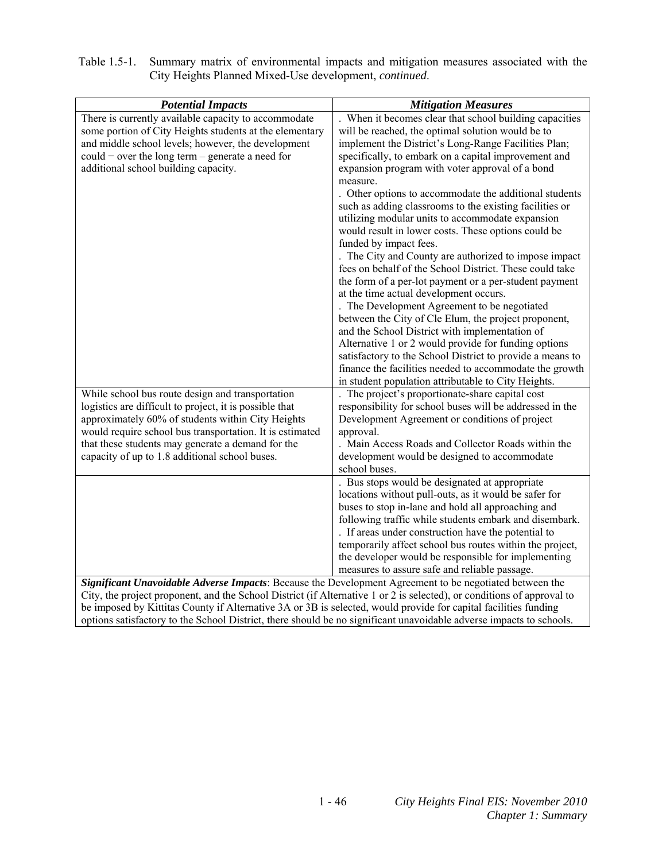| <b>Potential Impacts</b>                                                                                                                                                                                                                                                                                                                             | <b>Mitigation Measures</b>                                                                                                                                                                                                                                                                                                                                                                                                                                                                                                                                                                                                                                                                                                                                                                                                                                                                                                                                                                    |
|------------------------------------------------------------------------------------------------------------------------------------------------------------------------------------------------------------------------------------------------------------------------------------------------------------------------------------------------------|-----------------------------------------------------------------------------------------------------------------------------------------------------------------------------------------------------------------------------------------------------------------------------------------------------------------------------------------------------------------------------------------------------------------------------------------------------------------------------------------------------------------------------------------------------------------------------------------------------------------------------------------------------------------------------------------------------------------------------------------------------------------------------------------------------------------------------------------------------------------------------------------------------------------------------------------------------------------------------------------------|
| There is currently available capacity to accommodate<br>some portion of City Heights students at the elementary<br>and middle school levels; however, the development<br>could – over the long term – generate a need for<br>additional school building capacity.                                                                                    | When it becomes clear that school building capacities<br>will be reached, the optimal solution would be to<br>implement the District's Long-Range Facilities Plan;<br>specifically, to embark on a capital improvement and<br>expansion program with voter approval of a bond<br>measure.<br>. Other options to accommodate the additional students<br>such as adding classrooms to the existing facilities or<br>utilizing modular units to accommodate expansion<br>would result in lower costs. These options could be<br>funded by impact fees.<br>. The City and County are authorized to impose impact<br>fees on behalf of the School District. These could take<br>the form of a per-lot payment or a per-student payment<br>at the time actual development occurs.<br>. The Development Agreement to be negotiated<br>between the City of Cle Elum, the project proponent,<br>and the School District with implementation of<br>Alternative 1 or 2 would provide for funding options |
|                                                                                                                                                                                                                                                                                                                                                      | satisfactory to the School District to provide a means to<br>finance the facilities needed to accommodate the growth                                                                                                                                                                                                                                                                                                                                                                                                                                                                                                                                                                                                                                                                                                                                                                                                                                                                          |
|                                                                                                                                                                                                                                                                                                                                                      | in student population attributable to City Heights.                                                                                                                                                                                                                                                                                                                                                                                                                                                                                                                                                                                                                                                                                                                                                                                                                                                                                                                                           |
| While school bus route design and transportation<br>logistics are difficult to project, it is possible that<br>approximately 60% of students within City Heights<br>would require school bus transportation. It is estimated<br>that these students may generate a demand for the<br>capacity of up to 1.8 additional school buses.                  | The project's proportionate-share capital cost<br>responsibility for school buses will be addressed in the<br>Development Agreement or conditions of project<br>approval.<br>. Main Access Roads and Collector Roads within the<br>development would be designed to accommodate<br>school buses.                                                                                                                                                                                                                                                                                                                                                                                                                                                                                                                                                                                                                                                                                              |
|                                                                                                                                                                                                                                                                                                                                                      | . Bus stops would be designated at appropriate<br>locations without pull-outs, as it would be safer for<br>buses to stop in-lane and hold all approaching and<br>following traffic while students embark and disembark.<br>. If areas under construction have the potential to<br>temporarily affect school bus routes within the project,<br>the developer would be responsible for implementing<br>measures to assure safe and reliable passage.                                                                                                                                                                                                                                                                                                                                                                                                                                                                                                                                            |
| Significant Unavoidable Adverse Impacts: Because the Development Agreement to be negotiated between the<br>City, the project proponent, and the School District (if Alternative 1 or 2 is selected), or conditions of approval to<br>be imposed by Kittitas County if Alternative 3A or 3B is selected, would provide for capital facilities funding |                                                                                                                                                                                                                                                                                                                                                                                                                                                                                                                                                                                                                                                                                                                                                                                                                                                                                                                                                                                               |

| Table 1.5-1. Summary matrix of environmental impacts and mitigation measures associated with the |
|--------------------------------------------------------------------------------------------------|
| City Heights Planned Mixed-Use development, <i>continued</i> .                                   |

options satisfactory to the School District, there should be no significant unavoidable adverse impacts to schools.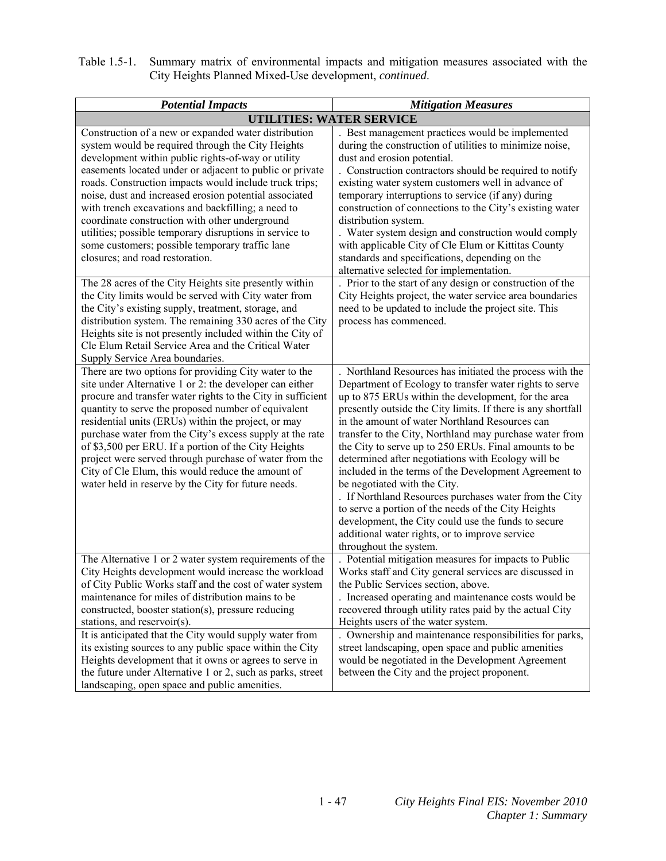| Table 1.5-1. Summary matrix of environmental impacts and mitigation measures associated with the |
|--------------------------------------------------------------------------------------------------|
| City Heights Planned Mixed-Use development, <i>continued</i> .                                   |

| <b>Potential Impacts</b>                                                                                                                                                                                                                                                                                                                                                                                                                                                                                                                                                                                             | <b>Mitigation Measures</b>                                                                                                                                                                                                                                                                                                                                                                                                                                                                                                                                                                                                                                                                                                                                                                                          |
|----------------------------------------------------------------------------------------------------------------------------------------------------------------------------------------------------------------------------------------------------------------------------------------------------------------------------------------------------------------------------------------------------------------------------------------------------------------------------------------------------------------------------------------------------------------------------------------------------------------------|---------------------------------------------------------------------------------------------------------------------------------------------------------------------------------------------------------------------------------------------------------------------------------------------------------------------------------------------------------------------------------------------------------------------------------------------------------------------------------------------------------------------------------------------------------------------------------------------------------------------------------------------------------------------------------------------------------------------------------------------------------------------------------------------------------------------|
| <b>UTILITIES: WATER SERVICE</b>                                                                                                                                                                                                                                                                                                                                                                                                                                                                                                                                                                                      |                                                                                                                                                                                                                                                                                                                                                                                                                                                                                                                                                                                                                                                                                                                                                                                                                     |
| Construction of a new or expanded water distribution<br>system would be required through the City Heights<br>development within public rights-of-way or utility<br>easements located under or adjacent to public or private<br>roads. Construction impacts would include truck trips;<br>noise, dust and increased erosion potential associated<br>with trench excavations and backfilling; a need to<br>coordinate construction with other underground<br>utilities; possible temporary disruptions in service to<br>some customers; possible temporary traffic lane<br>closures; and road restoration.             | Best management practices would be implemented<br>during the construction of utilities to minimize noise,<br>dust and erosion potential.<br>. Construction contractors should be required to notify<br>existing water system customers well in advance of<br>temporary interruptions to service (if any) during<br>construction of connections to the City's existing water<br>distribution system.<br>. Water system design and construction would comply<br>with applicable City of Cle Elum or Kittitas County<br>standards and specifications, depending on the<br>alternative selected for implementation.                                                                                                                                                                                                     |
| The 28 acres of the City Heights site presently within<br>the City limits would be served with City water from<br>the City's existing supply, treatment, storage, and<br>distribution system. The remaining 330 acres of the City<br>Heights site is not presently included within the City of<br>Cle Elum Retail Service Area and the Critical Water<br>Supply Service Area boundaries.                                                                                                                                                                                                                             | Prior to the start of any design or construction of the<br>City Heights project, the water service area boundaries<br>need to be updated to include the project site. This<br>process has commenced.                                                                                                                                                                                                                                                                                                                                                                                                                                                                                                                                                                                                                |
| There are two options for providing City water to the<br>site under Alternative 1 or 2: the developer can either<br>procure and transfer water rights to the City in sufficient<br>quantity to serve the proposed number of equivalent<br>residential units (ERUs) within the project, or may<br>purchase water from the City's excess supply at the rate<br>of \$3,500 per ERU. If a portion of the City Heights<br>project were served through purchase of water from the<br>City of Cle Elum, this would reduce the amount of<br>water held in reserve by the City for future needs.                              | . Northland Resources has initiated the process with the<br>Department of Ecology to transfer water rights to serve<br>up to 875 ERUs within the development, for the area<br>presently outside the City limits. If there is any shortfall<br>in the amount of water Northland Resources can<br>transfer to the City, Northland may purchase water from<br>the City to serve up to 250 ERUs. Final amounts to be<br>determined after negotiations with Ecology will be<br>included in the terms of the Development Agreement to<br>be negotiated with the City.<br>. If Northland Resources purchases water from the City<br>to serve a portion of the needs of the City Heights<br>development, the City could use the funds to secure<br>additional water rights, or to improve service<br>throughout the system. |
| The Alternative 1 or 2 water system requirements of the<br>City Heights development would increase the workload<br>of City Public Works staff and the cost of water system<br>maintenance for miles of distribution mains to be<br>constructed, booster station(s), pressure reducing<br>stations, and reservoir(s).<br>It is anticipated that the City would supply water from<br>its existing sources to any public space within the City<br>Heights development that it owns or agrees to serve in<br>the future under Alternative 1 or 2, such as parks, street<br>landscaping, open space and public amenities. | Potential mitigation measures for impacts to Public<br>Works staff and City general services are discussed in<br>the Public Services section, above.<br>. Increased operating and maintenance costs would be<br>recovered through utility rates paid by the actual City<br>Heights users of the water system.<br>Ownership and maintenance responsibilities for parks,<br>street landscaping, open space and public amenities<br>would be negotiated in the Development Agreement<br>between the City and the project proponent.                                                                                                                                                                                                                                                                                    |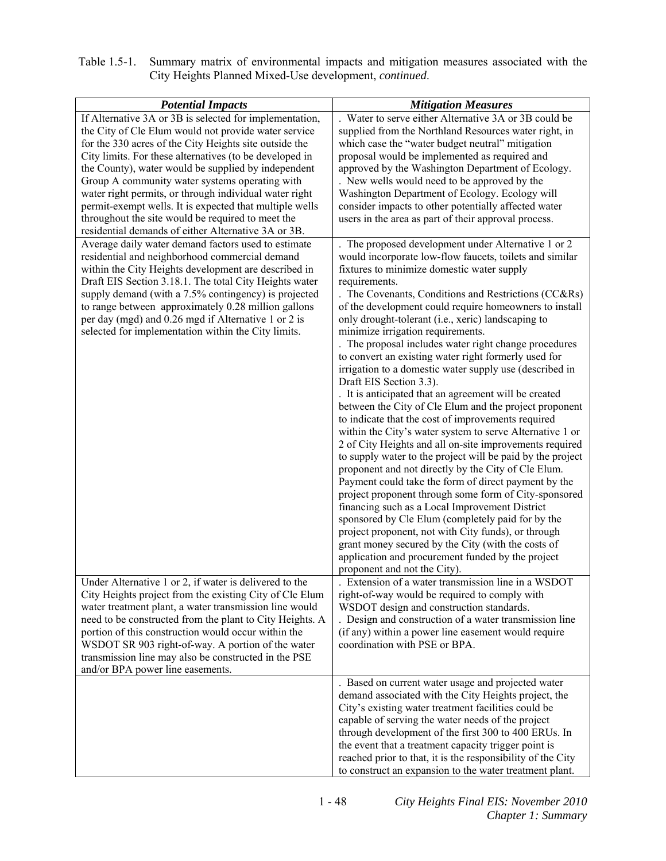| Table 1.5-1. Summary matrix of environmental impacts and mitigation measures associated with the |
|--------------------------------------------------------------------------------------------------|
| City Heights Planned Mixed-Use development, continued.                                           |

| <b>Potential Impacts</b>                                                                                           | <b>Mitigation Measures</b>                                                                                          |
|--------------------------------------------------------------------------------------------------------------------|---------------------------------------------------------------------------------------------------------------------|
| If Alternative 3A or 3B is selected for implementation,                                                            | Water to serve either Alternative 3A or 3B could be                                                                 |
| the City of Cle Elum would not provide water service                                                               | supplied from the Northland Resources water right, in                                                               |
| for the 330 acres of the City Heights site outside the                                                             | which case the "water budget neutral" mitigation                                                                    |
| City limits. For these alternatives (to be developed in                                                            | proposal would be implemented as required and                                                                       |
| the County), water would be supplied by independent                                                                | approved by the Washington Department of Ecology.                                                                   |
| Group A community water systems operating with                                                                     | . New wells would need to be approved by the                                                                        |
| water right permits, or through individual water right<br>permit-exempt wells. It is expected that multiple wells  | Washington Department of Ecology. Ecology will<br>consider impacts to other potentially affected water              |
| throughout the site would be required to meet the                                                                  | users in the area as part of their approval process.                                                                |
| residential demands of either Alternative 3A or 3B.                                                                |                                                                                                                     |
| Average daily water demand factors used to estimate                                                                | The proposed development under Alternative 1 or 2                                                                   |
| residential and neighborhood commercial demand                                                                     | would incorporate low-flow faucets, toilets and similar                                                             |
| within the City Heights development are described in                                                               | fixtures to minimize domestic water supply                                                                          |
| Draft EIS Section 3.18.1. The total City Heights water                                                             | requirements.                                                                                                       |
| supply demand (with a 7.5% contingency) is projected                                                               | . The Covenants, Conditions and Restrictions (CC&Rs)                                                                |
| to range between approximately 0.28 million gallons                                                                | of the development could require homeowners to install                                                              |
| per day (mgd) and 0.26 mgd if Alternative 1 or 2 is                                                                | only drought-tolerant (i.e., xeric) landscaping to                                                                  |
| selected for implementation within the City limits.                                                                | minimize irrigation requirements.<br>The proposal includes water right change procedures                            |
|                                                                                                                    | to convert an existing water right formerly used for                                                                |
|                                                                                                                    | irrigation to a domestic water supply use (described in                                                             |
|                                                                                                                    | Draft EIS Section 3.3).                                                                                             |
|                                                                                                                    | . It is anticipated that an agreement will be created                                                               |
|                                                                                                                    | between the City of Cle Elum and the project proponent                                                              |
|                                                                                                                    | to indicate that the cost of improvements required                                                                  |
|                                                                                                                    | within the City's water system to serve Alternative 1 or                                                            |
|                                                                                                                    | 2 of City Heights and all on-site improvements required                                                             |
|                                                                                                                    | to supply water to the project will be paid by the project                                                          |
|                                                                                                                    | proponent and not directly by the City of Cle Elum.<br>Payment could take the form of direct payment by the         |
|                                                                                                                    | project proponent through some form of City-sponsored                                                               |
|                                                                                                                    | financing such as a Local Improvement District                                                                      |
|                                                                                                                    | sponsored by Cle Elum (completely paid for by the                                                                   |
|                                                                                                                    | project proponent, not with City funds), or through                                                                 |
|                                                                                                                    | grant money secured by the City (with the costs of                                                                  |
|                                                                                                                    | application and procurement funded by the project                                                                   |
|                                                                                                                    | proponent and not the City).                                                                                        |
| Under Alternative 1 or 2, if water is delivered to the                                                             | Extension of a water transmission line in a WSDOT                                                                   |
| City Heights project from the existing City of Cle Elum                                                            | right-of-way would be required to comply with                                                                       |
| water treatment plant, a water transmission line would<br>need to be constructed from the plant to City Heights. A | WSDOT design and construction standards.<br>. Design and construction of a water transmission line                  |
| portion of this construction would occur within the                                                                | (if any) within a power line easement would require                                                                 |
| WSDOT SR 903 right-of-way. A portion of the water                                                                  | coordination with PSE or BPA.                                                                                       |
| transmission line may also be constructed in the PSE                                                               |                                                                                                                     |
| and/or BPA power line easements.                                                                                   |                                                                                                                     |
|                                                                                                                    | . Based on current water usage and projected water                                                                  |
|                                                                                                                    | demand associated with the City Heights project, the                                                                |
|                                                                                                                    | City's existing water treatment facilities could be                                                                 |
|                                                                                                                    | capable of serving the water needs of the project                                                                   |
|                                                                                                                    | through development of the first 300 to 400 ERUs. In                                                                |
|                                                                                                                    | the event that a treatment capacity trigger point is<br>reached prior to that, it is the responsibility of the City |
|                                                                                                                    | to construct an expansion to the water treatment plant.                                                             |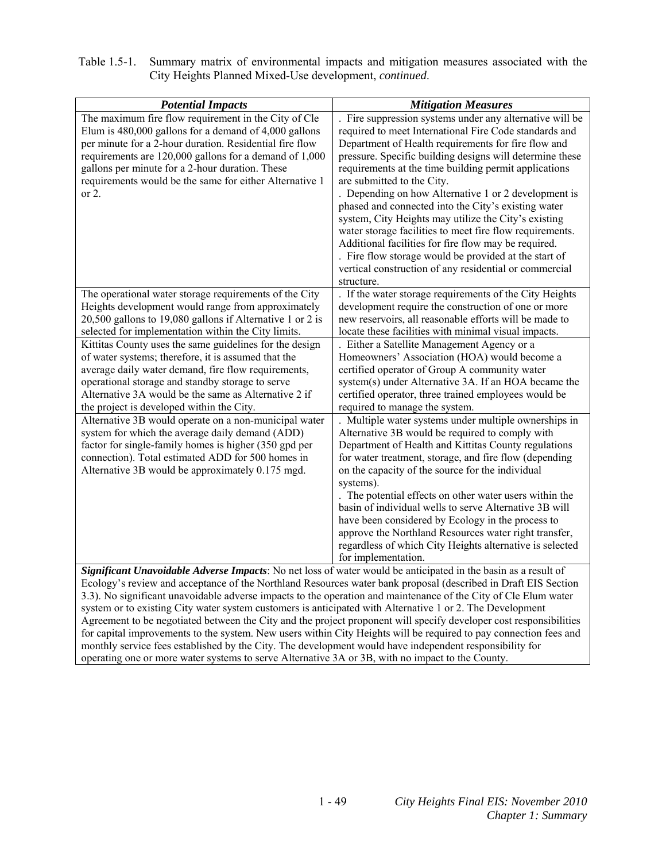| Table 1.5-1. Summary matrix of environmental impacts and mitigation measures associated with the |
|--------------------------------------------------------------------------------------------------|
| City Heights Planned Mixed-Use development, <i>continued</i> .                                   |

| <b>Potential Impacts</b>                                                                                                                                                                                                                                                                                                                                         | <b>Mitigation Measures</b>                                                                                                                                                                                                                                                                                                                                                                                                                                                                                                                                                                                                                                                                                                                           |
|------------------------------------------------------------------------------------------------------------------------------------------------------------------------------------------------------------------------------------------------------------------------------------------------------------------------------------------------------------------|------------------------------------------------------------------------------------------------------------------------------------------------------------------------------------------------------------------------------------------------------------------------------------------------------------------------------------------------------------------------------------------------------------------------------------------------------------------------------------------------------------------------------------------------------------------------------------------------------------------------------------------------------------------------------------------------------------------------------------------------------|
| The maximum fire flow requirement in the City of Cle<br>Elum is $480,000$ gallons for a demand of $4,000$ gallons<br>per minute for a 2-hour duration. Residential fire flow<br>requirements are 120,000 gallons for a demand of 1,000<br>gallons per minute for a 2-hour duration. These<br>requirements would be the same for either Alternative 1<br>or $2$ . | Fire suppression systems under any alternative will be<br>required to meet International Fire Code standards and<br>Department of Health requirements for fire flow and<br>pressure. Specific building designs will determine these<br>requirements at the time building permit applications<br>are submitted to the City.<br>Depending on how Alternative 1 or 2 development is<br>phased and connected into the City's existing water<br>system, City Heights may utilize the City's existing<br>water storage facilities to meet fire flow requirements.<br>Additional facilities for fire flow may be required.<br>. Fire flow storage would be provided at the start of<br>vertical construction of any residential or commercial<br>structure. |
| The operational water storage requirements of the City                                                                                                                                                                                                                                                                                                           | . If the water storage requirements of the City Heights                                                                                                                                                                                                                                                                                                                                                                                                                                                                                                                                                                                                                                                                                              |
| Heights development would range from approximately                                                                                                                                                                                                                                                                                                               | development require the construction of one or more                                                                                                                                                                                                                                                                                                                                                                                                                                                                                                                                                                                                                                                                                                  |
| 20,500 gallons to 19,080 gallons if Alternative 1 or 2 is                                                                                                                                                                                                                                                                                                        | new reservoirs, all reasonable efforts will be made to                                                                                                                                                                                                                                                                                                                                                                                                                                                                                                                                                                                                                                                                                               |
| selected for implementation within the City limits.                                                                                                                                                                                                                                                                                                              | locate these facilities with minimal visual impacts.                                                                                                                                                                                                                                                                                                                                                                                                                                                                                                                                                                                                                                                                                                 |
| Kittitas County uses the same guidelines for the design                                                                                                                                                                                                                                                                                                          | Either a Satellite Management Agency or a                                                                                                                                                                                                                                                                                                                                                                                                                                                                                                                                                                                                                                                                                                            |
| of water systems; therefore, it is assumed that the                                                                                                                                                                                                                                                                                                              | Homeowners' Association (HOA) would become a                                                                                                                                                                                                                                                                                                                                                                                                                                                                                                                                                                                                                                                                                                         |
| average daily water demand, fire flow requirements,                                                                                                                                                                                                                                                                                                              | certified operator of Group A community water                                                                                                                                                                                                                                                                                                                                                                                                                                                                                                                                                                                                                                                                                                        |
| operational storage and standby storage to serve                                                                                                                                                                                                                                                                                                                 | system(s) under Alternative 3A. If an HOA became the                                                                                                                                                                                                                                                                                                                                                                                                                                                                                                                                                                                                                                                                                                 |
| Alternative 3A would be the same as Alternative 2 if                                                                                                                                                                                                                                                                                                             | certified operator, three trained employees would be                                                                                                                                                                                                                                                                                                                                                                                                                                                                                                                                                                                                                                                                                                 |
| the project is developed within the City.                                                                                                                                                                                                                                                                                                                        | required to manage the system.                                                                                                                                                                                                                                                                                                                                                                                                                                                                                                                                                                                                                                                                                                                       |
| Alternative 3B would operate on a non-municipal water<br>system for which the average daily demand (ADD)                                                                                                                                                                                                                                                         | Multiple water systems under multiple ownerships in<br>Alternative 3B would be required to comply with                                                                                                                                                                                                                                                                                                                                                                                                                                                                                                                                                                                                                                               |
| factor for single-family homes is higher (350 gpd per                                                                                                                                                                                                                                                                                                            | Department of Health and Kittitas County regulations                                                                                                                                                                                                                                                                                                                                                                                                                                                                                                                                                                                                                                                                                                 |
| connection). Total estimated ADD for 500 homes in                                                                                                                                                                                                                                                                                                                | for water treatment, storage, and fire flow (depending                                                                                                                                                                                                                                                                                                                                                                                                                                                                                                                                                                                                                                                                                               |
| Alternative 3B would be approximately 0.175 mgd.                                                                                                                                                                                                                                                                                                                 | on the capacity of the source for the individual                                                                                                                                                                                                                                                                                                                                                                                                                                                                                                                                                                                                                                                                                                     |
|                                                                                                                                                                                                                                                                                                                                                                  | systems).                                                                                                                                                                                                                                                                                                                                                                                                                                                                                                                                                                                                                                                                                                                                            |
|                                                                                                                                                                                                                                                                                                                                                                  | The potential effects on other water users within the                                                                                                                                                                                                                                                                                                                                                                                                                                                                                                                                                                                                                                                                                                |
|                                                                                                                                                                                                                                                                                                                                                                  | basin of individual wells to serve Alternative 3B will                                                                                                                                                                                                                                                                                                                                                                                                                                                                                                                                                                                                                                                                                               |
|                                                                                                                                                                                                                                                                                                                                                                  | have been considered by Ecology in the process to                                                                                                                                                                                                                                                                                                                                                                                                                                                                                                                                                                                                                                                                                                    |
|                                                                                                                                                                                                                                                                                                                                                                  | approve the Northland Resources water right transfer,                                                                                                                                                                                                                                                                                                                                                                                                                                                                                                                                                                                                                                                                                                |
|                                                                                                                                                                                                                                                                                                                                                                  | regardless of which City Heights alternative is selected                                                                                                                                                                                                                                                                                                                                                                                                                                                                                                                                                                                                                                                                                             |
|                                                                                                                                                                                                                                                                                                                                                                  | for implementation.                                                                                                                                                                                                                                                                                                                                                                                                                                                                                                                                                                                                                                                                                                                                  |
| Significant Unavoidable Adverse Impacts: No net loss of water would be anticipated in the basin as a result of                                                                                                                                                                                                                                                   |                                                                                                                                                                                                                                                                                                                                                                                                                                                                                                                                                                                                                                                                                                                                                      |
| Ecology's review and acceptance of the Northland Resources water bank proposal (described in Draft EIS Section                                                                                                                                                                                                                                                   |                                                                                                                                                                                                                                                                                                                                                                                                                                                                                                                                                                                                                                                                                                                                                      |
| 3.3). No significant unavoidable adverse impacts to the operation and maintenance of the City of Cle Elum water                                                                                                                                                                                                                                                  |                                                                                                                                                                                                                                                                                                                                                                                                                                                                                                                                                                                                                                                                                                                                                      |
| system or to existing City water system customers is anticipated with Alternative 1 or 2. The Development                                                                                                                                                                                                                                                        |                                                                                                                                                                                                                                                                                                                                                                                                                                                                                                                                                                                                                                                                                                                                                      |
| Agreement to be negotiated between the City and the project proponent will specify developer cost responsibilities                                                                                                                                                                                                                                               |                                                                                                                                                                                                                                                                                                                                                                                                                                                                                                                                                                                                                                                                                                                                                      |
| for capital improvements to the system. New users within City Heights will be required to pay connection fees and                                                                                                                                                                                                                                                |                                                                                                                                                                                                                                                                                                                                                                                                                                                                                                                                                                                                                                                                                                                                                      |
| monthly service fees established by the City. The development would have independent responsibility for                                                                                                                                                                                                                                                          |                                                                                                                                                                                                                                                                                                                                                                                                                                                                                                                                                                                                                                                                                                                                                      |

operating one or more water systems to serve Alternative 3A or 3B, with no impact to the County.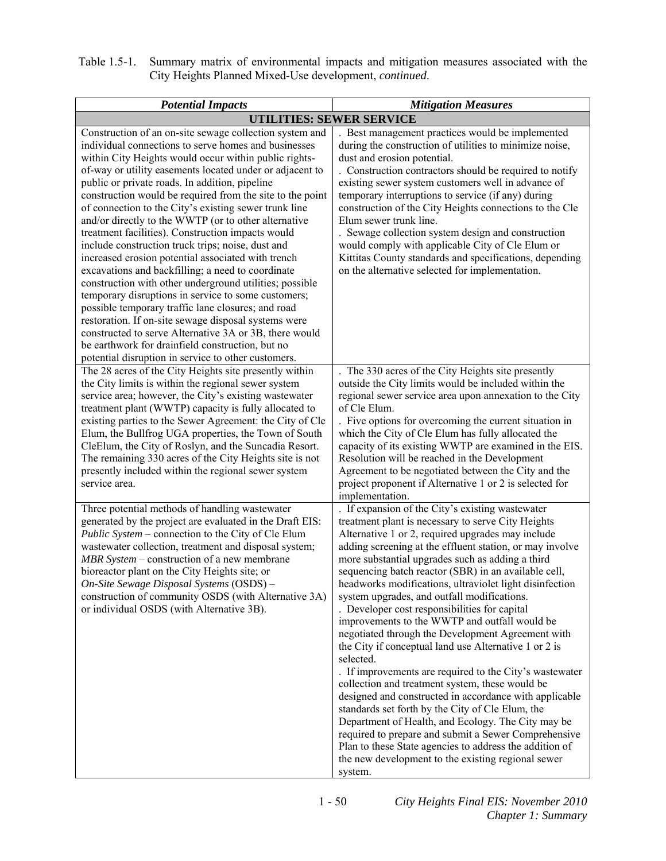| Table 1.5-1. Summary matrix of environmental impacts and mitigation measures associated with the |
|--------------------------------------------------------------------------------------------------|
| City Heights Planned Mixed-Use development, <i>continued</i> .                                   |

| <b>Potential Impacts</b>                                                                                                                                                                                                                                                                                                                                                                                                                                                                                                                                                                                                                                                                                                                                                                                                                                                                                                                                                                                                                                                                       | <b>Mitigation Measures</b>                                                                                                                                                                                                                                                                                                                                                                                                                                                                                                                                                                                                                                                                                                                                                                                                                                                                                                                                                                                                                                                                                                                   |  |
|------------------------------------------------------------------------------------------------------------------------------------------------------------------------------------------------------------------------------------------------------------------------------------------------------------------------------------------------------------------------------------------------------------------------------------------------------------------------------------------------------------------------------------------------------------------------------------------------------------------------------------------------------------------------------------------------------------------------------------------------------------------------------------------------------------------------------------------------------------------------------------------------------------------------------------------------------------------------------------------------------------------------------------------------------------------------------------------------|----------------------------------------------------------------------------------------------------------------------------------------------------------------------------------------------------------------------------------------------------------------------------------------------------------------------------------------------------------------------------------------------------------------------------------------------------------------------------------------------------------------------------------------------------------------------------------------------------------------------------------------------------------------------------------------------------------------------------------------------------------------------------------------------------------------------------------------------------------------------------------------------------------------------------------------------------------------------------------------------------------------------------------------------------------------------------------------------------------------------------------------------|--|
| <b>UTILITIES: SEWER SERVICE</b>                                                                                                                                                                                                                                                                                                                                                                                                                                                                                                                                                                                                                                                                                                                                                                                                                                                                                                                                                                                                                                                                |                                                                                                                                                                                                                                                                                                                                                                                                                                                                                                                                                                                                                                                                                                                                                                                                                                                                                                                                                                                                                                                                                                                                              |  |
| Construction of an on-site sewage collection system and<br>individual connections to serve homes and businesses<br>within City Heights would occur within public rights-<br>of-way or utility easements located under or adjacent to<br>public or private roads. In addition, pipeline<br>construction would be required from the site to the point<br>of connection to the City's existing sewer trunk line<br>and/or directly to the WWTP (or to other alternative<br>treatment facilities). Construction impacts would<br>include construction truck trips; noise, dust and<br>increased erosion potential associated with trench<br>excavations and backfilling; a need to coordinate<br>construction with other underground utilities; possible<br>temporary disruptions in service to some customers;<br>possible temporary traffic lane closures; and road<br>restoration. If on-site sewage disposal systems were<br>constructed to serve Alternative 3A or 3B, there would<br>be earthwork for drainfield construction, but no<br>potential disruption in service to other customers. | Best management practices would be implemented<br>during the construction of utilities to minimize noise,<br>dust and erosion potential.<br>Construction contractors should be required to notify<br>existing sewer system customers well in advance of<br>temporary interruptions to service (if any) during<br>construction of the City Heights connections to the Cle<br>Elum sewer trunk line.<br>Sewage collection system design and construction<br>would comply with applicable City of Cle Elum or<br>Kittitas County standards and specifications, depending<br>on the alternative selected for implementation.                                                                                                                                                                                                                                                                                                                                                                                                                                                                                                                     |  |
| The 28 acres of the City Heights site presently within<br>the City limits is within the regional sewer system<br>service area; however, the City's existing wastewater<br>treatment plant (WWTP) capacity is fully allocated to<br>existing parties to the Sewer Agreement: the City of Cle<br>Elum, the Bullfrog UGA properties, the Town of South<br>CleElum, the City of Roslyn, and the Suncadia Resort.<br>The remaining 330 acres of the City Heights site is not<br>presently included within the regional sewer system<br>service area.                                                                                                                                                                                                                                                                                                                                                                                                                                                                                                                                                | The 330 acres of the City Heights site presently<br>outside the City limits would be included within the<br>regional sewer service area upon annexation to the City<br>of Cle Elum.<br>. Five options for overcoming the current situation in<br>which the City of Cle Elum has fully allocated the<br>capacity of its existing WWTP are examined in the EIS.<br>Resolution will be reached in the Development<br>Agreement to be negotiated between the City and the<br>project proponent if Alternative 1 or 2 is selected for<br>implementation.                                                                                                                                                                                                                                                                                                                                                                                                                                                                                                                                                                                          |  |
| Three potential methods of handling wastewater<br>generated by the project are evaluated in the Draft EIS:<br>Public System – connection to the City of Cle Elum<br>wastewater collection, treatment and disposal system;<br>MBR System – construction of a new membrane<br>bioreactor plant on the City Heights site; or<br>On-Site Sewage Disposal Systems (OSDS) -<br>construction of community OSDS (with Alternative 3A)<br>or individual OSDS (with Alternative 3B).                                                                                                                                                                                                                                                                                                                                                                                                                                                                                                                                                                                                                     | If expansion of the City's existing wastewater<br>treatment plant is necessary to serve City Heights<br>Alternative 1 or 2, required upgrades may include<br>adding screening at the effluent station, or may involve<br>more substantial upgrades such as adding a third<br>sequencing batch reactor (SBR) in an available cell,<br>headworks modifications, ultraviolet light disinfection<br>system upgrades, and outfall modifications.<br>Developer cost responsibilities for capital<br>improvements to the WWTP and outfall would be<br>negotiated through the Development Agreement with<br>the City if conceptual land use Alternative 1 or 2 is<br>selected.<br>. If improvements are required to the City's wastewater<br>collection and treatment system, these would be<br>designed and constructed in accordance with applicable<br>standards set forth by the City of Cle Elum, the<br>Department of Health, and Ecology. The City may be<br>required to prepare and submit a Sewer Comprehensive<br>Plan to these State agencies to address the addition of<br>the new development to the existing regional sewer<br>system. |  |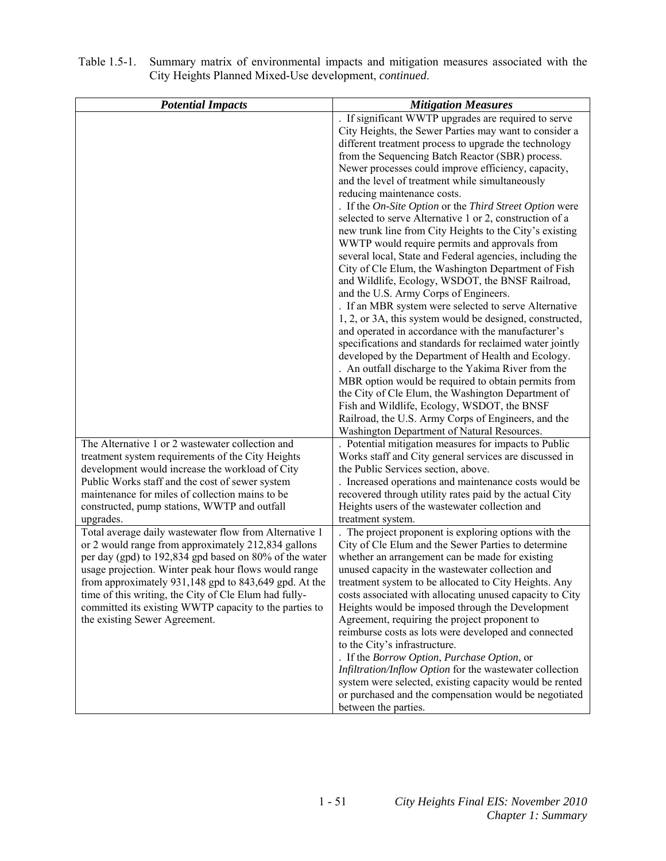| <b>Potential Impacts</b>                                                                                       | <b>Mitigation Measures</b>                                                                                        |
|----------------------------------------------------------------------------------------------------------------|-------------------------------------------------------------------------------------------------------------------|
|                                                                                                                | . If significant WWTP upgrades are required to serve                                                              |
|                                                                                                                | City Heights, the Sewer Parties may want to consider a                                                            |
|                                                                                                                | different treatment process to upgrade the technology                                                             |
|                                                                                                                | from the Sequencing Batch Reactor (SBR) process.                                                                  |
|                                                                                                                | Newer processes could improve efficiency, capacity,                                                               |
|                                                                                                                | and the level of treatment while simultaneously                                                                   |
|                                                                                                                | reducing maintenance costs.                                                                                       |
|                                                                                                                | . If the On-Site Option or the Third Street Option were                                                           |
|                                                                                                                | selected to serve Alternative 1 or 2, construction of a                                                           |
|                                                                                                                | new trunk line from City Heights to the City's existing                                                           |
|                                                                                                                | WWTP would require permits and approvals from                                                                     |
|                                                                                                                | several local, State and Federal agencies, including the                                                          |
|                                                                                                                | City of Cle Elum, the Washington Department of Fish                                                               |
|                                                                                                                | and Wildlife, Ecology, WSDOT, the BNSF Railroad,                                                                  |
|                                                                                                                | and the U.S. Army Corps of Engineers.<br>. If an MBR system were selected to serve Alternative                    |
|                                                                                                                | 1, 2, or 3A, this system would be designed, constructed,                                                          |
|                                                                                                                | and operated in accordance with the manufacturer's                                                                |
|                                                                                                                | specifications and standards for reclaimed water jointly                                                          |
|                                                                                                                | developed by the Department of Health and Ecology.                                                                |
|                                                                                                                | . An outfall discharge to the Yakima River from the                                                               |
|                                                                                                                | MBR option would be required to obtain permits from                                                               |
|                                                                                                                | the City of Cle Elum, the Washington Department of                                                                |
|                                                                                                                | Fish and Wildlife, Ecology, WSDOT, the BNSF                                                                       |
|                                                                                                                | Railroad, the U.S. Army Corps of Engineers, and the                                                               |
|                                                                                                                | Washington Department of Natural Resources.                                                                       |
| The Alternative 1 or 2 wastewater collection and                                                               | . Potential mitigation measures for impacts to Public                                                             |
| treatment system requirements of the City Heights                                                              | Works staff and City general services are discussed in                                                            |
| development would increase the workload of City                                                                | the Public Services section, above.                                                                               |
| Public Works staff and the cost of sewer system                                                                | . Increased operations and maintenance costs would be                                                             |
| maintenance for miles of collection mains to be                                                                | recovered through utility rates paid by the actual City                                                           |
| constructed, pump stations, WWTP and outfall                                                                   | Heights users of the wastewater collection and                                                                    |
| upgrades.                                                                                                      | treatment system.                                                                                                 |
| Total average daily wastewater flow from Alternative 1                                                         | The project proponent is exploring options with the                                                               |
| or 2 would range from approximately 212,834 gallons                                                            | City of Cle Elum and the Sewer Parties to determine                                                               |
| per day (gpd) to 192,834 gpd based on 80% of the water                                                         | whether an arrangement can be made for existing                                                                   |
| usage projection. Winter peak hour flows would range                                                           | unused capacity in the wastewater collection and                                                                  |
| from approximately 931,148 gpd to 843,649 gpd. At the<br>time of this writing, the City of Cle Elum had fully- | treatment system to be allocated to City Heights. Any<br>costs associated with allocating unused capacity to City |
| committed its existing WWTP capacity to the parties to                                                         | Heights would be imposed through the Development                                                                  |
| the existing Sewer Agreement.                                                                                  | Agreement, requiring the project proponent to                                                                     |
|                                                                                                                | reimburse costs as lots were developed and connected                                                              |
|                                                                                                                | to the City's infrastructure.                                                                                     |
|                                                                                                                | . If the Borrow Option, Purchase Option, or                                                                       |
|                                                                                                                | Infiltration/Inflow Option for the wastewater collection                                                          |
|                                                                                                                | system were selected, existing capacity would be rented                                                           |
|                                                                                                                | or purchased and the compensation would be negotiated                                                             |
|                                                                                                                | between the parties.                                                                                              |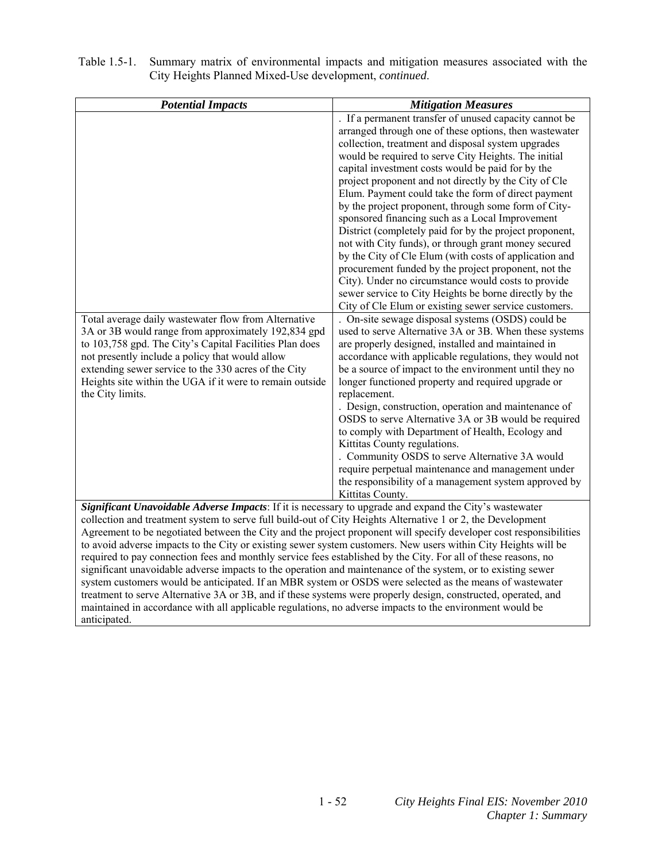| <b>Potential Impacts</b>                                                                                                                                                                                                                                                                                                                                                                                                                                                                                                                                                                                                                                                                                                                                                                                                                                                                                                                                                                                                                   | <b>Mitigation Measures</b>                                                                                                                                                                                                                                                                                                                                                                                                                                                                                                                                                                                                                                                                                                                                                                                                                                           |
|--------------------------------------------------------------------------------------------------------------------------------------------------------------------------------------------------------------------------------------------------------------------------------------------------------------------------------------------------------------------------------------------------------------------------------------------------------------------------------------------------------------------------------------------------------------------------------------------------------------------------------------------------------------------------------------------------------------------------------------------------------------------------------------------------------------------------------------------------------------------------------------------------------------------------------------------------------------------------------------------------------------------------------------------|----------------------------------------------------------------------------------------------------------------------------------------------------------------------------------------------------------------------------------------------------------------------------------------------------------------------------------------------------------------------------------------------------------------------------------------------------------------------------------------------------------------------------------------------------------------------------------------------------------------------------------------------------------------------------------------------------------------------------------------------------------------------------------------------------------------------------------------------------------------------|
|                                                                                                                                                                                                                                                                                                                                                                                                                                                                                                                                                                                                                                                                                                                                                                                                                                                                                                                                                                                                                                            | . If a permanent transfer of unused capacity cannot be<br>arranged through one of these options, then wastewater<br>collection, treatment and disposal system upgrades<br>would be required to serve City Heights. The initial<br>capital investment costs would be paid for by the<br>project proponent and not directly by the City of Cle<br>Elum. Payment could take the form of direct payment<br>by the project proponent, through some form of City-<br>sponsored financing such as a Local Improvement<br>District (completely paid for by the project proponent,<br>not with City funds), or through grant money secured<br>by the City of Cle Elum (with costs of application and<br>procurement funded by the project proponent, not the<br>City). Under no circumstance would costs to provide<br>sewer service to City Heights be borne directly by the |
|                                                                                                                                                                                                                                                                                                                                                                                                                                                                                                                                                                                                                                                                                                                                                                                                                                                                                                                                                                                                                                            | City of Cle Elum or existing sewer service customers.                                                                                                                                                                                                                                                                                                                                                                                                                                                                                                                                                                                                                                                                                                                                                                                                                |
| Total average daily wastewater flow from Alternative<br>3A or 3B would range from approximately 192,834 gpd<br>to 103,758 gpd. The City's Capital Facilities Plan does<br>not presently include a policy that would allow<br>extending sewer service to the 330 acres of the City<br>Heights site within the UGA if it were to remain outside<br>the City limits.                                                                                                                                                                                                                                                                                                                                                                                                                                                                                                                                                                                                                                                                          | . On-site sewage disposal systems (OSDS) could be<br>used to serve Alternative 3A or 3B. When these systems<br>are properly designed, installed and maintained in<br>accordance with applicable regulations, they would not<br>be a source of impact to the environment until they no<br>longer functioned property and required upgrade or<br>replacement.<br>. Design, construction, operation and maintenance of<br>OSDS to serve Alternative 3A or 3B would be required<br>to comply with Department of Health, Ecology and<br>Kittitas County regulations.<br>. Community OSDS to serve Alternative 3A would<br>require perpetual maintenance and management under<br>the responsibility of a management system approved by<br>Kittitas County.                                                                                                                 |
| Significant Unavoidable Adverse Impacts: If it is necessary to upgrade and expand the City's wastewater<br>collection and treatment system to serve full build-out of City Heights Alternative 1 or 2, the Development<br>Agreement to be negotiated between the City and the project proponent will specify developer cost responsibilities<br>to avoid adverse impacts to the City or existing sewer system customers. New users within City Heights will be<br>required to pay connection fees and monthly service fees established by the City. For all of these reasons, no<br>significant unavoidable adverse impacts to the operation and maintenance of the system, or to existing sewer<br>system customers would be anticipated. If an MBR system or OSDS were selected as the means of wastewater<br>treatment to serve Alternative 3A or 3B, and if these systems were properly design, constructed, operated, and<br>maintained in accordance with all applicable regulations, no adverse impacts to the environment would be |                                                                                                                                                                                                                                                                                                                                                                                                                                                                                                                                                                                                                                                                                                                                                                                                                                                                      |
| anticipated.                                                                                                                                                                                                                                                                                                                                                                                                                                                                                                                                                                                                                                                                                                                                                                                                                                                                                                                                                                                                                               |                                                                                                                                                                                                                                                                                                                                                                                                                                                                                                                                                                                                                                                                                                                                                                                                                                                                      |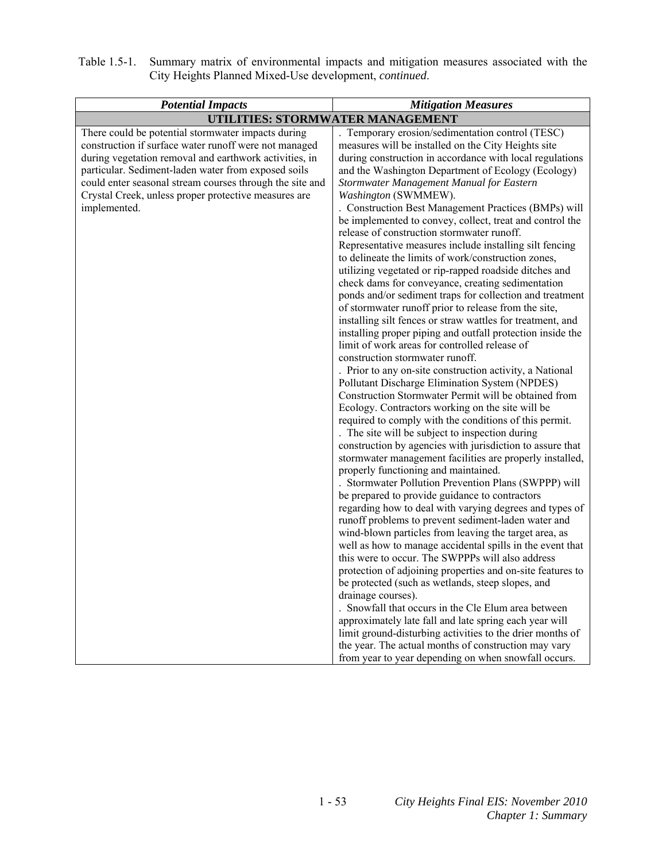| Table 1.5-1. Summary matrix of environmental impacts and mitigation measures associated with the |
|--------------------------------------------------------------------------------------------------|
| City Heights Planned Mixed-Use development, <i>continued</i> .                                   |

| <b>Potential Impacts</b>                                                                                                                                                                                                                                                                                                                                         | <b>Mitigation Measures</b>                                                                                                                                                                                                                                                                                                                                                                                                                                                                                                                                                                                                                                                                                                                                                                                                                                                                                                                                                                                                                                                                                                                                                                                                                                                                                                                                                                                                                                                                                                                                                                                                                                                                                                                                                                                                                                                                                                                                                                                                                                                                                                                                                                                                                                                                                                                                                              |
|------------------------------------------------------------------------------------------------------------------------------------------------------------------------------------------------------------------------------------------------------------------------------------------------------------------------------------------------------------------|-----------------------------------------------------------------------------------------------------------------------------------------------------------------------------------------------------------------------------------------------------------------------------------------------------------------------------------------------------------------------------------------------------------------------------------------------------------------------------------------------------------------------------------------------------------------------------------------------------------------------------------------------------------------------------------------------------------------------------------------------------------------------------------------------------------------------------------------------------------------------------------------------------------------------------------------------------------------------------------------------------------------------------------------------------------------------------------------------------------------------------------------------------------------------------------------------------------------------------------------------------------------------------------------------------------------------------------------------------------------------------------------------------------------------------------------------------------------------------------------------------------------------------------------------------------------------------------------------------------------------------------------------------------------------------------------------------------------------------------------------------------------------------------------------------------------------------------------------------------------------------------------------------------------------------------------------------------------------------------------------------------------------------------------------------------------------------------------------------------------------------------------------------------------------------------------------------------------------------------------------------------------------------------------------------------------------------------------------------------------------------------------|
|                                                                                                                                                                                                                                                                                                                                                                  | UTILITIES: STORMWATER MANAGEMENT                                                                                                                                                                                                                                                                                                                                                                                                                                                                                                                                                                                                                                                                                                                                                                                                                                                                                                                                                                                                                                                                                                                                                                                                                                                                                                                                                                                                                                                                                                                                                                                                                                                                                                                                                                                                                                                                                                                                                                                                                                                                                                                                                                                                                                                                                                                                                        |
| There could be potential stormwater impacts during<br>construction if surface water runoff were not managed<br>during vegetation removal and earthwork activities, in<br>particular. Sediment-laden water from exposed soils<br>could enter seasonal stream courses through the site and<br>Crystal Creek, unless proper protective measures are<br>implemented. | . Temporary erosion/sedimentation control (TESC)<br>measures will be installed on the City Heights site<br>during construction in accordance with local regulations<br>and the Washington Department of Ecology (Ecology)<br>Stormwater Management Manual for Eastern<br>Washington (SWMMEW).<br>. Construction Best Management Practices (BMPs) will<br>be implemented to convey, collect, treat and control the<br>release of construction stormwater runoff.<br>Representative measures include installing silt fencing<br>to delineate the limits of work/construction zones,<br>utilizing vegetated or rip-rapped roadside ditches and<br>check dams for conveyance, creating sedimentation<br>ponds and/or sediment traps for collection and treatment<br>of stormwater runoff prior to release from the site,<br>installing silt fences or straw wattles for treatment, and<br>installing proper piping and outfall protection inside the<br>limit of work areas for controlled release of<br>construction stormwater runoff.<br>. Prior to any on-site construction activity, a National<br>Pollutant Discharge Elimination System (NPDES)<br>Construction Stormwater Permit will be obtained from<br>Ecology. Contractors working on the site will be<br>required to comply with the conditions of this permit.<br>. The site will be subject to inspection during<br>construction by agencies with jurisdiction to assure that<br>stormwater management facilities are properly installed,<br>properly functioning and maintained.<br>. Stormwater Pollution Prevention Plans (SWPPP) will<br>be prepared to provide guidance to contractors<br>regarding how to deal with varying degrees and types of<br>runoff problems to prevent sediment-laden water and<br>wind-blown particles from leaving the target area, as<br>well as how to manage accidental spills in the event that<br>this were to occur. The SWPPPs will also address<br>protection of adjoining properties and on-site features to<br>be protected (such as wetlands, steep slopes, and<br>drainage courses).<br>Snowfall that occurs in the Cle Elum area between<br>approximately late fall and late spring each year will<br>limit ground-disturbing activities to the drier months of<br>the year. The actual months of construction may vary<br>from year to year depending on when snowfall occurs. |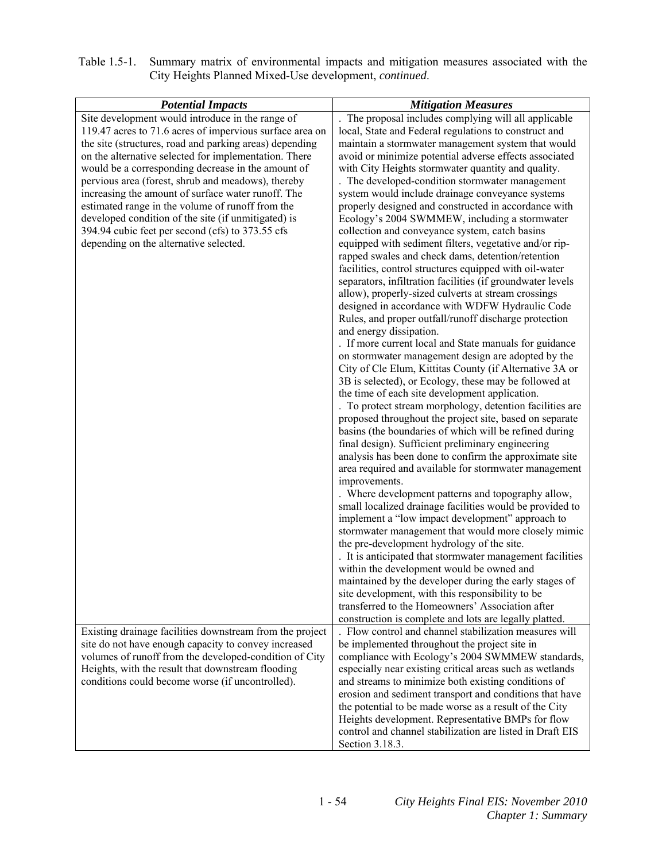| Table 1.5-1. Summary matrix of environmental impacts and mitigation measures associated with the |
|--------------------------------------------------------------------------------------------------|
| City Heights Planned Mixed-Use development, <i>continued</i> .                                   |

| <b>Potential Impacts</b>                                 | <b>Mitigation Measures</b>                                          |
|----------------------------------------------------------|---------------------------------------------------------------------|
| Site development would introduce in the range of         | The proposal includes complying will all applicable                 |
| 119.47 acres to 71.6 acres of impervious surface area on | local, State and Federal regulations to construct and               |
| the site (structures, road and parking areas) depending  | maintain a stormwater management system that would                  |
| on the alternative selected for implementation. There    | avoid or minimize potential adverse effects associated              |
| would be a corresponding decrease in the amount of       | with City Heights stormwater quantity and quality.                  |
| pervious area (forest, shrub and meadows), thereby       | . The developed-condition stormwater management                     |
| increasing the amount of surface water runoff. The       | system would include drainage conveyance systems                    |
| estimated range in the volume of runoff from the         | properly designed and constructed in accordance with                |
| developed condition of the site (if unmitigated) is      | Ecology's 2004 SWMMEW, including a stormwater                       |
| 394.94 cubic feet per second (cfs) to 373.55 cfs         | collection and conveyance system, catch basins                      |
| depending on the alternative selected.                   | equipped with sediment filters, vegetative and/or rip-              |
|                                                          | rapped swales and check dams, detention/retention                   |
|                                                          | facilities, control structures equipped with oil-water              |
|                                                          | separators, infiltration facilities (if groundwater levels          |
|                                                          | allow), properly-sized culverts at stream crossings                 |
|                                                          | designed in accordance with WDFW Hydraulic Code                     |
|                                                          | Rules, and proper outfall/runoff discharge protection               |
|                                                          | and energy dissipation.                                             |
|                                                          | . If more current local and State manuals for guidance              |
|                                                          | on stormwater management design are adopted by the                  |
|                                                          | City of Cle Elum, Kittitas County (if Alternative 3A or             |
|                                                          | 3B is selected), or Ecology, these may be followed at               |
|                                                          | the time of each site development application.                      |
|                                                          | . To protect stream morphology, detention facilities are            |
|                                                          | proposed throughout the project site, based on separate             |
|                                                          | basins (the boundaries of which will be refined during              |
|                                                          | final design). Sufficient preliminary engineering                   |
|                                                          | analysis has been done to confirm the approximate site              |
|                                                          | area required and available for stormwater management               |
|                                                          | improvements.<br>. Where development patterns and topography allow, |
|                                                          | small localized drainage facilities would be provided to            |
|                                                          | implement a "low impact development" approach to                    |
|                                                          | stormwater management that would more closely mimic                 |
|                                                          | the pre-development hydrology of the site.                          |
|                                                          | . It is anticipated that stormwater management facilities           |
|                                                          | within the development would be owned and                           |
|                                                          | maintained by the developer during the early stages of              |
|                                                          | site development, with this responsibility to be                    |
|                                                          | transferred to the Homeowners' Association after                    |
|                                                          | construction is complete and lots are legally platted.              |
| Existing drainage facilities downstream from the project | . Flow control and channel stabilization measures will              |
| site do not have enough capacity to convey increased     | be implemented throughout the project site in                       |
| volumes of runoff from the developed-condition of City   | compliance with Ecology's 2004 SWMMEW standards,                    |
| Heights, with the result that downstream flooding        | especially near existing critical areas such as wetlands            |
| conditions could become worse (if uncontrolled).         | and streams to minimize both existing conditions of                 |
|                                                          | erosion and sediment transport and conditions that have             |
|                                                          | the potential to be made worse as a result of the City              |
|                                                          | Heights development. Representative BMPs for flow                   |
|                                                          | control and channel stabilization are listed in Draft EIS           |
|                                                          | Section 3.18.3.                                                     |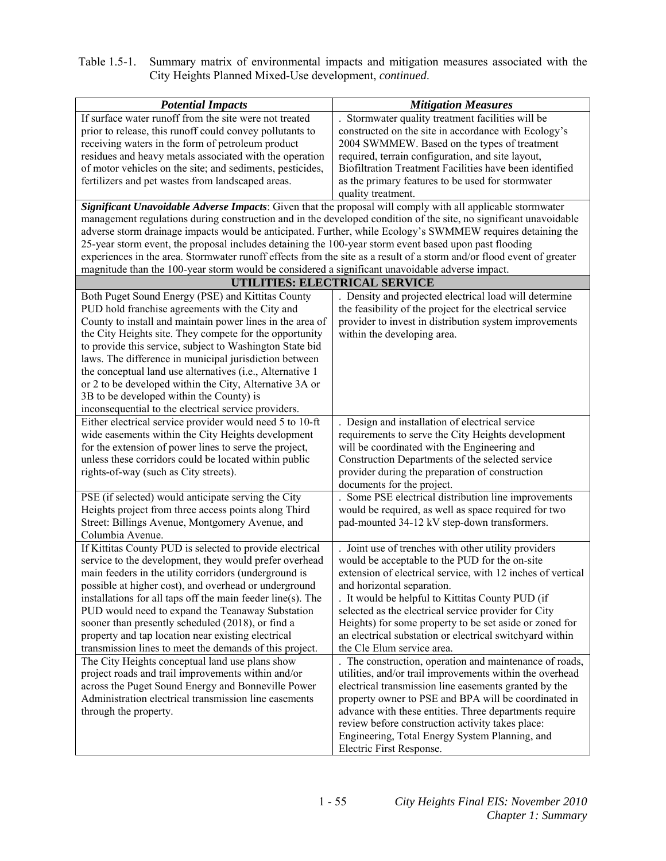| <b>Potential Impacts</b>                                                                                                                                                                                                         | <b>Mitigation Measures</b>                                                                         |
|----------------------------------------------------------------------------------------------------------------------------------------------------------------------------------------------------------------------------------|----------------------------------------------------------------------------------------------------|
| If surface water runoff from the site were not treated                                                                                                                                                                           | Stormwater quality treatment facilities will be                                                    |
| prior to release, this runoff could convey pollutants to                                                                                                                                                                         | constructed on the site in accordance with Ecology's                                               |
| receiving waters in the form of petroleum product                                                                                                                                                                                | 2004 SWMMEW. Based on the types of treatment                                                       |
| residues and heavy metals associated with the operation                                                                                                                                                                          | required, terrain configuration, and site layout,                                                  |
| of motor vehicles on the site; and sediments, pesticides,                                                                                                                                                                        | Biofiltration Treatment Facilities have been identified                                            |
| fertilizers and pet wastes from landscaped areas.                                                                                                                                                                                | as the primary features to be used for stormwater                                                  |
|                                                                                                                                                                                                                                  | quality treatment.                                                                                 |
| Significant Unavoidable Adverse Impacts: Given that the proposal will comply with all applicable stormwater<br>management regulations during construction and in the developed condition of the site, no significant unavoidable |                                                                                                    |
| adverse storm drainage impacts would be anticipated. Further, while Ecology's SWMMEW requires detaining the                                                                                                                      |                                                                                                    |
| 25-year storm event, the proposal includes detaining the 100-year storm event based upon past flooding                                                                                                                           |                                                                                                    |
| experiences in the area. Stormwater runoff effects from the site as a result of a storm and/or flood event of greater                                                                                                            |                                                                                                    |
| magnitude than the 100-year storm would be considered a significant unavoidable adverse impact.                                                                                                                                  |                                                                                                    |
|                                                                                                                                                                                                                                  | UTILITIES: ELECTRICAL SERVICE                                                                      |
| Both Puget Sound Energy (PSE) and Kittitas County                                                                                                                                                                                | . Density and projected electrical load will determine                                             |
| PUD hold franchise agreements with the City and                                                                                                                                                                                  | the feasibility of the project for the electrical service                                          |
| County to install and maintain power lines in the area of                                                                                                                                                                        | provider to invest in distribution system improvements                                             |
| the City Heights site. They compete for the opportunity                                                                                                                                                                          | within the developing area.                                                                        |
| to provide this service, subject to Washington State bid                                                                                                                                                                         |                                                                                                    |
| laws. The difference in municipal jurisdiction between                                                                                                                                                                           |                                                                                                    |
| the conceptual land use alternatives (i.e., Alternative 1                                                                                                                                                                        |                                                                                                    |
| or 2 to be developed within the City, Alternative 3A or                                                                                                                                                                          |                                                                                                    |
| 3B to be developed within the County) is                                                                                                                                                                                         |                                                                                                    |
| inconsequential to the electrical service providers.                                                                                                                                                                             |                                                                                                    |
| Either electrical service provider would need 5 to 10-ft                                                                                                                                                                         | Design and installation of electrical service                                                      |
| wide easements within the City Heights development                                                                                                                                                                               | requirements to serve the City Heights development                                                 |
| for the extension of power lines to serve the project,                                                                                                                                                                           | will be coordinated with the Engineering and                                                       |
| unless these corridors could be located within public                                                                                                                                                                            | Construction Departments of the selected service                                                   |
| rights-of-way (such as City streets).                                                                                                                                                                                            | provider during the preparation of construction                                                    |
|                                                                                                                                                                                                                                  | documents for the project.                                                                         |
| PSE (if selected) would anticipate serving the City                                                                                                                                                                              | Some PSE electrical distribution line improvements                                                 |
| Heights project from three access points along Third                                                                                                                                                                             | would be required, as well as space required for two                                               |
| Street: Billings Avenue, Montgomery Avenue, and                                                                                                                                                                                  | pad-mounted 34-12 kV step-down transformers.                                                       |
| Columbia Avenue.                                                                                                                                                                                                                 |                                                                                                    |
| If Kittitas County PUD is selected to provide electrical                                                                                                                                                                         | Joint use of trenches with other utility providers                                                 |
| service to the development, they would prefer overhead                                                                                                                                                                           | would be acceptable to the PUD for the on-site                                                     |
| main feeders in the utility corridors (underground is                                                                                                                                                                            | extension of electrical service, with 12 inches of vertical                                        |
| possible at higher cost), and overhead or underground                                                                                                                                                                            | and horizontal separation.                                                                         |
| installations for all taps off the main feeder line(s). The                                                                                                                                                                      | . It would be helpful to Kittitas County PUD (if                                                   |
| PUD would need to expand the Teanaway Substation                                                                                                                                                                                 | selected as the electrical service provider for City                                               |
| sooner than presently scheduled (2018), or find a                                                                                                                                                                                | Heights) for some property to be set aside or zoned for                                            |
| property and tap location near existing electrical                                                                                                                                                                               | an electrical substation or electrical switchyard within                                           |
| transmission lines to meet the demands of this project.                                                                                                                                                                          | the Cle Elum service area.                                                                         |
| The City Heights conceptual land use plans show                                                                                                                                                                                  | The construction, operation and maintenance of roads,                                              |
| project roads and trail improvements within and/or                                                                                                                                                                               | utilities, and/or trail improvements within the overhead                                           |
| across the Puget Sound Energy and Bonneville Power                                                                                                                                                                               | electrical transmission line easements granted by the                                              |
| Administration electrical transmission line easements                                                                                                                                                                            | property owner to PSE and BPA will be coordinated in                                               |
| through the property.                                                                                                                                                                                                            | advance with these entities. Three departments require                                             |
|                                                                                                                                                                                                                                  | review before construction activity takes place:<br>Engineering, Total Energy System Planning, and |
|                                                                                                                                                                                                                                  | Electric First Response.                                                                           |
|                                                                                                                                                                                                                                  |                                                                                                    |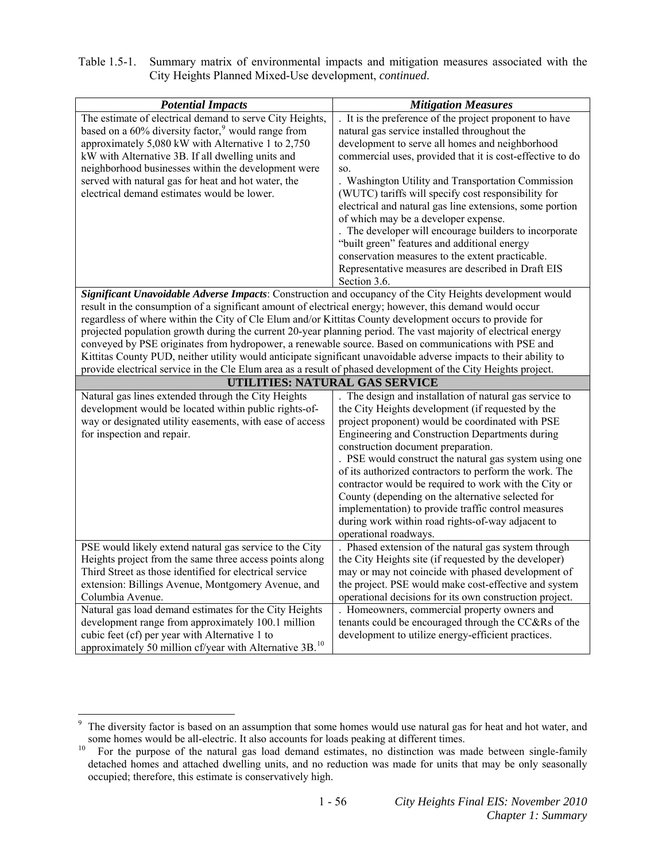| Table 1.5-1. Summary matrix of environmental impacts and mitigation measures associated with the |
|--------------------------------------------------------------------------------------------------|
| City Heights Planned Mixed-Use development, <i>continued</i> .                                   |

| <b>Potential Impacts</b>                                                                                                                                                                                                                                                                                                                                                                                                                                                                                                                                                                                                                                                         | <b>Mitigation Measures</b>                                                                                                                                                                                                                                                                                                                                                                                                                                                                                                                                                                                                                                                    |  |
|----------------------------------------------------------------------------------------------------------------------------------------------------------------------------------------------------------------------------------------------------------------------------------------------------------------------------------------------------------------------------------------------------------------------------------------------------------------------------------------------------------------------------------------------------------------------------------------------------------------------------------------------------------------------------------|-------------------------------------------------------------------------------------------------------------------------------------------------------------------------------------------------------------------------------------------------------------------------------------------------------------------------------------------------------------------------------------------------------------------------------------------------------------------------------------------------------------------------------------------------------------------------------------------------------------------------------------------------------------------------------|--|
| The estimate of electrical demand to serve City Heights,<br>based on a 60% diversity factor, <sup>9</sup> would range from<br>approximately 5,080 kW with Alternative 1 to 2,750<br>kW with Alternative 3B. If all dwelling units and<br>neighborhood businesses within the development were<br>served with natural gas for heat and hot water, the<br>electrical demand estimates would be lower.                                                                                                                                                                                                                                                                               | It is the preference of the project proponent to have<br>natural gas service installed throughout the<br>development to serve all homes and neighborhood<br>commercial uses, provided that it is cost-effective to do<br>SO.<br>Washington Utility and Transportation Commission<br>(WUTC) tariffs will specify cost responsibility for<br>electrical and natural gas line extensions, some portion<br>of which may be a developer expense.<br>The developer will encourage builders to incorporate<br>"built green" features and additional energy<br>conservation measures to the extent practicable.<br>Representative measures are described in Draft EIS<br>Section 3.6. |  |
| Significant Unavoidable Adverse Impacts: Construction and occupancy of the City Heights development would<br>result in the consumption of a significant amount of electrical energy; however, this demand would occur<br>regardless of where within the City of Cle Elum and/or Kittitas County development occurs to provide for<br>projected population growth during the current 20-year planning period. The vast majority of electrical energy<br>conveyed by PSE originates from hydropower, a renewable source. Based on communications with PSE and<br>Kittitas County PUD, neither utility would anticipate significant unavoidable adverse impacts to their ability to |                                                                                                                                                                                                                                                                                                                                                                                                                                                                                                                                                                                                                                                                               |  |
| provide electrical service in the Cle Elum area as a result of phased development of the City Heights project.<br>UTILITIES: NATURAL GAS SERVICE                                                                                                                                                                                                                                                                                                                                                                                                                                                                                                                                 |                                                                                                                                                                                                                                                                                                                                                                                                                                                                                                                                                                                                                                                                               |  |
|                                                                                                                                                                                                                                                                                                                                                                                                                                                                                                                                                                                                                                                                                  |                                                                                                                                                                                                                                                                                                                                                                                                                                                                                                                                                                                                                                                                               |  |
| Natural gas lines extended through the City Heights<br>development would be located within public rights-of-<br>way or designated utility easements, with ease of access<br>for inspection and repair.                                                                                                                                                                                                                                                                                                                                                                                                                                                                           | The design and installation of natural gas service to<br>the City Heights development (if requested by the<br>project proponent) would be coordinated with PSE<br>Engineering and Construction Departments during<br>construction document preparation.<br>. PSE would construct the natural gas system using one<br>of its authorized contractors to perform the work. The<br>contractor would be required to work with the City or<br>County (depending on the alternative selected for<br>implementation) to provide traffic control measures<br>during work within road rights-of-way adjacent to<br>operational roadways.                                                |  |
| PSE would likely extend natural gas service to the City<br>Heights project from the same three access points along<br>Third Street as those identified for electrical service<br>extension: Billings Avenue, Montgomery Avenue, and<br>Columbia Avenue.<br>Natural gas load demand estimates for the City Heights<br>development range from approximately 100.1 million                                                                                                                                                                                                                                                                                                          | . Phased extension of the natural gas system through<br>the City Heights site (if requested by the developer)<br>may or may not coincide with phased development of<br>the project. PSE would make cost-effective and system<br>operational decisions for its own construction project.<br>. Homeowners, commercial property owners and<br>tenants could be encouraged through the CC&Rs of the                                                                                                                                                                                                                                                                               |  |

<span id="page-65-0"></span><sup>&</sup>lt;sup>9</sup> The diversity factor is based on an assumption that some homes would use natural gas for heat and hot water, and

<span id="page-65-1"></span>some homes would be all-electric. It also accounts for loads peaking at different times.<br><sup>10</sup> For the purpose of the natural gas load demand estimates, no distinction was made between single-family For the purpose of the natural gas load demand estimates, no distinction was made between single-family detached homes and attached dwelling units, and no reduction was made for units that may be only seasonally occupied; therefore, this estimate is conservatively high.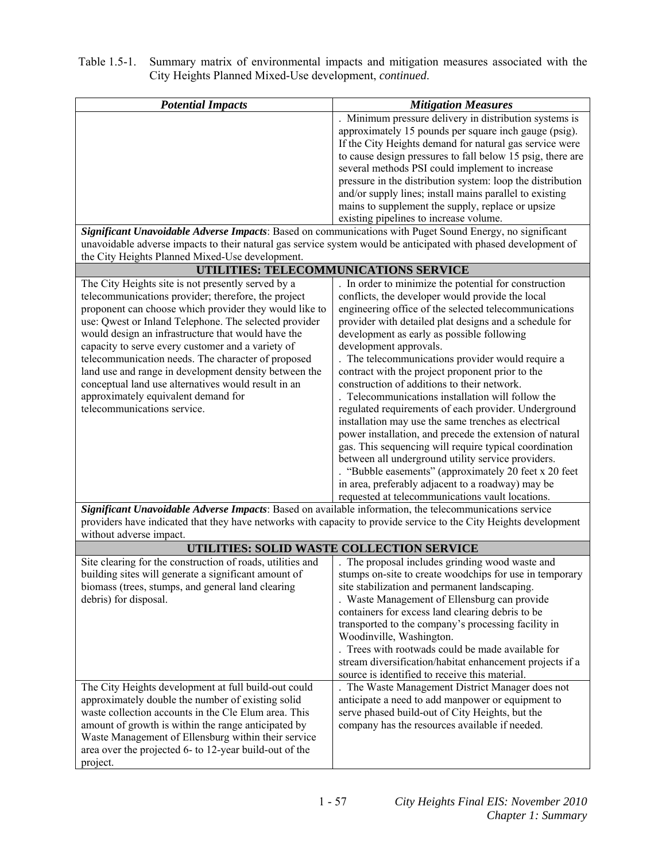| <b>Potential Impacts</b>                                                                                                                                                                                                    | <b>Mitigation Measures</b>                                                                                        |
|-----------------------------------------------------------------------------------------------------------------------------------------------------------------------------------------------------------------------------|-------------------------------------------------------------------------------------------------------------------|
|                                                                                                                                                                                                                             | Minimum pressure delivery in distribution systems is                                                              |
|                                                                                                                                                                                                                             | approximately 15 pounds per square inch gauge (psig).                                                             |
|                                                                                                                                                                                                                             | If the City Heights demand for natural gas service were                                                           |
|                                                                                                                                                                                                                             | to cause design pressures to fall below 15 psig, there are                                                        |
|                                                                                                                                                                                                                             | several methods PSI could implement to increase                                                                   |
|                                                                                                                                                                                                                             | pressure in the distribution system: loop the distribution                                                        |
|                                                                                                                                                                                                                             | and/or supply lines; install mains parallel to existing                                                           |
|                                                                                                                                                                                                                             | mains to supplement the supply, replace or upsize                                                                 |
|                                                                                                                                                                                                                             | existing pipelines to increase volume.                                                                            |
| Significant Unavoidable Adverse Impacts: Based on communications with Puget Sound Energy, no significant<br>unavoidable adverse impacts to their natural gas service system would be anticipated with phased development of |                                                                                                                   |
| the City Heights Planned Mixed-Use development.                                                                                                                                                                             |                                                                                                                   |
|                                                                                                                                                                                                                             | UTILITIES: TELECOMMUNICATIONS SERVICE                                                                             |
| The City Heights site is not presently served by a                                                                                                                                                                          | In order to minimize the potential for construction                                                               |
| telecommunications provider; therefore, the project                                                                                                                                                                         | conflicts, the developer would provide the local                                                                  |
| proponent can choose which provider they would like to                                                                                                                                                                      | engineering office of the selected telecommunications                                                             |
| use: Qwest or Inland Telephone. The selected provider                                                                                                                                                                       | provider with detailed plat designs and a schedule for                                                            |
| would design an infrastructure that would have the                                                                                                                                                                          | development as early as possible following                                                                        |
| capacity to serve every customer and a variety of                                                                                                                                                                           | development approvals.                                                                                            |
| telecommunication needs. The character of proposed                                                                                                                                                                          | . The telecommunications provider would require a                                                                 |
| land use and range in development density between the                                                                                                                                                                       | contract with the project proponent prior to the                                                                  |
| conceptual land use alternatives would result in an                                                                                                                                                                         | construction of additions to their network.                                                                       |
| approximately equivalent demand for                                                                                                                                                                                         | Telecommunications installation will follow the                                                                   |
| telecommunications service.                                                                                                                                                                                                 | regulated requirements of each provider. Underground                                                              |
|                                                                                                                                                                                                                             | installation may use the same trenches as electrical                                                              |
|                                                                                                                                                                                                                             | power installation, and precede the extension of natural                                                          |
|                                                                                                                                                                                                                             | gas. This sequencing will require typical coordination                                                            |
|                                                                                                                                                                                                                             | between all underground utility service providers.                                                                |
|                                                                                                                                                                                                                             | "Bubble easements" (approximately 20 feet x 20 feet                                                               |
|                                                                                                                                                                                                                             | in area, preferably adjacent to a roadway) may be<br>requested at telecommunications vault locations.             |
| Significant Unavoidable Adverse Impacts: Based on available information, the telecommunications service                                                                                                                     |                                                                                                                   |
|                                                                                                                                                                                                                             | providers have indicated that they have networks with capacity to provide service to the City Heights development |
| without adverse impact.                                                                                                                                                                                                     |                                                                                                                   |
|                                                                                                                                                                                                                             | UTILITIES: SOLID WASTE COLLECTION SERVICE                                                                         |
| Site clearing for the construction of roads, utilities and                                                                                                                                                                  | The proposal includes grinding wood waste and                                                                     |
| building sites will generate a significant amount of                                                                                                                                                                        | stumps on-site to create woodchips for use in temporary                                                           |
| biomass (trees, stumps, and general land clearing                                                                                                                                                                           | site stabilization and permanent landscaping.                                                                     |
| debris) for disposal.                                                                                                                                                                                                       | . Waste Management of Ellensburg can provide                                                                      |
|                                                                                                                                                                                                                             | containers for excess land clearing debris to be                                                                  |
|                                                                                                                                                                                                                             | transported to the company's processing facility in                                                               |
|                                                                                                                                                                                                                             | Woodinville, Washington.                                                                                          |
|                                                                                                                                                                                                                             | . Trees with rootwads could be made available for                                                                 |
|                                                                                                                                                                                                                             | stream diversification/habitat enhancement projects if a                                                          |
|                                                                                                                                                                                                                             | source is identified to receive this material.                                                                    |
| The City Heights development at full build-out could<br>approximately double the number of existing solid                                                                                                                   | The Waste Management District Manager does not<br>anticipate a need to add manpower or equipment to               |
| waste collection accounts in the Cle Elum area. This                                                                                                                                                                        | serve phased build-out of City Heights, but the                                                                   |
| amount of growth is within the range anticipated by                                                                                                                                                                         | company has the resources available if needed.                                                                    |
| Waste Management of Ellensburg within their service                                                                                                                                                                         |                                                                                                                   |
|                                                                                                                                                                                                                             |                                                                                                                   |
| area over the projected 6- to 12-year build-out of the                                                                                                                                                                      |                                                                                                                   |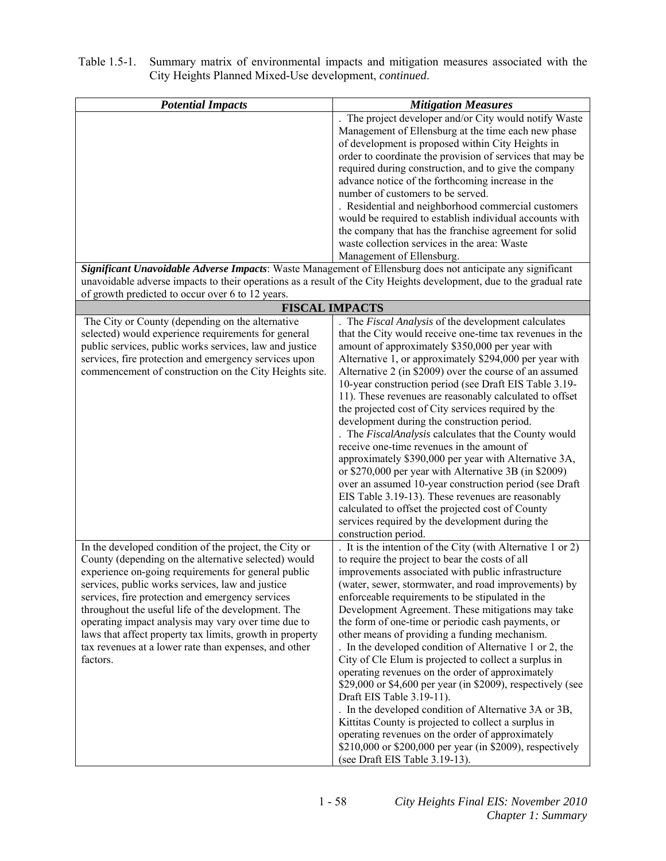| <b>Potential Impacts</b>                                                                                             | <b>Mitigation Measures</b>                                                                         |
|----------------------------------------------------------------------------------------------------------------------|----------------------------------------------------------------------------------------------------|
|                                                                                                                      | The project developer and/or City would notify Waste                                               |
|                                                                                                                      | Management of Ellensburg at the time each new phase                                                |
|                                                                                                                      | of development is proposed within City Heights in                                                  |
|                                                                                                                      | order to coordinate the provision of services that may be                                          |
|                                                                                                                      | required during construction, and to give the company                                              |
|                                                                                                                      | advance notice of the forthcoming increase in the                                                  |
|                                                                                                                      | number of customers to be served.                                                                  |
|                                                                                                                      | . Residential and neighborhood commercial customers                                                |
|                                                                                                                      | would be required to establish individual accounts with                                            |
|                                                                                                                      | the company that has the franchise agreement for solid                                             |
|                                                                                                                      | waste collection services in the area: Waste                                                       |
|                                                                                                                      | Management of Ellensburg.                                                                          |
| Significant Unavoidable Adverse Impacts: Waste Management of Ellensburg does not anticipate any significant          |                                                                                                    |
| unavoidable adverse impacts to their operations as a result of the City Heights development, due to the gradual rate |                                                                                                    |
| of growth predicted to occur over 6 to 12 years.                                                                     |                                                                                                    |
| <b>FISCAL IMPACTS</b>                                                                                                |                                                                                                    |
| The City or County (depending on the alternative                                                                     | The Fiscal Analysis of the development calculates                                                  |
| selected) would experience requirements for general                                                                  | that the City would receive one-time tax revenues in the                                           |
| public services, public works services, law and justice                                                              | amount of approximately \$350,000 per year with                                                    |
| services, fire protection and emergency services upon                                                                | Alternative 1, or approximately \$294,000 per year with                                            |
| commencement of construction on the City Heights site.                                                               | Alternative 2 (in \$2009) over the course of an assumed                                            |
|                                                                                                                      | 10-year construction period (see Draft EIS Table 3.19-                                             |
|                                                                                                                      | 11). These revenues are reasonably calculated to offset                                            |
|                                                                                                                      | the projected cost of City services required by the                                                |
|                                                                                                                      | development during the construction period.<br>The FiscalAnalysis calculates that the County would |
|                                                                                                                      | receive one-time revenues in the amount of                                                         |
|                                                                                                                      | approximately \$390,000 per year with Alternative 3A,                                              |
|                                                                                                                      | or \$270,000 per year with Alternative 3B (in \$2009)                                              |
|                                                                                                                      | over an assumed 10-year construction period (see Draft                                             |
|                                                                                                                      | EIS Table 3.19-13). These revenues are reasonably                                                  |
|                                                                                                                      | calculated to offset the projected cost of County                                                  |
|                                                                                                                      | services required by the development during the                                                    |
|                                                                                                                      | construction period.                                                                               |
| In the developed condition of the project, the City or                                                               | It is the intention of the City (with Alternative 1 or 2)                                          |
| County (depending on the alternative selected) would                                                                 | to require the project to bear the costs of all                                                    |
| experience on-going requirements for general public                                                                  | improvements associated with public infrastructure                                                 |
| services, public works services, law and justice                                                                     | (water, sewer, stormwater, and road improvements) by                                               |
| services, fire protection and emergency services                                                                     | enforceable requirements to be stipulated in the                                                   |
| throughout the useful life of the development. The                                                                   | Development Agreement. These mitigations may take                                                  |
| operating impact analysis may vary over time due to                                                                  | the form of one-time or periodic cash payments, or                                                 |
| laws that affect property tax limits, growth in property                                                             | other means of providing a funding mechanism.                                                      |
| tax revenues at a lower rate than expenses, and other                                                                | . In the developed condition of Alternative 1 or 2, the                                            |
| factors.                                                                                                             | City of Cle Elum is projected to collect a surplus in                                              |
|                                                                                                                      | operating revenues on the order of approximately                                                   |
|                                                                                                                      | \$29,000 or \$4,600 per year (in \$2009), respectively (see                                        |
|                                                                                                                      | Draft EIS Table 3.19-11).                                                                          |
|                                                                                                                      | . In the developed condition of Alternative 3A or 3B,                                              |
|                                                                                                                      | Kittitas County is projected to collect a surplus in                                               |
|                                                                                                                      | operating revenues on the order of approximately                                                   |
|                                                                                                                      | \$210,000 or \$200,000 per year (in \$2009), respectively                                          |
|                                                                                                                      | (see Draft EIS Table 3.19-13).                                                                     |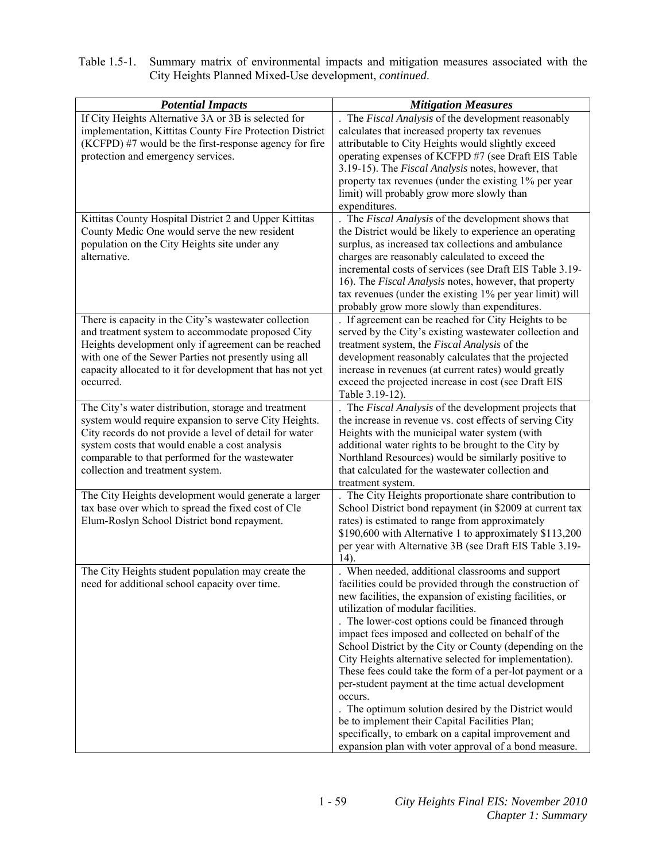| Table 1.5-1. Summary matrix of environmental impacts and mitigation measures associated with the |
|--------------------------------------------------------------------------------------------------|
| City Heights Planned Mixed-Use development, <i>continued</i> .                                   |

| <b>Potential Impacts</b>                                  | <b>Mitigation Measures</b>                                  |
|-----------------------------------------------------------|-------------------------------------------------------------|
| If City Heights Alternative 3A or 3B is selected for      | The Fiscal Analysis of the development reasonably           |
| implementation, Kittitas County Fire Protection District  | calculates that increased property tax revenues             |
| (KCFPD) #7 would be the first-response agency for fire    | attributable to City Heights would slightly exceed          |
| protection and emergency services.                        | operating expenses of KCFPD #7 (see Draft EIS Table         |
|                                                           | 3.19-15). The Fiscal Analysis notes, however, that          |
|                                                           | property tax revenues (under the existing 1% per year       |
|                                                           | limit) will probably grow more slowly than                  |
|                                                           | expenditures.                                               |
| Kittitas County Hospital District 2 and Upper Kittitas    | . The Fiscal Analysis of the development shows that         |
| County Medic One would serve the new resident             | the District would be likely to experience an operating     |
| population on the City Heights site under any             | surplus, as increased tax collections and ambulance         |
| alternative.                                              | charges are reasonably calculated to exceed the             |
|                                                           | incremental costs of services (see Draft EIS Table 3.19-    |
|                                                           | 16). The Fiscal Analysis notes, however, that property      |
|                                                           | tax revenues (under the existing 1% per year limit) will    |
|                                                           | probably grow more slowly than expenditures.                |
| There is capacity in the City's wastewater collection     | . If agreement can be reached for City Heights to be        |
| and treatment system to accommodate proposed City         | served by the City's existing wastewater collection and     |
| Heights development only if agreement can be reached      | treatment system, the Fiscal Analysis of the                |
| with one of the Sewer Parties not presently using all     | development reasonably calculates that the projected        |
| capacity allocated to it for development that has not yet | increase in revenues (at current rates) would greatly       |
| occurred.                                                 | exceed the projected increase in cost (see Draft EIS        |
|                                                           | Table 3.19-12).                                             |
| The City's water distribution, storage and treatment      | The Fiscal Analysis of the development projects that        |
| system would require expansion to serve City Heights.     | the increase in revenue vs. cost effects of serving City    |
| City records do not provide a level of detail for water   | Heights with the municipal water system (with               |
| system costs that would enable a cost analysis            | additional water rights to be brought to the City by        |
| comparable to that performed for the wastewater           | Northland Resources) would be similarly positive to         |
| collection and treatment system.                          | that calculated for the wastewater collection and           |
|                                                           | treatment system.                                           |
| The City Heights development would generate a larger      | The City Heights proportionate share contribution to        |
| tax base over which to spread the fixed cost of Cle       | School District bond repayment (in \$2009 at current tax    |
| Elum-Roslyn School District bond repayment.               | rates) is estimated to range from approximately             |
|                                                           | \$190,600 with Alternative 1 to approximately \$113,200     |
|                                                           | per year with Alternative 3B (see Draft EIS Table 3.19-     |
| The City Heights student population may create the        | $14)$ .<br>. When needed, additional classrooms and support |
| need for additional school capacity over time.            | facilities could be provided through the construction of    |
|                                                           | new facilities, the expansion of existing facilities, or    |
|                                                           | utilization of modular facilities.                          |
|                                                           | . The lower-cost options could be financed through          |
|                                                           | impact fees imposed and collected on behalf of the          |
|                                                           | School District by the City or County (depending on the     |
|                                                           | City Heights alternative selected for implementation).      |
|                                                           | These fees could take the form of a per-lot payment or a    |
|                                                           | per-student payment at the time actual development          |
|                                                           | occurs.                                                     |
|                                                           | The optimum solution desired by the District would          |
|                                                           | be to implement their Capital Facilities Plan;              |
|                                                           | specifically, to embark on a capital improvement and        |
|                                                           | expansion plan with voter approval of a bond measure.       |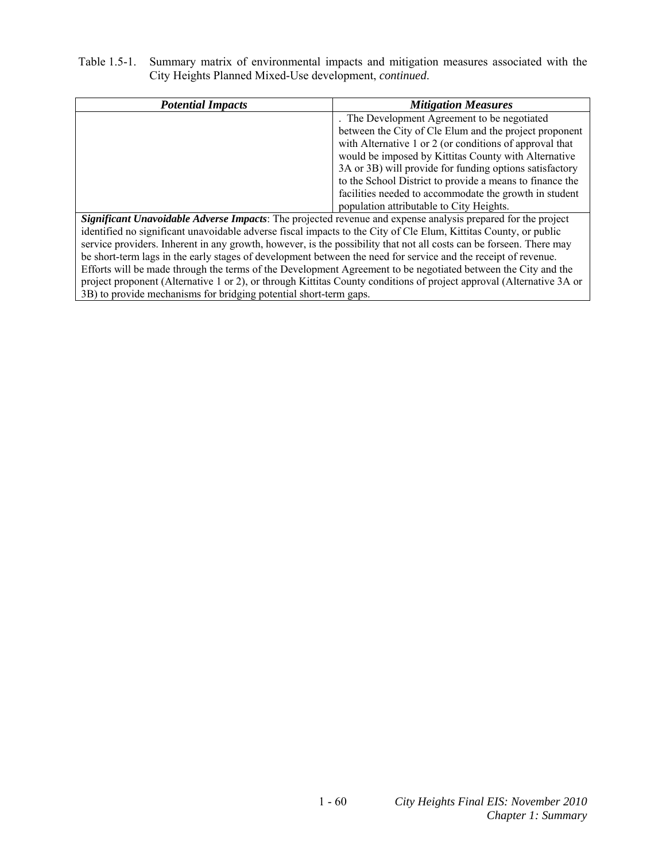| <b>Potential Impacts</b>                                                                                             | <b>Mitigation Measures</b>                               |  |
|----------------------------------------------------------------------------------------------------------------------|----------------------------------------------------------|--|
|                                                                                                                      | . The Development Agreement to be negotiated             |  |
|                                                                                                                      | between the City of Cle Elum and the project proponent   |  |
|                                                                                                                      | with Alternative 1 or 2 (or conditions of approval that  |  |
|                                                                                                                      | would be imposed by Kittitas County with Alternative     |  |
|                                                                                                                      | 3A or 3B) will provide for funding options satisfactory  |  |
|                                                                                                                      | to the School District to provide a means to finance the |  |
|                                                                                                                      | facilities needed to accommodate the growth in student   |  |
|                                                                                                                      | population attributable to City Heights.                 |  |
| Significant Unavoidable Adverse Impacts: The projected revenue and expense analysis prepared for the project         |                                                          |  |
| identified no significant unavoidable adverse fiscal impacts to the City of Cle Elum, Kittitas County, or public     |                                                          |  |
| service providers. Inherent in any growth, however, is the possibility that not all costs can be forseen. There may  |                                                          |  |
| be short-term lags in the early stages of development between the need for service and the receipt of revenue.       |                                                          |  |
| Efforts will be made through the terms of the Development Agreement to be negotiated between the City and the        |                                                          |  |
| project proponent (Alternative 1 or 2), or through Kittitas County conditions of project approval (Alternative 3A or |                                                          |  |
| 3B) to provide mechanisms for bridging potential short-term gaps.                                                    |                                                          |  |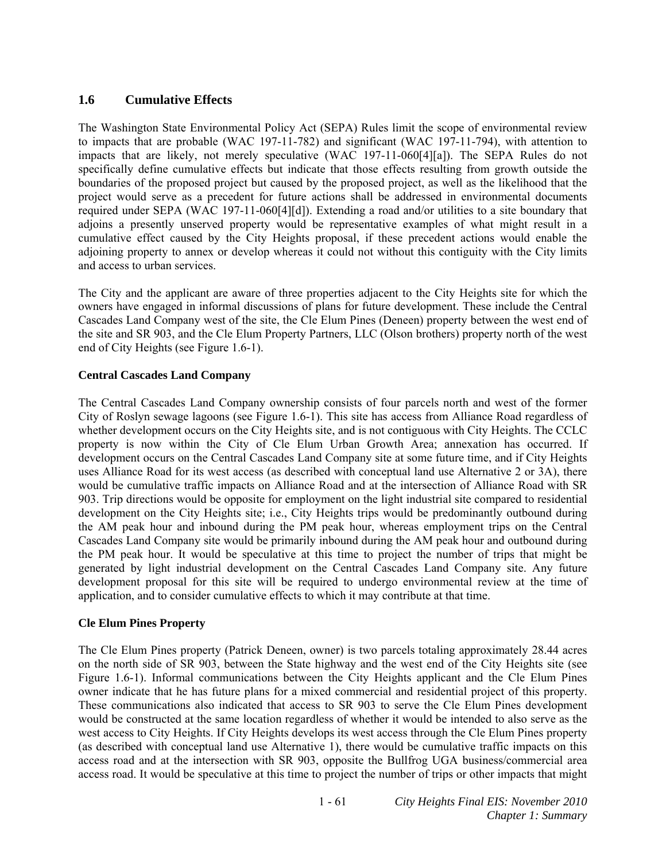# **1.6 Cumulative Effects**

The Washington State Environmental Policy Act (SEPA) Rules limit the scope of environmental review to impacts that are probable (WAC 197-11-782) and significant (WAC 197-11-794), with attention to impacts that are likely, not merely speculative (WAC 197-11-060[4][a]). The SEPA Rules do not specifically define cumulative effects but indicate that those effects resulting from growth outside the boundaries of the proposed project but caused by the proposed project, as well as the likelihood that the project would serve as a precedent for future actions shall be addressed in environmental documents required under SEPA (WAC 197-11-060[4][d]). Extending a road and/or utilities to a site boundary that adjoins a presently unserved property would be representative examples of what might result in a cumulative effect caused by the City Heights proposal, if these precedent actions would enable the adjoining property to annex or develop whereas it could not without this contiguity with the City limits and access to urban services.

The City and the applicant are aware of three properties adjacent to the City Heights site for which the owners have engaged in informal discussions of plans for future development. These include the Central Cascades Land Company west of the site, the Cle Elum Pines (Deneen) property between the west end of the site and SR 903, and the Cle Elum Property Partners, LLC (Olson brothers) property north of the west end of City Heights (see Figure 1.6-1).

## **Central Cascades Land Company**

The Central Cascades Land Company ownership consists of four parcels north and west of the former City of Roslyn sewage lagoons (see Figure 1.6-1). This site has access from Alliance Road regardless of whether development occurs on the City Heights site, and is not contiguous with City Heights. The CCLC property is now within the City of Cle Elum Urban Growth Area; annexation has occurred. If development occurs on the Central Cascades Land Company site at some future time, and if City Heights uses Alliance Road for its west access (as described with conceptual land use Alternative 2 or 3A), there would be cumulative traffic impacts on Alliance Road and at the intersection of Alliance Road with SR 903. Trip directions would be opposite for employment on the light industrial site compared to residential development on the City Heights site; i.e., City Heights trips would be predominantly outbound during the AM peak hour and inbound during the PM peak hour, whereas employment trips on the Central Cascades Land Company site would be primarily inbound during the AM peak hour and outbound during the PM peak hour. It would be speculative at this time to project the number of trips that might be generated by light industrial development on the Central Cascades Land Company site. Any future development proposal for this site will be required to undergo environmental review at the time of application, and to consider cumulative effects to which it may contribute at that time.

### **Cle Elum Pines Property**

The Cle Elum Pines property (Patrick Deneen, owner) is two parcels totaling approximately 28.44 acres on the north side of SR 903, between the State highway and the west end of the City Heights site (see Figure 1.6-1). Informal communications between the City Heights applicant and the Cle Elum Pines owner indicate that he has future plans for a mixed commercial and residential project of this property. These communications also indicated that access to SR 903 to serve the Cle Elum Pines development would be constructed at the same location regardless of whether it would be intended to also serve as the west access to City Heights. If City Heights develops its west access through the Cle Elum Pines property (as described with conceptual land use Alternative 1), there would be cumulative traffic impacts on this access road and at the intersection with SR 903, opposite the Bullfrog UGA business/commercial area access road. It would be speculative at this time to project the number of trips or other impacts that might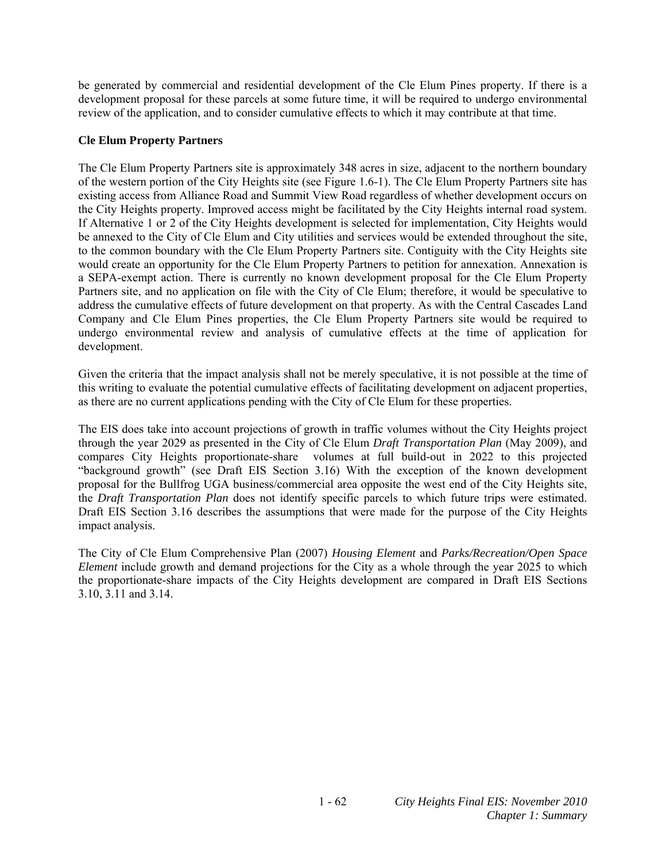be generated by commercial and residential development of the Cle Elum Pines property. If there is a development proposal for these parcels at some future time, it will be required to undergo environmental review of the application, and to consider cumulative effects to which it may contribute at that time.

# **Cle Elum Property Partners**

The Cle Elum Property Partners site is approximately 348 acres in size, adjacent to the northern boundary of the western portion of the City Heights site (see Figure 1.6-1). The Cle Elum Property Partners site has existing access from Alliance Road and Summit View Road regardless of whether development occurs on the City Heights property. Improved access might be facilitated by the City Heights internal road system. If Alternative 1 or 2 of the City Heights development is selected for implementation, City Heights would be annexed to the City of Cle Elum and City utilities and services would be extended throughout the site, to the common boundary with the Cle Elum Property Partners site. Contiguity with the City Heights site would create an opportunity for the Cle Elum Property Partners to petition for annexation. Annexation is a SEPA-exempt action. There is currently no known development proposal for the Cle Elum Property Partners site, and no application on file with the City of Cle Elum; therefore, it would be speculative to address the cumulative effects of future development on that property. As with the Central Cascades Land Company and Cle Elum Pines properties, the Cle Elum Property Partners site would be required to undergo environmental review and analysis of cumulative effects at the time of application for development.

Given the criteria that the impact analysis shall not be merely speculative, it is not possible at the time of this writing to evaluate the potential cumulative effects of facilitating development on adjacent properties, as there are no current applications pending with the City of Cle Elum for these properties.

The EIS does take into account projections of growth in traffic volumes without the City Heights project through the year 2029 as presented in the City of Cle Elum *Draft Transportation Plan* (May 2009), and compares City Heights proportionate-share volumes at full build-out in 2022 to this projected "background growth" (see Draft EIS Section 3.16) With the exception of the known development proposal for the Bullfrog UGA business/commercial area opposite the west end of the City Heights site, the *Draft Transportation Plan* does not identify specific parcels to which future trips were estimated. Draft EIS Section 3.16 describes the assumptions that were made for the purpose of the City Heights impact analysis.

The City of Cle Elum Comprehensive Plan (2007) *Housing Element* and *Parks/Recreation/Open Space Element* include growth and demand projections for the City as a whole through the year 2025 to which the proportionate-share impacts of the City Heights development are compared in Draft EIS Sections 3.10, 3.11 and 3.14.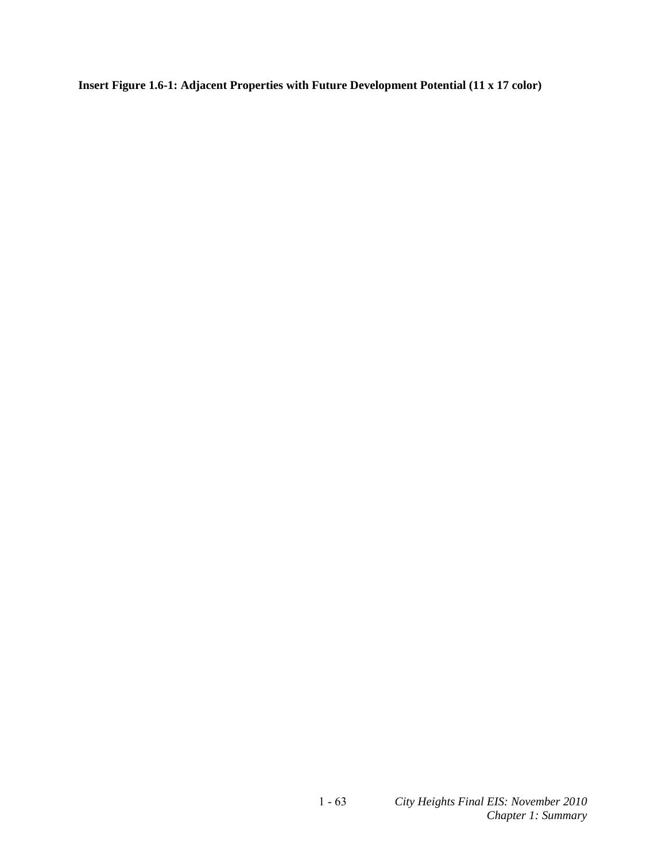**Insert Figure 1.6-1: Adjacent Properties with Future Development Potential (11 x 17 color)**